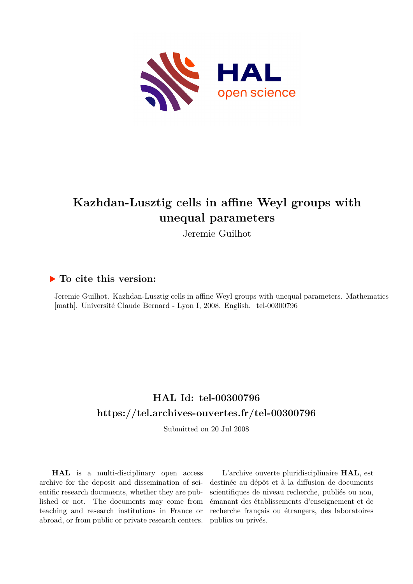

# **Kazhdan-Lusztig cells in affine Weyl groups with unequal parameters**

Jeremie Guilhot

## **To cite this version:**

Jeremie Guilhot. Kazhdan-Lusztig cells in affine Weyl groups with unequal parameters. Mathematics [math]. Université Claude Bernard - Lyon I, 2008. English. tel-00300796

# **HAL Id: tel-00300796 <https://tel.archives-ouvertes.fr/tel-00300796>**

Submitted on 20 Jul 2008

**HAL** is a multi-disciplinary open access archive for the deposit and dissemination of scientific research documents, whether they are published or not. The documents may come from teaching and research institutions in France or abroad, or from public or private research centers.

L'archive ouverte pluridisciplinaire **HAL**, est destinée au dépôt et à la diffusion de documents scientifiques de niveau recherche, publiés ou non, émanant des établissements d'enseignement et de recherche français ou étrangers, des laboratoires publics ou privés.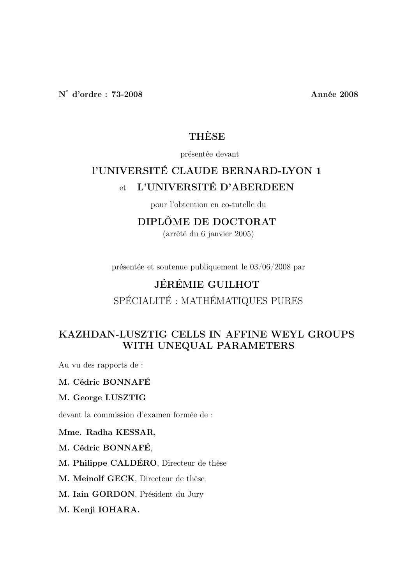# **THÈSE**

### présentée devant

# l'UNIVERSITÉ CLAUDE BERNARD-LYON 1 et L'UNIVERSITÉ D'ABERDEEN

pour l'obtention en co-tutelle du

## DIPLÔME DE DOCTORAT

(arrêté du 6 janvier 2005)

présentée et soutenue publiquement le 03/06/2008 par

## JÉRÉMIE GUILHOT

SPÉCIALITÉ : MATHÉMATIQUES PURES

# KAZHDAN-LUSZTIG CELLS IN AFFINE WEYL GROUPS WITH UNEQUAL PARAMETERS

Au vu des rapports de :

### M. Cédric BONNAFÉ

### M. George LUSZTIG

devant la commission d'examen formée de :

Mme. Radha KESSAR,

M. Cédric BONNAFÉ,

M. Philippe CALDÉRO, Directeur de thèse

M. Meinolf GECK, Directeur de thèse

M. Iain GORDON, Président du Jury

M. Kenji IOHARA.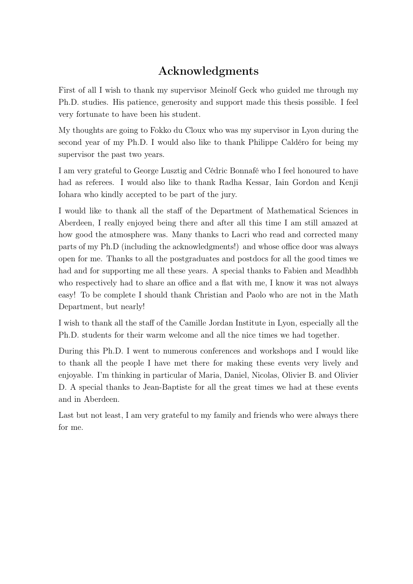# Acknowledgments

First of all I wish to thank my supervisor Meinolf Geck who guided me through my Ph.D. studies. His patience, generosity and support made this thesis possible. I feel very fortunate to have been his student.

My thoughts are going to Fokko du Cloux who was my supervisor in Lyon during the second year of my Ph.D. I would also like to thank Philippe Caldéro for being my supervisor the past two years.

I am very grateful to George Lusztig and Cédric Bonnafé who I feel honoured to have had as referees. I would also like to thank Radha Kessar, Iain Gordon and Kenji Iohara who kindly accepted to be part of the jury.

I would like to thank all the staff of the Department of Mathematical Sciences in Aberdeen, I really enjoyed being there and after all this time I am still amazed at how good the atmosphere was. Many thanks to Lacri who read and corrected many parts of my Ph.D (including the acknowledgments!) and whose office door was always open for me. Thanks to all the postgraduates and postdocs for all the good times we had and for supporting me all these years. A special thanks to Fabien and Meadhbh who respectively had to share an office and a flat with me, I know it was not always easy! To be complete I should thank Christian and Paolo who are not in the Math Department, but nearly!

I wish to thank all the staff of the Camille Jordan Institute in Lyon, especially all the Ph.D. students for their warm welcome and all the nice times we had together.

During this Ph.D. I went to numerous conferences and workshops and I would like to thank all the people I have met there for making these events very lively and enjoyable. I'm thinking in particular of Maria, Daniel, Nicolas, Olivier B. and Olivier D. A special thanks to Jean-Baptiste for all the great times we had at these events and in Aberdeen.

Last but not least, I am very grateful to my family and friends who were always there for me.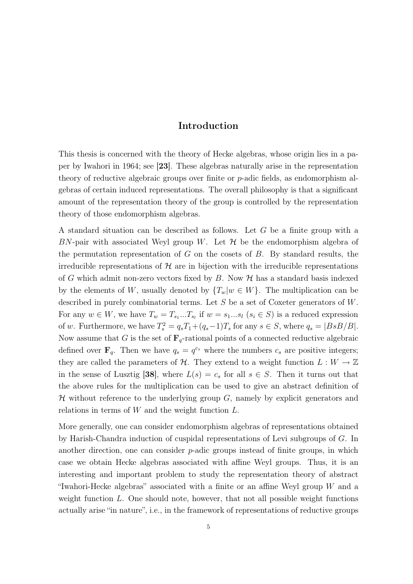## Introduction

This thesis is concerned with the theory of Hecke algebras, whose origin lies in a paper by Iwahori in 1964; see [23]. These algebras naturally arise in the representation theory of reductive algebraic groups over finite or p-adic fields, as endomorphism algebras of certain induced representations. The overall philosophy is that a significant amount of the representation theory of the group is controlled by the representation theory of those endomorphism algebras.

A standard situation can be described as follows. Let G be a finite group with a BN-pair with associated Weyl group W. Let  $\mathcal H$  be the endomorphism algebra of the permutation representation of  $G$  on the cosets of  $B$ . By standard results, the irreducible representations of  $H$  are in bijection with the irreducible representations of G which admit non-zero vectors fixed by B. Now  $H$  has a standard basis indexed by the elements of W, usually denoted by  $\{T_w | w \in W\}$ . The multiplication can be described in purely combinatorial terms. Let S be a set of Coxeter generators of W. For any  $w \in W$ , we have  $T_w = T_{s_1}...T_{s_l}$  if  $w = s_1...s_l$   $(s_i \in S)$  is a reduced expression of w. Furthermore, we have  $T_s^2 = q_s T_1 + (q_s - 1)T_s$  for any  $s \in S$ , where  $q_s = |BsB/B|$ . Now assume that G is the set of  $\mathbf{F}_q$ -rational points of a connected reductive algebraic defined over  $\mathbf{F}_q$ . Then we have  $q_s = q^{c_s}$  where the numbers  $c_s$  are positive integers; they are called the parameters of H. They extend to a weight function  $L: W \to \mathbb{Z}$ in the sense of Lusztig [38], where  $L(s) = c_s$  for all  $s \in S$ . Then it turns out that the above rules for the multiplication can be used to give an abstract definition of  $H$  without reference to the underlying group  $G$ , namely by explicit generators and relations in terms of  $W$  and the weight function  $L$ .

More generally, one can consider endomorphism algebras of representations obtained by Harish-Chandra induction of cuspidal representations of Levi subgroups of G. In another direction, one can consider *p*-adic groups instead of finite groups, in which case we obtain Hecke algebras associated with affine Weyl groups. Thus, it is an interesting and important problem to study the representation theory of abstract "Iwahori-Hecke algebras" associated with a finite or an affine Weyl group W and a weight function  $L$ . One should note, however, that not all possible weight functions actually arise "in nature", i.e., in the framework of representations of reductive groups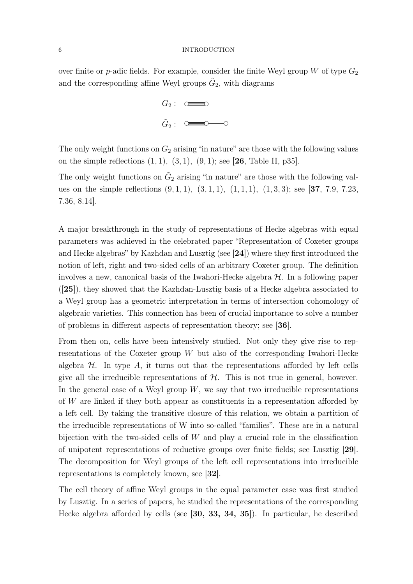over finite or p-adic fields. For example, consider the finite Weyl group W of type  $G_2$ and the corresponding affine Weyl groups  $\tilde{G}_2$ , with diagrams

$$
G_2: \quad \underbrace{\circ \bullet \bullet \bullet}_{\tilde{G}_2: \quad \bullet \bullet \bullet \bullet \bullet \bullet \bullet \bullet}
$$

The only weight functions on  $G_2$  arising "in nature" are those with the following values on the simple reflections  $(1, 1), (3, 1), (9, 1)$ ; see [26, Table II, p35].

The only weight functions on  $\tilde{G}_2$  arising "in nature" are those with the following values on the simple reflections  $(9, 1, 1), (3, 1, 1), (1, 1, 1), (1, 3, 3)$ ; see [37, 7.9, 7.23, 7.36, 8.14].

A major breakthrough in the study of representations of Hecke algebras with equal parameters was achieved in the celebrated paper "Representation of Coxeter groups and Hecke algebras" by Kazhdan and Lusztig (see [24]) where they first introduced the notion of left, right and two-sided cells of an arbitrary Coxeter group. The definition involves a new, canonical basis of the Iwahori-Hecke algebra  $H$ . In a following paper ([25]), they showed that the Kazhdan-Lusztig basis of a Hecke algebra associated to a Weyl group has a geometric interpretation in terms of intersection cohomology of algebraic varieties. This connection has been of crucial importance to solve a number of problems in different aspects of representation theory; see [36].

From then on, cells have been intensively studied. Not only they give rise to representations of the Coxeter group W but also of the corresponding Iwahori-Hecke algebra  $H$ . In type A, it turns out that the representations afforded by left cells give all the irreducible representations of  $H$ . This is not true in general, however. In the general case of a Weyl group  $W$ , we say that two irreducible representations of W are linked if they both appear as constituents in a representation afforded by a left cell. By taking the transitive closure of this relation, we obtain a partition of the irreducible representations of W into so-called "families". These are in a natural bijection with the two-sided cells of  $W$  and play a crucial role in the classification of unipotent representations of reductive groups over finite fields; see Lusztig [29]. The decomposition for Weyl groups of the left cell representations into irreducible representations is completely known, see [32].

The cell theory of affine Weyl groups in the equal parameter case was first studied by Lusztig. In a series of papers, he studied the representations of the corresponding Hecke algebra afforded by cells (see [30, 33, 34, 35]). In particular, he described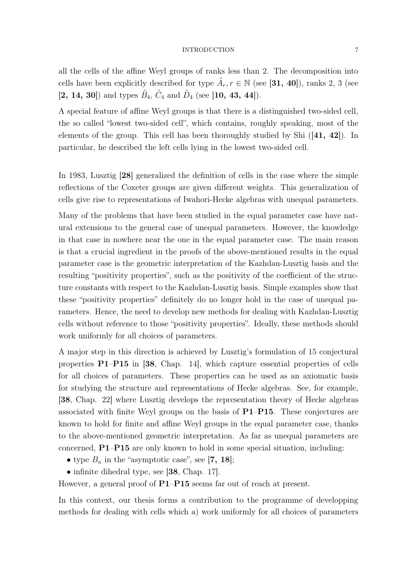all the cells of the affine Weyl groups of ranks less than 2. The decomposition into cells have been explicitly described for type  $\tilde{A}_r, r \in \mathbb{N}$  (see [31, 40]), ranks 2, 3 (see  $[2, 14, 30]$  and types  $\tilde{B}_4$ ,  $\tilde{C}_4$  and  $\tilde{D}_4$  (see [10, 43, 44]).

A special feature of affine Weyl groups is that there is a distinguished two-sided cell, the so called "lowest two-sided cell", which contains, roughly speaking, most of the elements of the group. This cell has been thoroughly studied by Shi ([41, 42]). In particular, he described the left cells lying in the lowest two-sided cell.

In 1983, Lusztig [28] generalized the definition of cells in the case where the simple reflections of the Coxeter groups are given different weights. This generalization of cells give rise to representations of Iwahori-Hecke algebras with unequal parameters.

Many of the problems that have been studied in the equal parameter case have natural extensions to the general case of unequal parameters. However, the knowledge in that case in nowhere near the one in the equal parameter case. The main reason is that a crucial ingredient in the proofs of the above-mentioned results in the equal parameter case is the geometric interpretation of the Kazhdan-Lusztig basis and the resulting "positivity properties", such as the positivity of the coefficient of the structure constants with respect to the Kazhdan-Lusztig basis. Simple examples show that these "positivity properties" definitely do no longer hold in the case of unequal parameters. Hence, the need to develop new methods for dealing with Kazhdan-Lusztig cells without reference to those "positivity properties". Ideally, these methods should work uniformly for all choices of parameters.

A major step in this direction is achieved by Lusztig's formulation of 15 conjectural properties P1–P15 in [38, Chap. 14], which capture essential properties of cells for all choices of parameters. These properties can be used as an axiomatic basis for studying the structure and representations of Hecke algebras. See, for example, [38, Chap. 22] where Lusztig develops the representation theory of Hecke algebras associated with finite Weyl groups on the basis of P1–P15. These conjectures are known to hold for finite and affine Weyl groups in the equal parameter case, thanks to the above-mentioned geometric interpretation. As far as unequal parameters are concerned, P1–P15 are only known to hold in some special situation, including:

- type  $B_n$  in the "asymptotic case", see [7, 18];
- infinite dihedral type, see [38, Chap. 17].

However, a general proof of  $P1-P15$  seems far out of reach at present.

In this context, our thesis forms a contribution to the programme of developping methods for dealing with cells which a) work uniformly for all choices of parameters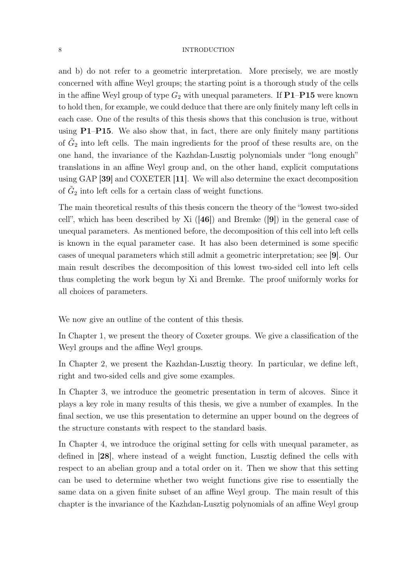and b) do not refer to a geometric interpretation. More precisely, we are mostly concerned with affine Weyl groups; the starting point is a thorough study of the cells in the affine Weyl group of type  $G_2$  with unequal parameters. If **P1–P15** were known to hold then, for example, we could deduce that there are only finitely many left cells in each case. One of the results of this thesis shows that this conclusion is true, without using P1–P15. We also show that, in fact, there are only finitely many partitions of  $\tilde{G}_2$  into left cells. The main ingredients for the proof of these results are, on the one hand, the invariance of the Kazhdan-Lusztig polynomials under "long enough" translations in an affine Weyl group and, on the other hand, explicit computations using GAP [39] and COXETER [11]. We will also determine the exact decomposition of  $\tilde{G}_2$  into left cells for a certain class of weight functions.

The main theoretical results of this thesis concern the theory of the "lowest two-sided cell", which has been described by Xi  $([46])$  and Bremke  $([9])$  in the general case of unequal parameters. As mentioned before, the decomposition of this cell into left cells is known in the equal parameter case. It has also been determined is some specific cases of unequal parameters which still admit a geometric interpretation; see [9]. Our main result describes the decomposition of this lowest two-sided cell into left cells thus completing the work begun by Xi and Bremke. The proof uniformly works for all choices of parameters.

We now give an outline of the content of this thesis.

In Chapter 1, we present the theory of Coxeter groups. We give a classification of the Weyl groups and the affine Weyl groups.

In Chapter 2, we present the Kazhdan-Lusztig theory. In particular, we define left, right and two-sided cells and give some examples.

In Chapter 3, we introduce the geometric presentation in term of alcoves. Since it plays a key role in many results of this thesis, we give a number of examples. In the final section, we use this presentation to determine an upper bound on the degrees of the structure constants with respect to the standard basis.

In Chapter 4, we introduce the original setting for cells with unequal parameter, as defined in [28], where instead of a weight function, Lusztig defined the cells with respect to an abelian group and a total order on it. Then we show that this setting can be used to determine whether two weight functions give rise to essentially the same data on a given finite subset of an affine Weyl group. The main result of this chapter is the invariance of the Kazhdan-Lusztig polynomials of an affine Weyl group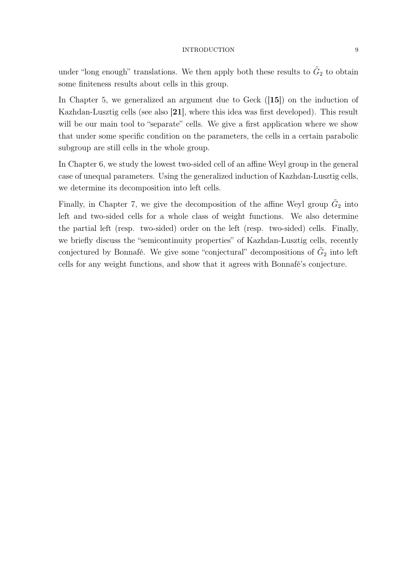under "long enough" translations. We then apply both these results to  $\tilde{G}_2$  to obtain some finiteness results about cells in this group.

In Chapter 5, we generalized an argument due to Geck ([15]) on the induction of Kazhdan-Lusztig cells (see also [21], where this idea was first developed). This result will be our main tool to "separate" cells. We give a first application where we show that under some specific condition on the parameters, the cells in a certain parabolic subgroup are still cells in the whole group.

In Chapter 6, we study the lowest two-sided cell of an affine Weyl group in the general case of unequal parameters. Using the generalized induction of Kazhdan-Lusztig cells, we determine its decomposition into left cells.

Finally, in Chapter 7, we give the decomposition of the affine Weyl group  $\tilde{G}_2$  into left and two-sided cells for a whole class of weight functions. We also determine the partial left (resp. two-sided) order on the left (resp. two-sided) cells. Finally, we briefly discuss the "semicontinuity properties" of Kazhdan-Lusztig cells, recently conjectured by Bonnafé. We give some "conjectural" decompositions of  $\tilde{G}_2$  into left cells for any weight functions, and show that it agrees with Bonnafé's conjecture.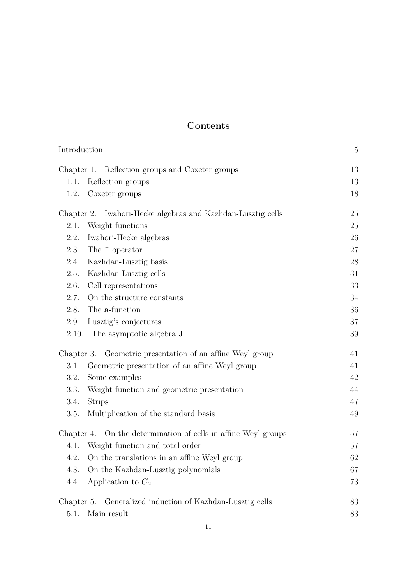# Contents

| Introduction                                                   |    |
|----------------------------------------------------------------|----|
| Chapter 1. Reflection groups and Coxeter groups                | 13 |
| 1.1.<br>Reflection groups                                      | 13 |
| Coxeter groups<br>1.2.                                         | 18 |
| Chapter 2. Iwahori-Hecke algebras and Kazhdan-Lusztig cells    | 25 |
| Weight functions<br>2.1.                                       | 25 |
| 2.2.<br>Iwahori-Hecke algebras                                 | 26 |
| 2.3.<br>The $\overline{\phantom{a}}$ operator                  | 27 |
| 2.4.<br>Kazhdan-Lusztig basis                                  | 28 |
| Kazhdan-Lusztig cells<br>2.5.                                  | 31 |
| 2.6.<br>Cell representations                                   | 33 |
| 2.7.<br>On the structure constants                             | 34 |
| The a-function<br>2.8.                                         | 36 |
| Lusztig's conjectures<br>2.9.                                  | 37 |
| 2.10. The asymptotic algebra $\bf{J}$                          | 39 |
| Chapter 3. Geometric presentation of an affine Weyl group      | 41 |
| Geometric presentation of an affine Weyl group<br>3.1.         | 41 |
| 3.2.<br>Some examples                                          | 42 |
| 3.3.<br>Weight function and geometric presentation             | 44 |
| <b>Strips</b><br>3.4.                                          | 47 |
| Multiplication of the standard basis<br>3.5.                   | 49 |
| Chapter 4. On the determination of cells in affine Weyl groups | 57 |
| 4.1. Weight function and total order                           | 57 |
| 4.2. On the translations in an affine Weyl group               | 62 |
| On the Kazhdan-Lusztig polynomials<br>4.3.                     | 67 |
| Application to $\tilde{G}_2$<br>4.4.                           | 73 |
| Generalized induction of Kazhdan-Lusztig cells<br>Chapter 5.   | 83 |
| Main result<br>5.1.                                            | 83 |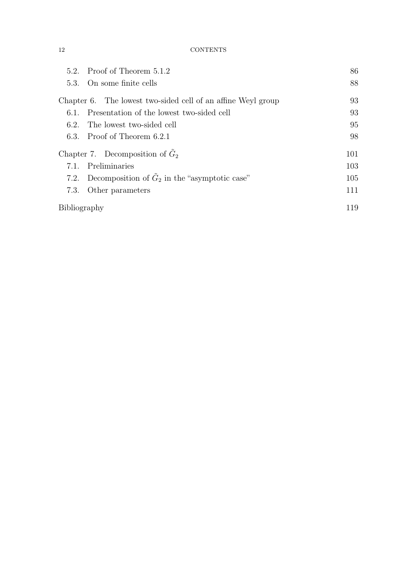12 CONTENTS

| 5.2.                              | Proof of Theorem 5.1.2                                       | 86  |
|-----------------------------------|--------------------------------------------------------------|-----|
| 5.3.                              | On some finite cells                                         | 88  |
|                                   | Chapter 6. The lowest two-sided cell of an affine Weyl group | 93  |
| 6.1.                              | Presentation of the lowest two-sided cell                    | 93  |
| 6.2.                              | The lowest two-sided cell                                    | 95  |
|                                   | 6.3. Proof of Theorem 6.2.1                                  | 98  |
| Chapter 7. Decomposition of $G_2$ |                                                              | 101 |
| 7.1.                              | Preliminaries                                                | 103 |
|                                   | 7.2. Decomposition of $G_2$ in the "asymptotic case"         | 105 |
| 7.3.                              | Other parameters                                             | 111 |
| Bibliography                      |                                                              | 119 |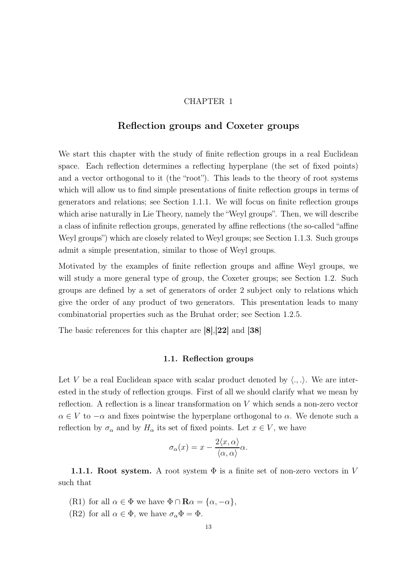#### CHAPTER 1

## Reflection groups and Coxeter groups

We start this chapter with the study of finite reflection groups in a real Euclidean space. Each reflection determines a reflecting hyperplane (the set of fixed points) and a vector orthogonal to it (the "root"). This leads to the theory of root systems which will allow us to find simple presentations of finite reflection groups in terms of generators and relations; see Section 1.1.1. We will focus on finite reflection groups which arise naturally in Lie Theory, namely the "Weyl groups". Then, we will describe a class of infinite reflection groups, generated by affine reflections (the so-called "affine Weyl groups") which are closely related to Weyl groups; see Section 1.1.3. Such groups admit a simple presentation, similar to those of Weyl groups.

Motivated by the examples of finite reflection groups and affine Weyl groups, we will study a more general type of group, the Coxeter groups; see Section 1.2. Such groups are defined by a set of generators of order 2 subject only to relations which give the order of any product of two generators. This presentation leads to many combinatorial properties such as the Bruhat order; see Section 1.2.5.

The basic references for this chapter are [8],[22] and [38]

#### 1.1. Reflection groups

Let V be a real Euclidean space with scalar product denoted by  $\langle ., . \rangle$ . We are interested in the study of reflection groups. First of all we should clarify what we mean by reflection. A reflection is a linear transformation on V which sends a non-zero vector  $\alpha \in V$  to  $-\alpha$  and fixes pointwise the hyperplane orthogonal to  $\alpha$ . We denote such a reflection by  $\sigma_{\alpha}$  and by  $H_{\alpha}$  its set of fixed points. Let  $x \in V$ , we have

$$
\sigma_{\alpha}(x) = x - \frac{2\langle x, \alpha \rangle}{\langle \alpha, \alpha \rangle} \alpha.
$$

**1.1.1.** Root system. A root system  $\Phi$  is a finite set of non-zero vectors in V such that

- (R1) for all  $\alpha \in \Phi$  we have  $\Phi \cap \mathbf{R}\alpha = {\alpha, -\alpha}$ ,
- (R2) for all  $\alpha \in \Phi$ , we have  $\sigma_{\alpha} \Phi = \Phi$ .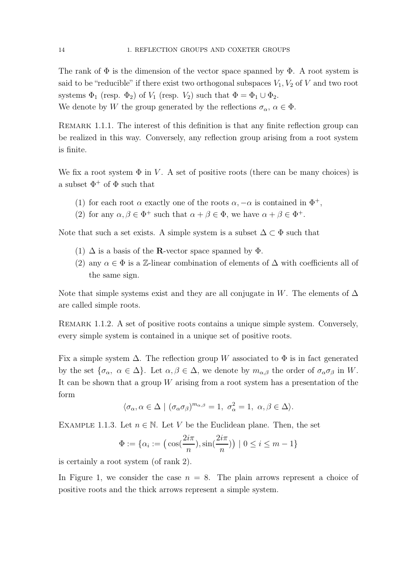The rank of  $\Phi$  is the dimension of the vector space spanned by  $\Phi$ . A root system is said to be "reducible" if there exist two orthogonal subspaces  $V_1, V_2$  of V and two root systems  $\Phi_1$  (resp.  $\Phi_2$ ) of  $V_1$  (resp.  $V_2$ ) such that  $\Phi = \Phi_1 \cup \Phi_2$ .

We denote by W the group generated by the reflections  $\sigma_{\alpha}$ ,  $\alpha \in \Phi$ .

REMARK 1.1.1. The interest of this definition is that any finite reflection group can be realized in this way. Conversely, any reflection group arising from a root system is finite.

We fix a root system  $\Phi$  in V. A set of positive roots (there can be many choices) is a subset  $\Phi^+$  of  $\Phi$  such that

- (1) for each root  $\alpha$  exactly one of the roots  $\alpha, -\alpha$  is contained in  $\Phi^+,$
- (2) for any  $\alpha, \beta \in \Phi^+$  such that  $\alpha + \beta \in \Phi$ , we have  $\alpha + \beta \in \Phi^+$ .

Note that such a set exists. A simple system is a subset  $\Delta \subset \Phi$  such that

- (1)  $\Delta$  is a basis of the **R**-vector space spanned by  $\Phi$ .
- (2) any  $\alpha \in \Phi$  is a Z-linear combination of elements of  $\Delta$  with coefficients all of the same sign.

Note that simple systems exist and they are all conjugate in W. The elements of  $\Delta$ are called simple roots.

Remark 1.1.2. A set of positive roots contains a unique simple system. Conversely, every simple system is contained in a unique set of positive roots.

Fix a simple system  $\Delta$ . The reflection group W associated to  $\Phi$  is in fact generated by the set  ${\lbrace \sigma_{\alpha}, \alpha \in \Delta \rbrace}$ . Let  ${\alpha, \beta \in \Delta}$ , we denote by  $m_{\alpha,\beta}$  the order of  $\sigma_{\alpha}\sigma_{\beta}$  in W. It can be shown that a group  $W$  arising from a root system has a presentation of the form

$$
\langle \sigma_\alpha, \alpha \in \Delta \mid (\sigma_\alpha \sigma_\beta)^{m_{\alpha,\beta}} = 1, \sigma_\alpha^2 = 1, \alpha, \beta \in \Delta \rangle.
$$

EXAMPLE 1.1.3. Let  $n \in \mathbb{N}$ . Let V be the Euclidean plane. Then, the set

$$
\Phi := \{ \alpha_i := \left( \cos\left(\frac{2i\pi}{n}\right), \sin\left(\frac{2i\pi}{n}\right) \right) \mid 0 \le i \le m - 1 \}
$$

is certainly a root system (of rank 2).

In Figure 1, we consider the case  $n = 8$ . The plain arrows represent a choice of positive roots and the thick arrows represent a simple system.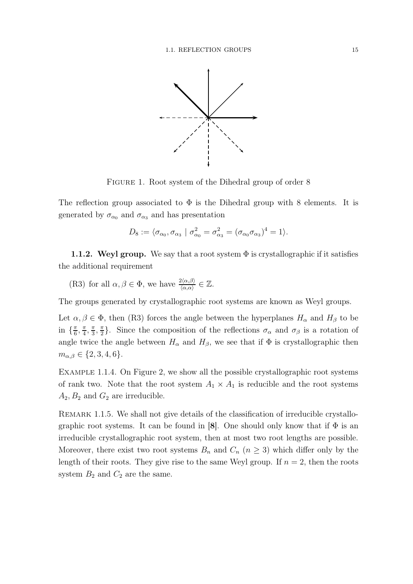

FIGURE 1. Root system of the Dihedral group of order 8

The reflection group associated to  $\Phi$  is the Dihedral group with 8 elements. It is generated by  $\sigma_{\alpha_0}$  and  $\sigma_{\alpha_3}$  and has presentation

$$
D_8 := \langle \sigma_{\alpha_0}, \sigma_{\alpha_3} \mid \sigma_{\alpha_0}^2 = \sigma_{\alpha_3}^2 = (\sigma_{\alpha_0} \sigma_{\alpha_3})^4 = 1 \rangle.
$$

**1.1.2. Weyl group.** We say that a root system  $\Phi$  is crystallographic if it satisfies the additional requirement

(R3) for all 
$$
\alpha, \beta \in \Phi
$$
, we have  $\frac{2\langle \alpha, \beta \rangle}{\langle \alpha, \alpha \rangle} \in \mathbb{Z}$ .

The groups generated by crystallographic root systems are known as Weyl groups.

Let  $\alpha, \beta \in \Phi$ , then (R3) forces the angle between the hyperplanes  $H_{\alpha}$  and  $H_{\beta}$  to be in  $\left\{\frac{\pi}{6}\right\}$  $\frac{\pi}{6}, \frac{\pi}{4}$  $\frac{\pi}{4}, \frac{\pi}{3}$  $\frac{\pi}{3}, \frac{\pi}{2}$  $\frac{\pi}{2}$ . Since the composition of the reflections  $\sigma_{\alpha}$  and  $\sigma_{\beta}$  is a rotation of angle twice the angle between  $H_{\alpha}$  and  $H_{\beta}$ , we see that if  $\Phi$  is crystallographic then  $m_{\alpha,\beta} \in \{2,3,4,6\}.$ 

Example 1.1.4. On Figure 2, we show all the possible crystallographic root systems of rank two. Note that the root system  $A_1 \times A_1$  is reducible and the root systems  $A_2, B_2$  and  $G_2$  are irreducible.

REMARK 1.1.5. We shall not give details of the classification of irreducible crystallographic root systems. It can be found in [8]. One should only know that if  $\Phi$  is an irreducible crystallographic root system, then at most two root lengths are possible. Moreover, there exist two root systems  $B_n$  and  $C_n$   $(n \geq 3)$  which differ only by the length of their roots. They give rise to the same Weyl group. If  $n = 2$ , then the roots system  $B_2$  and  $C_2$  are the same.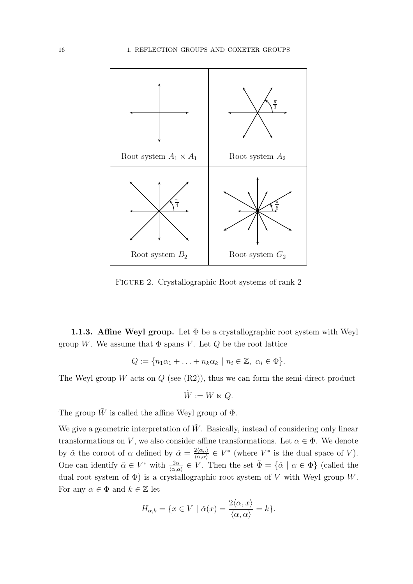

Figure 2. Crystallographic Root systems of rank 2

**1.1.3. Affine Weyl group.** Let  $\Phi$  be a crystallographic root system with Weyl group W. We assume that  $\Phi$  spans V. Let Q be the root lattice

$$
Q := \{ n_1 \alpha_1 + \ldots + n_k \alpha_k \mid n_i \in \mathbb{Z}, \ \alpha_i \in \Phi \}.
$$

The Weyl group W acts on  $Q$  (see  $(R2)$ ), thus we can form the semi-direct product

$$
\tilde{W}:=W\ltimes Q.
$$

The group  $\tilde{W}$  is called the affine Weyl group of  $\Phi$ .

We give a geometric interpretation of  $\tilde{W}$ . Basically, instead of considering only linear transformations on V, we also consider affine transformations. Let  $\alpha \in \Phi$ . We denote by  $\check{\alpha}$  the coroot of  $\alpha$  defined by  $\check{\alpha} = \frac{2\langle \alpha, . \rangle}{\langle \alpha, \alpha \rangle}$  $\frac{2\langle\alpha,\cdot\rangle}{\langle\alpha,\alpha\rangle} \in V^*$  (where  $V^*$  is the dual space of V). One can identify  $\check{\alpha} \in V^*$  with  $\frac{2\alpha}{\langle \alpha, \alpha \rangle} \in V$ . Then the set  $\check{\Phi} = {\{\check{\alpha} \mid \alpha \in \Phi\}}$  (called the dual root system of  $\Phi$ ) is a crystallographic root system of V with Weyl group W. For any  $\alpha \in \Phi$  and  $k \in \mathbb{Z}$  let

$$
H_{\alpha,k} = \{ x \in V \mid \check{\alpha}(x) = \frac{2\langle \alpha, x \rangle}{\langle \alpha, \alpha \rangle} = k \}.
$$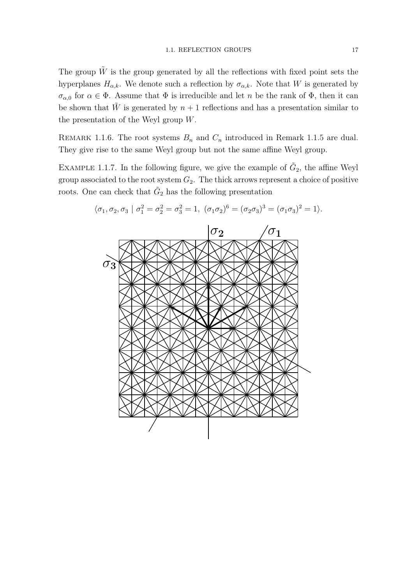The group  $\tilde{W}$  is the group generated by all the reflections with fixed point sets the hyperplanes  $H_{\alpha,k}$ . We denote such a reflection by  $\sigma_{\alpha,k}$ . Note that W is generated by  $\sigma_{\alpha,0}$  for  $\alpha \in \Phi$ . Assume that  $\Phi$  is irreducible and let n be the rank of  $\Phi$ , then it can be shown that  $\tilde{W}$  is generated by  $n + 1$  reflections and has a presentation similar to the presentation of the Weyl group W.

REMARK 1.1.6. The root systems  $B_n$  and  $C_n$  introduced in Remark 1.1.5 are dual. They give rise to the same Weyl group but not the same affine Weyl group.

EXAMPLE 1.1.7. In the following figure, we give the example of  $\tilde{G}_2$ , the affine Weyl group associated to the root system  $G_2$ . The thick arrows represent a choice of positive roots. One can check that  $\tilde{G}_2$  has the following presentation



 $\langle \sigma_1, \sigma_2, \sigma_3 | \sigma_1^2 = \sigma_2^2 = \sigma_3^2 = 1, \; (\sigma_1 \sigma_2)^6 = (\sigma_2 \sigma_3)^3 = (\sigma_1 \sigma_3)^2 = 1 \rangle.$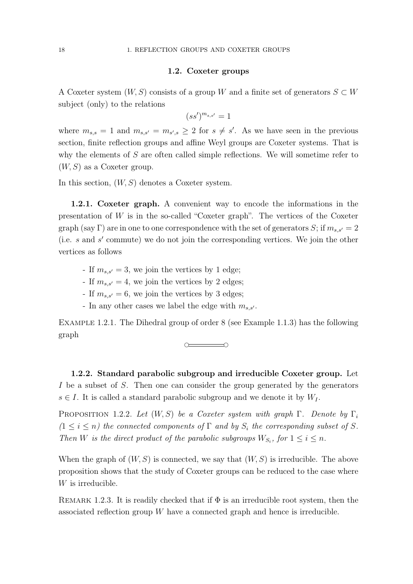#### 1.2. Coxeter groups

A Coxeter system  $(W, S)$  consists of a group W and a finite set of generators  $S \subset W$ subject (only) to the relations

$$
(ss')^{m_{s,s'}}=1
$$

where  $m_{s,s} = 1$  and  $m_{s,s'} = m_{s',s} \geq 2$  for  $s \neq s'$ . As we have seen in the previous section, finite reflection groups and affine Weyl groups are Coxeter systems. That is why the elements of S are often called simple reflections. We will sometime refer to  $(W, S)$  as a Coxeter group.

In this section,  $(W, S)$  denotes a Coxeter system.

1.2.1. Coxeter graph. A convenient way to encode the informations in the presentation of  $W$  is in the so-called "Coxeter graph". The vertices of the Coxeter graph (say Γ) are in one to one correspondence with the set of generators S; if  $m_{s,s'} = 2$ (i.e. s and s ′ commute) we do not join the corresponding vertices. We join the other vertices as follows

- If  $m_{s,s'} = 3$ , we join the vertices by 1 edge;
- If  $m_{s,s'} = 4$ , we join the vertices by 2 edges;
- If  $m_{s,s'} = 6$ , we join the vertices by 3 edges;
- In any other cases we label the edge with  $m_{s,s'}$ .

Example 1.2.1. The Dihedral group of order 8 (see Example 1.1.3) has the following graph

 $\sim$   $\sim$   $\sim$   $\sim$ 

1.2.2. Standard parabolic subgroup and irreducible Coxeter group. Let I be a subset of S. Then one can consider the group generated by the generators  $s \in I$ . It is called a standard parabolic subgroup and we denote it by  $W_I$ .

PROPOSITION 1.2.2. Let  $(W, S)$  be a Coxeter system with graph  $\Gamma$ . Denote by  $\Gamma_i$  $(1 \leq i \leq n)$  the connected components of  $\Gamma$  and by  $S_i$  the corresponding subset of S. Then W is the direct product of the parabolic subgroups  $W_{S_i}$ , for  $1 \leq i \leq n$ .

When the graph of  $(W, S)$  is connected, we say that  $(W, S)$  is irreducible. The above proposition shows that the study of Coxeter groups can be reduced to the case where W is irreducible.

REMARK 1.2.3. It is readily checked that if  $\Phi$  is an irreducible root system, then the associated reflection group W have a connected graph and hence is irreducible.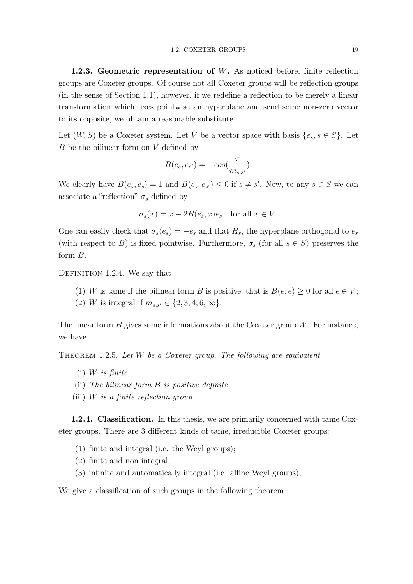1.2.3. Geometric representation of W. As noticed before, finite reflection groups are Coxeter groups. Of course not all Coxeter groups will be reflection groups (in the sense of Section 1.1), however, if we redefine a reflection to be merely a linear transformation which fixes pointwise an hyperplane and send some non-zero vector to its opposite, we obtain a reasonable substitute...

Let  $(W, S)$  be a Coxeter system. Let V be a vector space with basis  $\{e_s, s \in S\}$ . Let  $B$  be the bilinear form on  $V$  defined by

$$
B(e_s, e_{s'}) = -\cos(\frac{\pi}{m_{s,s'}}).
$$

We clearly have  $B(e_s, e_s) = 1$  and  $B(e_s, e_{s'}) \leq 0$  if  $s \neq s'$ . Now, to any  $s \in S$  we can associate a "reflection"  $\sigma_s$  defined by

$$
\sigma_s(x) = x - 2B(e_s, x)e_s \quad \text{for all } x \in V.
$$

One can easily check that  $\sigma_s(e_s) = -e_s$  and that  $H_s$ , the hyperplane orthogonal to  $e_s$ (with respect to B) is fixed pointwise. Furthermore,  $\sigma_s$  (for all  $s \in S$ ) preserves the form B.

DEFINITION 1.2.4. We say that

- (1) W is tame if the bilinear form B is positive, that is  $B(e, e) \geq 0$  for all  $e \in V$ ;
- (2) W is integral if  $m_{s,s'} \in \{2, 3, 4, 6, \infty\}.$

The linear form  $B$  gives some informations about the Coxeter group  $W$ . For instance, we have

THEOREM 1.2.5. Let  $W$  be a Coxeter group. The following are equivalent

- $(i)$  W is finite.
- (ii) The bilinear form  $B$  is positive definite.
- (iii) W is a finite reflection group.

1.2.4. Classification. In this thesis, we are primarily concerned with tame Coxeter groups. There are 3 different kinds of tame, irreducible Coxeter groups:

- (1) finite and integral (i.e. the Weyl groups);
- (2) finite and non integral;
- (3) infinite and automatically integral (i.e. affine Weyl groups);

We give a classification of such groups in the following theorem.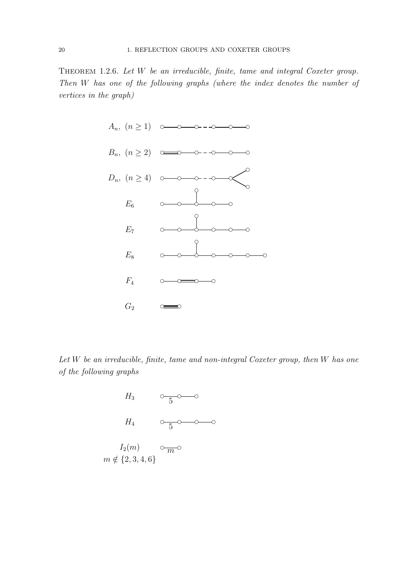THEOREM 1.2.6. Let W be an irreducible, finite, tame and integral Coxeter group. Then W has one of the following graphs (where the index denotes the number of vertices in the graph)



Let W be an irreducible, finite, tame and non-integral Coxeter group, then W has one of the following graphs

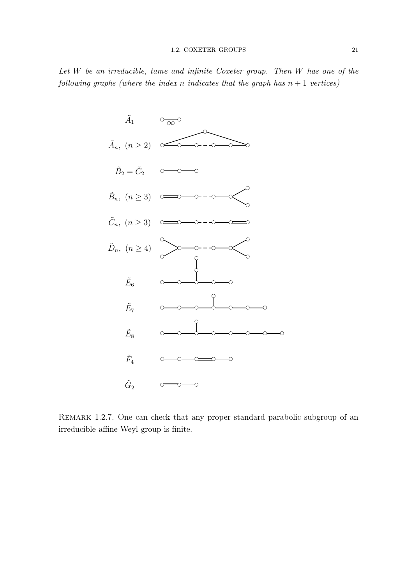#### 1.2. COXETER GROUPS 21

Let W be an irreducible, tame and infinite Coxeter group. Then W has one of the following graphs (where the index n indicates that the graph has  $n + 1$  vertices)



Remark 1.2.7. One can check that any proper standard parabolic subgroup of an irreducible affine Weyl group is finite.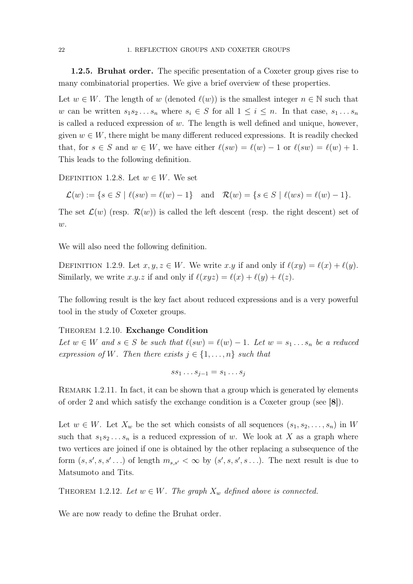1.2.5. Bruhat order. The specific presentation of a Coxeter group gives rise to many combinatorial properties. We give a brief overview of these properties.

Let  $w \in W$ . The length of w (denoted  $\ell(w)$ ) is the smallest integer  $n \in \mathbb{N}$  such that w can be written  $s_1s_2...s_n$  where  $s_i \in S$  for all  $1 \leq i \leq n$ . In that case,  $s_1...s_n$ is called a reduced expression of  $w$ . The length is well defined and unique, however, given  $w \in W$ , there might be many different reduced expressions. It is readily checked that, for  $s \in S$  and  $w \in W$ , we have either  $\ell(sw) = \ell(w) - 1$  or  $\ell(sw) = \ell(w) + 1$ . This leads to the following definition.

DEFINITION 1.2.8. Let  $w \in W$ . We set

$$
\mathcal{L}(w) := \{ s \in S \mid \ell(sw) = \ell(w) - 1 \} \text{ and } \mathcal{R}(w) = \{ s \in S \mid \ell(ws) = \ell(w) - 1 \}.
$$

The set  $\mathcal{L}(w)$  (resp.  $\mathcal{R}(w)$ ) is called the left descent (resp. the right descent) set of  $w$ .

We will also need the following definition.

DEFINITION 1.2.9. Let  $x, y, z \in W$ . We write  $x \cdot y$  if and only if  $\ell(xy) = \ell(x) + \ell(y)$ . Similarly, we write x.y.z if and only if  $\ell(xyz) = \ell(x) + \ell(y) + \ell(z)$ .

The following result is the key fact about reduced expressions and is a very powerful tool in the study of Coxeter groups.

#### Theorem 1.2.10. Exchange Condition

Let  $w \in W$  and  $s \in S$  be such that  $\ell(sw) = \ell(w) - 1$ . Let  $w = s_1 \ldots s_n$  be a reduced expression of W. Then there exists  $j \in \{1, \ldots, n\}$  such that

$$
ss_1 \ldots s_{j-1} = s_1 \ldots s_j
$$

REMARK 1.2.11. In fact, it can be shown that a group which is generated by elements of order 2 and which satisfy the exchange condition is a Coxeter group (see [8]).

Let  $w \in W$ . Let  $X_w$  be the set which consists of all sequences  $(s_1, s_2, \ldots, s_n)$  in W such that  $s_1s_2...s_n$  is a reduced expression of w. We look at X as a graph where two vertices are joined if one is obtained by the other replacing a subsequence of the form  $(s, s', s, s' \dots)$  of length  $m_{s,s'} < \infty$  by  $(s', s, s', s \dots)$ . The next result is due to Matsumoto and Tits.

THEOREM 1.2.12. Let  $w \in W$ . The graph  $X_w$  defined above is connected.

We are now ready to define the Bruhat order.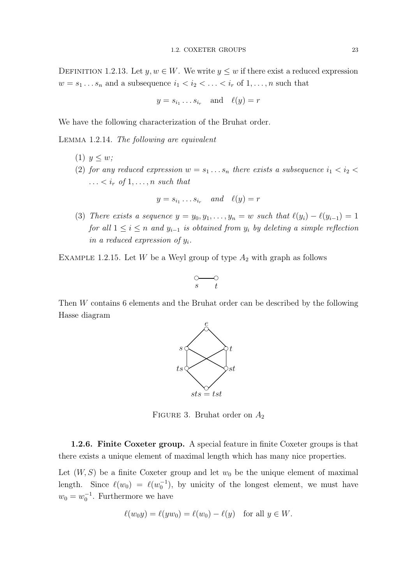DEFINITION 1.2.13. Let  $y, w \in W$ . We write  $y \leq w$  if there exist a reduced expression  $w = s_1 \dots s_n$  and a subsequence  $i_1 < i_2 < \dots < i_r$  of  $1, \dots, n$  such that

$$
y = s_{i_1} \dots s_{i_r}
$$
 and  $\ell(y) = r$ 

We have the following characterization of the Bruhat order.

Lemma 1.2.14. The following are equivalent

- (1)  $y \leq w$ ;
- (2) for any reduced expression  $w = s_1 \dots s_n$  there exists a subsequence  $i_1 < i_2 <$  $\ldots < i_r$  of  $1, \ldots, n$  such that

$$
y = s_{i_1} \dots s_{i_r} \quad and \quad \ell(y) = r
$$

(3) There exists a sequence  $y = y_0, y_1, \ldots, y_n = w$  such that  $\ell(y_i) - \ell(y_{i-1}) = 1$ for all  $1 \leq i \leq n$  and  $y_{i-1}$  is obtained from  $y_i$  by deleting a simple reflection in a reduced expression of  $y_i$ .

EXAMPLE 1.2.15. Let W be a Weyl group of type  $A_2$  with graph as follows

$$
\overbrace{s \qquad t}^{\bigcirc \hspace{-0.75ex} \longrightarrow} \hspace{0.25ex} \hspace{0.15ex} \ \, t
$$

Then W contains 6 elements and the Bruhat order can be described by the following Hasse diagram



FIGURE 3. Bruhat order on  $A_2$ 

1.2.6. Finite Coxeter group. A special feature in finite Coxeter groups is that there exists a unique element of maximal length which has many nice properties.

Let  $(W, S)$  be a finite Coxeter group and let  $w_0$  be the unique element of maximal length. Since  $\ell(w_0) = \ell(w_0^{-1})$ , by unicity of the longest element, we must have  $w_0 = w_0^{-1}$ . Furthermore we have

$$
\ell(w_0y) = \ell(yw_0) = \ell(w_0) - \ell(y) \quad \text{for all } y \in W.
$$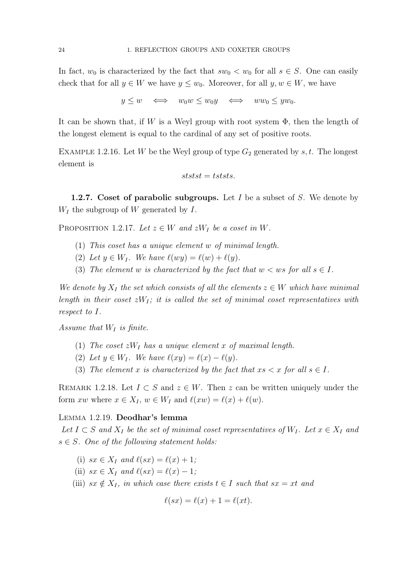In fact,  $w_0$  is characterized by the fact that  $sw_0 < w_0$  for all  $s \in S$ . One can easily check that for all  $y \in W$  we have  $y \leq w_0$ . Moreover, for all  $y, w \in W$ , we have

$$
y \le w \iff w_0 w \le w_0 y \iff w w_0 \le y w_0.
$$

It can be shown that, if W is a Weyl group with root system  $\Phi$ , then the length of the longest element is equal to the cardinal of any set of positive roots.

EXAMPLE 1.2.16. Let W be the Weyl group of type  $G_2$  generated by s, t. The longest element is

$$
ststst = tststs.
$$

**1.2.7.** Coset of parabolic subgroups. Let I be a subset of S. We denote by  $W_I$  the subgroup of W generated by I.

PROPOSITION 1.2.17. Let  $z \in W$  and  $zW_I$  be a coset in W.

- (1) This coset has a unique element w of minimal length.
- (2) Let  $y \in W_I$ . We have  $\ell(wy) = \ell(w) + \ell(y)$ .
- (3) The element w is characterized by the fact that  $w < ws$  for all  $s \in I$ .

We denote by  $X_I$  the set which consists of all the elements  $z \in W$  which have minimal length in their coset  $zW_I$ ; it is called the set of minimal coset representatives with respect to I.

Assume that  $W_I$  is finite.

- (1) The coset  $zW_I$  has a unique element x of maximal length.
- (2) Let  $y \in W_I$ . We have  $\ell(xy) = \ell(x) \ell(y)$ .
- (3) The element x is characterized by the fact that  $xs < x$  for all  $s \in I$ .

REMARK 1.2.18. Let  $I \subset S$  and  $z \in W$ . Then z can be written uniquely under the form xw where  $x \in X_I$ ,  $w \in W_I$  and  $\ell(xw) = \ell(x) + \ell(w)$ .

#### Lemma 1.2.19. Deodhar's lemma

Let  $I \subset S$  and  $X_I$  be the set of minimal coset representatives of  $W_I$ . Let  $x \in X_I$  and  $s \in S$ . One of the following statement holds:

- (i)  $sx \in X_I$  and  $\ell(sx) = \ell(x) + 1;$
- (ii)  $sx \in X_I$  and  $\ell(sx) = \ell(x) 1;$
- (iii)  $sx \notin X_I$ , in which case there exists  $t \in I$  such that  $sx = xt$  and

$$
\ell(sx) = \ell(x) + 1 = \ell(xt).
$$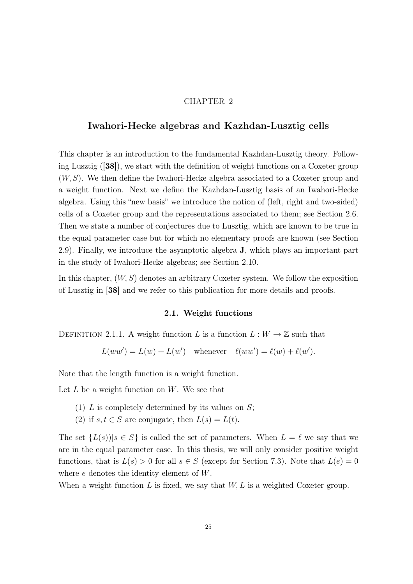#### CHAPTER 2

### Iwahori-Hecke algebras and Kazhdan-Lusztig cells

This chapter is an introduction to the fundamental Kazhdan-Lusztig theory. Following Lusztig ([38]), we start with the definition of weight functions on a Coxeter group (W, S). We then define the Iwahori-Hecke algebra associated to a Coxeter group and a weight function. Next we define the Kazhdan-Lusztig basis of an Iwahori-Hecke algebra. Using this "new basis" we introduce the notion of (left, right and two-sided) cells of a Coxeter group and the representations associated to them; see Section 2.6. Then we state a number of conjectures due to Lusztig, which are known to be true in the equal parameter case but for which no elementary proofs are known (see Section 2.9). Finally, we introduce the asymptotic algebra J, which plays an important part in the study of Iwahori-Hecke algebras; see Section 2.10.

In this chapter,  $(W, S)$  denotes an arbitrary Coxeter system. We follow the exposition of Lusztig in [38] and we refer to this publication for more details and proofs.

#### 2.1. Weight functions

DEFINITION 2.1.1. A weight function L is a function  $L: W \to \mathbb{Z}$  such that

 $L(ww') = L(w) + L(w')$  whenever  $\ell(ww') = \ell(w) + \ell(w')$ .

Note that the length function is a weight function.

Let  $L$  be a weight function on  $W$ . We see that

- (1)  $L$  is completely determined by its values on  $S$ ;
- (2) if  $s, t \in S$  are conjugate, then  $L(s) = L(t)$ .

The set  $\{L(s)\,|\,s\in S\}$  is called the set of parameters. When  $L = \ell$  we say that we are in the equal parameter case. In this thesis, we will only consider positive weight functions, that is  $L(s) > 0$  for all  $s \in S$  (except for Section 7.3). Note that  $L(e) = 0$ where e denotes the identity element of W.

When a weight function L is fixed, we say that  $W, L$  is a weighted Coxeter group.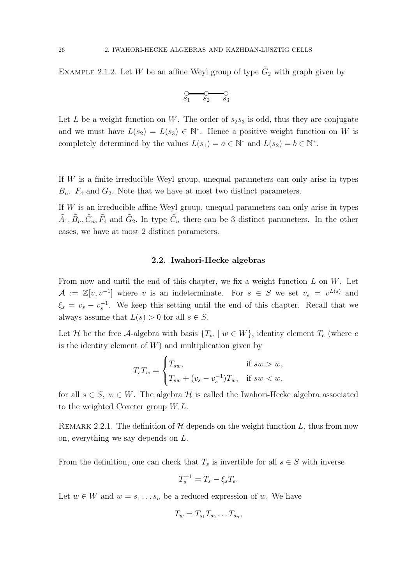EXAMPLE 2.1.2. Let W be an affine Weyl group of type  $\tilde{G}_2$  with graph given by

$$
\overbrace{\rule{8.5cm}{0pt} s_1 \quad s_2 \quad s_3}^{\bigcirc \hspace{2.5cm} \bigcirc}
$$

Let L be a weight function on W. The order of  $s_2s_3$  is odd, thus they are conjugate and we must have  $L(s_2) = L(s_3) \in \mathbb{N}^*$ . Hence a positive weight function on W is completely determined by the values  $L(s_1) = a \in \mathbb{N}^*$  and  $L(s_2) = b \in \mathbb{N}^*$ .

If W is a finite irreducible Weyl group, unequal parameters can only arise in types  $B_n$ ,  $F_4$  and  $G_2$ . Note that we have at most two distinct parameters.

If  $W$  is an irreducible affine Weyl group, unequal parameters can only arise in types  $\tilde{A}_1, \tilde{B}_n, \tilde{C}_n, \tilde{F}_4$  and  $\tilde{G}_2$ . In type  $\tilde{C}_n$  there can be 3 distinct parameters. In the other cases, we have at most 2 distinct parameters.

#### 2.2. Iwahori-Hecke algebras

From now and until the end of this chapter, we fix a weight function  $L$  on  $W$ . Let  $\mathcal{A} := \mathbb{Z}[v, v^{-1}]$  where v is an indeterminate. For  $s \in S$  we set  $v_s = v^{L(s)}$  and  $\xi_s = v_s - v_s^{-1}$ . We keep this setting until the end of this chapter. Recall that we always assume that  $L(s) > 0$  for all  $s \in S$ .

Let H be the free A-algebra with basis  $\{T_w \mid w \in W\}$ , identity element  $T_e$  (where e is the identity element of  $W$ ) and multiplication given by

$$
T_s T_w = \begin{cases} T_{sw}, & \text{if } sw > w, \\ T_{sw} + (v_s - v_s^{-1}) T_w, & \text{if } sw < w, \end{cases}
$$

for all  $s \in S$ ,  $w \in W$ . The algebra  $\mathcal H$  is called the Iwahori-Hecke algebra associated to the weighted Coxeter group  $W, L$ .

REMARK 2.2.1. The definition of  $H$  depends on the weight function L, thus from now on, everything we say depends on L.

From the definition, one can check that  $T_s$  is invertible for all  $s \in S$  with inverse

$$
T_s^{-1} = T_s - \xi_s T_e.
$$

Let  $w \in W$  and  $w = s_1 \dots s_n$  be a reduced expression of w. We have

$$
T_w = T_{s_1} T_{s_2} \dots T_{s_n},
$$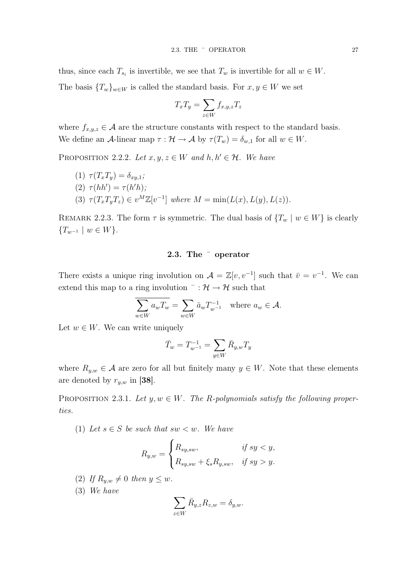thus, since each  $T_{s_i}$  is invertible, we see that  $T_w$  is invertible for all  $w \in W$ .

The basis  ${T_w}_{w\in W}$  is called the standard basis. For  $x, y \in W$  we set

$$
T_x T_y = \sum_{z \in W} f_{x,y,z} T_z
$$

where  $f_{x,y,z} \in \mathcal{A}$  are the structure constants with respect to the standard basis. We define an A-linear map  $\tau : \mathcal{H} \to \mathcal{A}$  by  $\tau(T_w) = \delta_{w,1}$  for all  $w \in W$ .

PROPOSITION 2.2.2. Let  $x, y, z \in W$  and  $h, h' \in H$ . We have

\n- (1) 
$$
\tau(T_x T_y) = \delta_{xy,1};
$$
\n- (2)  $\tau(hh') = \tau(h'h);$
\n- (3)  $\tau(T_x T_y T_z) \in v^M \mathbb{Z}[v^{-1}]$  where  $M = \min(L(x), L(y), L(z)).$
\n

REMARK 2.2.3. The form  $\tau$  is symmetric. The dual basis of  $\{T_w \mid w \in W\}$  is clearly  ${T_{w^{-1}} \mid w \in W}.$ 

### 2.3. The ¯ operator

There exists a unique ring involution on  $\mathcal{A} = \mathbb{Z}[v, v^{-1}]$  such that  $\bar{v} = v^{-1}$ . We can extend this map to a ring involution  $\overline{\phantom{a}}$ :  $\mathcal{H} \rightarrow \mathcal{H}$  such that

$$
\overline{\sum_{w \in W} a_w T_w} = \sum_{w \in W} \bar{a}_w T_{w^{-1}}^{-1} \quad \text{where } a_w \in \mathcal{A}.
$$

Let  $w \in W$ . We can write uniquely

$$
\bar{T}_w = T_{w^{-1}}^{-1} = \sum_{y \in W} \bar{R}_{y,w} T_y
$$

where  $R_{y,w} \in \mathcal{A}$  are zero for all but finitely many  $y \in W$ . Note that these elements are denoted by  $r_{y,w}$  in [38].

PROPOSITION 2.3.1. Let  $y, w \in W$ . The R-polynomials satisfy the following properties.

(1) Let  $s \in S$  be such that  $sw < w$ . We have

$$
R_{y,w} = \begin{cases} R_{sy,sw}, & \text{if } sy < y, \\ R_{sy,sw} + \xi_s R_{y,sw}, & \text{if } sy > y. \end{cases}
$$

- (2) If  $R_{y,w} \neq 0$  then  $y \leq w$ .
- (3) We have

$$
\sum_{z \in W} \bar{R}_{y,z} R_{z,w} = \delta_{y,w}.
$$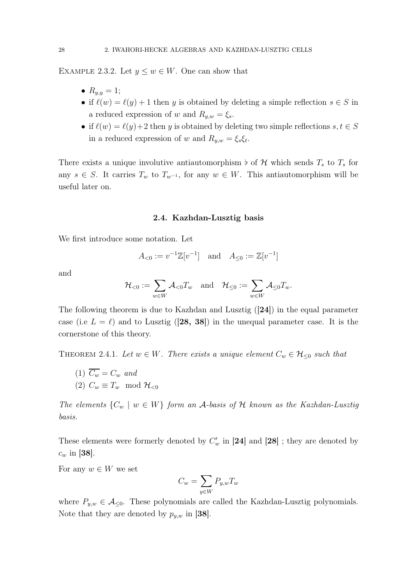EXAMPLE 2.3.2. Let  $y \leq w \in W$ . One can show that

- $R_{y,y} = 1;$
- if  $\ell(w) = \ell(y) + 1$  then y is obtained by deleting a simple reflection  $s \in S$  in a reduced expression of w and  $R_{y,w} = \xi_s$ .
- if  $\ell(w) = \ell(y)+2$  then y is obtained by deleting two simple reflections  $s, t \in S$ in a reduced expression of w and  $R_{y,w} = \xi_s \xi_t$ .

There exists a unique involutive antiautomorphism  $\flat$  of H which sends  $T_s$  to  $T_s$  for any  $s \in S$ . It carries  $T_w$  to  $T_{w^{-1}}$ , for any  $w \in W$ . This antiautomorphism will be useful later on.

#### 2.4. Kazhdan-Lusztig basis

We first introduce some notation. Let

$$
A_{<0}:=v^{-1}\mathbb{Z}[v^{-1}]\quad \text{and}\quad A_{\leq 0}:=\mathbb{Z}[v^{-1}]
$$

and

$$
\mathcal{H}_{<0}:=\sum_{w\in W}\mathcal{A}_{<0}T_w\quad\text{and}\quad\mathcal{H}_{\leq 0}:=\sum_{w\in W}\mathcal{A}_{\leq 0}T_w.
$$

The following theorem is due to Kazhdan and Lusztig ([24]) in the equal parameter case (i.e  $L = \ell$ ) and to Lusztig ([28, 38]) in the unequal parameter case. It is the cornerstone of this theory.

THEOREM 2.4.1. Let  $w \in W$ . There exists a unique element  $C_w \in \mathcal{H}_{\leq 0}$  such that

(1) 
$$
\overline{C_w} = C_w
$$
 and  
(2)  $C_w \equiv T_w \mod \mathcal{H}_{<0}$ 

The elements  $\{C_w \mid w \in W\}$  form an A-basis of H known as the Kazhdan-Lusztig basis.

These elements were formerly denoted by  $C'_w$  in [24] and [28] ; they are denoted by  $c_w$  in [38].

For any  $w \in W$  we set

$$
C_w = \sum_{y \in W} P_{y,w} T_w
$$

where  $P_{y,w} \in \mathcal{A}_{\leq 0}$ . These polynomials are called the Kazhdan-Lusztig polynomials. Note that they are denoted by  $p_{y,w}$  in [38].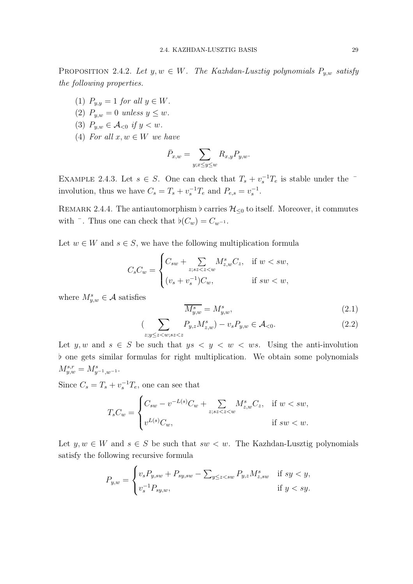PROPOSITION 2.4.2. Let  $y, w \in W$ . The Kazhdan-Lusztig polynomials  $P_{y,w}$  satisfy the following properties.

- (1)  $P_{y,y} = 1$  for all  $y \in W$ .
- (2)  $P_{y,w} = 0$  unless  $y \leq w$ .
- (3)  $P_{y,w} \in \mathcal{A}_{<0}$  if  $y < w$ .
- (4) For all  $x, w \in W$  we have

$$
\bar{P}_{x,w} = \sum_{y:x \le y \le w} R_{x,y} P_{y,w}.
$$

EXAMPLE 2.4.3. Let  $s \in S$ . One can check that  $T_s + v_s^{-1}T_e$  is stable under the involution, thus we have  $C_s = T_s + v_s^{-1} T_e$  and  $P_{e,s} = v_s^{-1}$ .

REMARK 2.4.4. The antiautomorphism  $\flat$  carries  $\mathcal{H}_{\leq 0}$  to itself. Moreover, it commutes with  $\overline{\phantom{a}}$ . Thus one can check that  $\flat(C_w) = C_{w^{-1}}$ .

Let  $w \in W$  and  $s \in S$ , we have the following multiplication formula

$$
C_s C_w = \begin{cases} C_{sw} + \sum_{z,sz < z < w} M_{z,w}^s C_z, & \text{if } w < sw, \\ (v_s + v_s^{-1}) C_w, & \text{if } sw < w, \end{cases}
$$

where  $M_{y,w}^s \in \mathcal{A}$  satisfies

$$
\overline{M_{y,w}^s} = M_{y,w}^s,\tag{2.1}
$$

$$
\left(\sum_{z;y\le z\langle w;sz\langle z\rangle} P_{y,z} M_{z,w}^s\right) - v_s P_{y,w} \in \mathcal{A}_{< 0}.\tag{2.2}
$$

Let y, w and  $s \in S$  be such that  $ys \leq y \leq w \leq ws$ . Using the anti-involution ♭ one gets similar formulas for right multiplication. We obtain some polynomials  $M_{y,w}^{s,r} = M_{y^{-1},w^{-1}}^s$ .

Since  $C_s = T_s + v_s^{-1}T_e$ , one can see that

$$
T_s C_w = \begin{cases} C_{sw} - v^{-L(s)} C_w + \sum_{z; s z < z < w \\ v^{L(s)} C_w, & \text{if } s w < w. \end{cases}
$$

Let  $y, w \in W$  and  $s \in S$  be such that  $sw < w$ . The Kazhdan-Lusztig polynomials satisfy the following recursive formula

$$
P_{y,w} = \begin{cases} v_s P_{y,sw} + P_{sy,sw} - \sum_{y \le z < sw} P_{y,z} M_{z,sw}^s & \text{if } sy < y, \\ v_s^{-1} P_{sy,w}, & \text{if } y < sy. \end{cases}
$$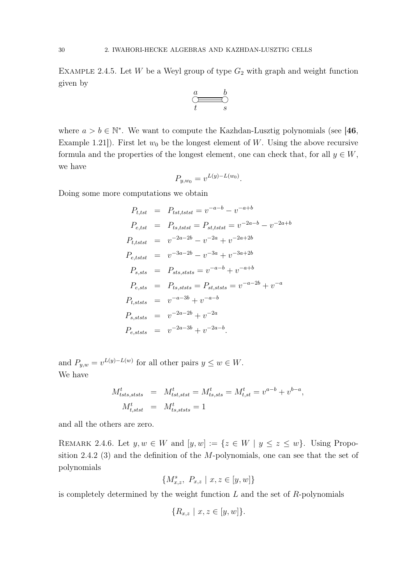EXAMPLE 2.4.5. Let W be a Weyl group of type  $G_2$  with graph and weight function given by

$$
\overset{a}{\underset{t}{\bigcirc\!\!=\!\!=\!\!=}}\overset{b}{\underset{s}{\bigcirc\!\!=}}
$$

where  $a > b \in \mathbb{N}^*$ . We want to compute the Kazhdan-Lusztig polynomials (see [46, Example 1.21]). First let  $w_0$  be the longest element of W. Using the above recursive formula and the properties of the longest element, one can check that, for all  $y \in W$ , we have

$$
P_{y,w_0} = v^{L(y)-L(w_0)}.
$$

Doing some more computations we obtain

$$
P_{t,tst} = P_{tst,tstst} = v^{-a-b} - v^{-a+b}
$$
  
\n
$$
P_{e,tst} = P_{ts,tstst} = P_{st,tstst} = v^{-2a-b} - v^{-2a+b}
$$
  
\n
$$
P_{t,tstst} = v^{-2a-2b} - v^{-2a} + v^{-2a+2b}
$$
  
\n
$$
P_{e,tstst} = v^{-3a-2b} - v^{-3a} + v^{-3a+2b}
$$
  
\n
$$
P_{s,sts} = P_{sts,ststs} = v^{-a-b} + v^{-a+b}
$$
  
\n
$$
P_{e,sts} = P_{ts,ststs} = P_{st,ststs} = v^{-a-2b} + v^{-a}
$$
  
\n
$$
P_{t,ststs} = v^{-2a-2b} + v^{-2a}
$$
  
\n
$$
P_{e,ststs} = v^{-2a-3b} + v^{-2a-b}
$$

and  $P_{y,w} = v^{L(y)-L(w)}$  for all other pairs  $y \leq w \in W$ . We have

$$
M_{tsts,ststs}^t = M_{tst,stst}^t = M_{tsts,sts}^t = M_{t,st}^t = v^{a-b} + v^{b-a},
$$
  

$$
M_{t,stst}^t = M_{tss,ststs}^t = 1
$$

and all the others are zero.

REMARK 2.4.6. Let  $y, w \in W$  and  $[y, w] := \{z \in W \mid y \le z \le w\}$ . Using Proposition 2.4.2 (3) and the definition of the M-polynomials, one can see that the set of polynomials

$$
\{M^s_{x,z},\ P_{x,z}\ \vert\ x,z\in [y,w]\}
$$

is completely determined by the weight function  $L$  and the set of  $R$ -polynomials

$$
\{R_{x,z} \mid x, z \in [y, w]\}.
$$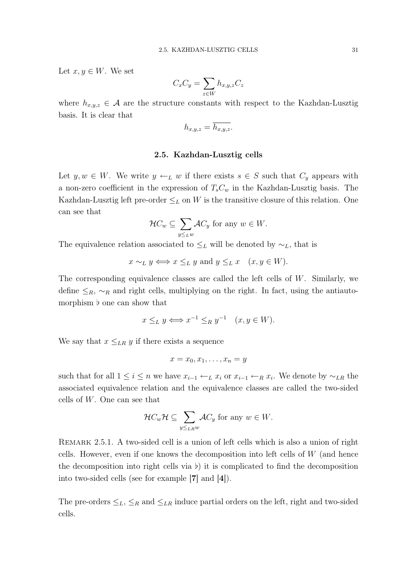Let  $x, y \in W$ . We set

$$
C_x C_y = \sum_{z \in W} h_{x,y,z} C_z
$$

where  $h_{x,y,z} \in \mathcal{A}$  are the structure constants with respect to the Kazhdan-Lusztig basis. It is clear that

$$
h_{x,y,z} = \overline{h_{x,y,z}}.
$$

#### 2.5. Kazhdan-Lusztig cells

Let  $y, w \in W$ . We write  $y \leftarrow_L w$  if there exists  $s \in S$  such that  $C_y$  appears with a non-zero coefficient in the expression of  $T_sC_w$  in the Kazhdan-Lusztig basis. The Kazhdan-Lusztig left pre-order  $\leq_L$  on W is the transitive closure of this relation. One can see that

$$
\mathcal{H}C_w \subseteq \sum_{y \leq_L w} \mathcal{A}C_y \text{ for any } w \in W.
$$

The equivalence relation associated to  $\leq_L$  will be denoted by  $\sim_L$ , that is

$$
x \sim_L y \iff x \leq_L y
$$
 and  $y \leq_L x$   $(x, y \in W)$ .

The corresponding equivalence classes are called the left cells of  $W$ . Similarly, we define  $\leq_R$ ,  $\sim_R$  and right cells, multiplying on the right. In fact, using the antiautomorphism **♭** one can show that

$$
x \leq_L y \Longleftrightarrow x^{-1} \leq_R y^{-1} \quad (x, y \in W).
$$

We say that  $x \leq_{LR} y$  if there exists a sequence

$$
x = x_0, x_1, \ldots, x_n = y
$$

such that for all  $1 \leq i \leq n$  we have  $x_{i-1} \leftarrow_L x_i$  or  $x_{i-1} \leftarrow_R x_i$ . We denote by  $\sim_{LR}$  the associated equivalence relation and the equivalence classes are called the two-sided cells of W. One can see that

$$
\mathcal{H}C_w\mathcal{H}\subseteq \sum_{y\leq_{LR}w}\mathcal{A}C_y \text{ for any } w\in W.
$$

Remark 2.5.1. A two-sided cell is a union of left cells which is also a union of right cells. However, even if one knows the decomposition into left cells of  $W$  (and hence the decomposition into right cells via  $\nu$ ) it is complicated to find the decomposition into two-sided cells (see for example [7] and [4]).

The pre-orders  $\leq_L$ ,  $\leq_R$  and  $\leq_{LR}$  induce partial orders on the left, right and two-sided cells.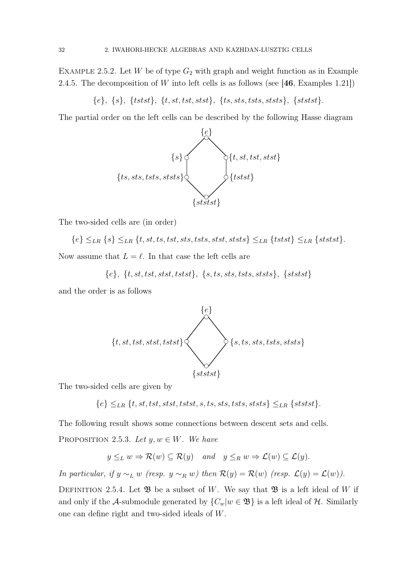EXAMPLE 2.5.2. Let W be of type  $G_2$  with graph and weight function as in Example 2.4.5. The decomposition of  $W$  into left cells is as follows (see [46, Examples 1.21])

 ${e}, {s}, {tstst}, {t, st, tst, stst}, {t, st, stst}, {t, st, s, tst}, {s, tst}, {s, tstst}.$ 

The partial order on the left cells can be described by the following Hasse diagram



The two-sided cells are (in order)

$$
\{e\} \leq_{LR} \{s\} \leq_{LR} \{t, st, ts, tst, sts, stst, stst, stst\} \leq_{LR} \{tstst\} \leq_{LR} \{ststst\}.
$$

Now assume that  $L = \ell$ . In that case the left cells are

$$
\{e\},\ \{t, st, tst, stst, tstst\},\ \{s, ts, sts, tsts, ststs\},\ \{ststst\}
$$

and the order is as follows



The two-sided cells are given by

 ${e} \leq_{LR} {t, st, tst, stst, tstst, s, ts, sts, tsts, ststs} \leq_{LR} {ststst}.$ 

The following result shows some connections between descent sets and cells. PROPOSITION 2.5.3. Let  $y, w \in W$ . We have

$$
y \leq_L w \Rightarrow \mathcal{R}(w) \subseteq \mathcal{R}(y)
$$
 and  $y \leq_R w \Rightarrow \mathcal{L}(w) \subseteq \mathcal{L}(y)$ .

In particular, if  $y \sim_L w$  (resp.  $y \sim_R w$ ) then  $\mathcal{R}(y) = \mathcal{R}(w)$  (resp.  $\mathcal{L}(y) = \mathcal{L}(w)$ ).

DEFINITION 2.5.4. Let  $\mathfrak{B}$  be a subset of W. We say that  $\mathfrak{B}$  is a left ideal of W if and only if the A-submodule generated by  $\{C_w | w \in \mathfrak{B}\}\$  is a left ideal of  $\mathcal{H}$ . Similarly one can define right and two-sided ideals of W.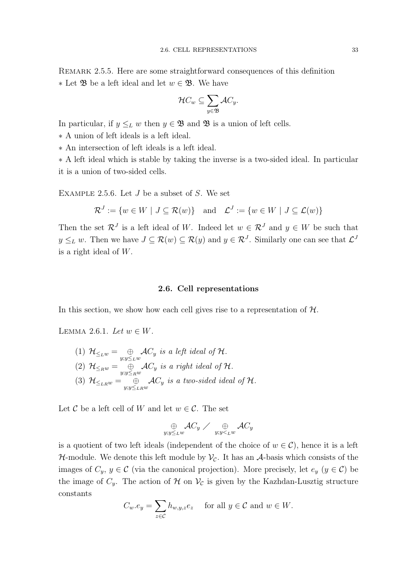$$
\mathcal{H}C_w \subseteq \sum_{y \in \mathfrak{B}} \mathcal{A}C_y.
$$

In particular, if  $y \leq_L w$  then  $y \in \mathfrak{B}$  and  $\mathfrak{B}$  is a union of left cells.

∗ A union of left ideals is a left ideal.

∗ An intersection of left ideals is a left ideal.

∗ A left ideal which is stable by taking the inverse is a two-sided ideal. In particular it is a union of two-sided cells.

EXAMPLE 2.5.6. Let  $J$  be a subset of  $S$ . We set

$$
\mathcal{R}^J := \{ w \in W \mid J \subseteq \mathcal{R}(w) \} \quad \text{and} \quad \mathcal{L}^J := \{ w \in W \mid J \subseteq \mathcal{L}(w) \}
$$

Then the set  $\mathcal{R}^J$  is a left ideal of W. Indeed let  $w \in \mathcal{R}^J$  and  $y \in W$  be such that  $y \leq_L w$ . Then we have  $J \subseteq \mathcal{R}(w) \subseteq \mathcal{R}(y)$  and  $y \in \mathcal{R}^J$ . Similarly one can see that  $\mathcal{L}^J$ is a right ideal of W.

#### 2.6. Cell representations

In this section, we show how each cell gives rise to a representation of  $H$ .

LEMMA 2.6.1. Let  $w \in W$ .

(1) 
$$
\mathcal{H}_{\le_L w} = \bigoplus_{y:y\le_L w} \mathcal{A}C_y
$$
 is a left ideal of  $\mathcal{H}$ .  
\n(2)  $\mathcal{H}_{\le_R w} = \bigoplus_{y:y\le_R w} \mathcal{A}C_y$  is a right ideal of  $\mathcal{H}$ .  
\n(3)  $\mathcal{H}_{\le_L w} = \bigoplus_{y:y\le_L w} \mathcal{A}C_y$  is a two-sided ideal of  $\mathcal{H}$ .

Let C be a left cell of W and let  $w \in \mathcal{C}$ . The set

$$
\mathop{\oplus}\limits_{y;y\leq_L w}\mathcal{A}C_y\nearrow\mathop{\oplus}\limits_{y;y<_L w}\mathcal{A}C_y
$$

is a quotient of two left ideals (independent of the choice of  $w \in \mathcal{C}$ ), hence it is a left  $H$ -module. We denote this left module by  $V_c$ . It has an A-basis which consists of the images of  $C_y, y \in \mathcal{C}$  (via the canonical projection). More precisely, let  $e_y$   $(y \in \mathcal{C})$  be the image of  $C_y$ . The action of H on  $\mathcal{V}_c$  is given by the Kazhdan-Lusztig structure constants

$$
C_w.e_y = \sum_{z \in \mathcal{C}} h_{w,y,z} e_z \quad \text{ for all } y \in \mathcal{C} \text{ and } w \in W.
$$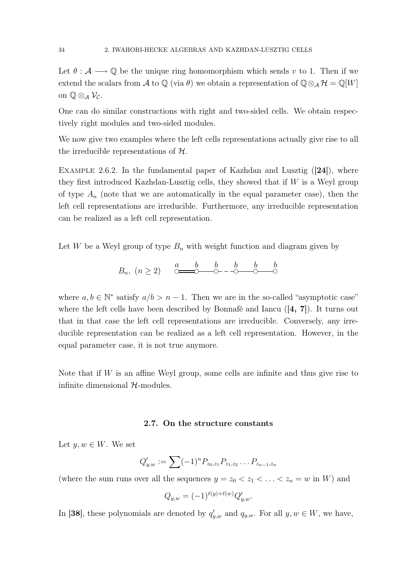Let  $\theta : \mathcal{A} \longrightarrow \mathbb{Q}$  be the unique ring homomorphism which sends v to 1. Then if we extend the scalars from A to Q (via  $\theta$ ) we obtain a representation of Q⊗<sub>A</sub> H = Q[W] on  $\mathbb{Q} \otimes_{\mathcal{A}} \mathcal{V}_{\mathcal{C}}$ .

One can do similar constructions with right and two-sided cells. We obtain respectively right modules and two-sided modules.

We now give two examples where the left cells representations actually give rise to all the irreducible representations of  $H$ .

EXAMPLE 2.6.2. In the fundamental paper of Kazhdan and Lusztig  $([24])$ , where they first introduced Kazhdan-Lusztig cells, they showed that if  $W$  is a Weyl group of type  $A_n$  (note that we are automatically in the equal parameter case), then the left cell representations are irreducible. Furthermore, any irreducible representation can be realized as a left cell representation.

Let W be a Weyl group of type  $B_n$  with weight function and diagram given by

$$
B_n, (n \ge 2) \quad \xrightarrow{a} \quad\n \xrightarrow{b} \quad\n \downarrow b \quad \downarrow b \quad \downarrow b
$$

where  $a, b \in \mathbb{N}^*$  satisfy  $a/b > n - 1$ . Then we are in the so-called "asymptotic case" where the left cells have been described by Bonnafé and Iancu  $(4, 7)$ . It turns out that in that case the left cell representations are irreducible. Conversely, any irreducible representation can be realized as a left cell representation. However, in the equal parameter case, it is not true anymore.

Note that if  $W$  is an affine Weyl group, some cells are infinite and thus give rise to infinite dimensional  $H$ -modules.

#### 2.7. On the structure constants

Let  $y, w \in W$ . We set

$$
Q'_{y,w} := \sum (-1)^n P_{z_0,z_1} P_{z_1,z_2} \dots P_{z_{n-1},z_n}
$$

(where the sum runs over all the sequences  $y = z_0 < z_1 < \ldots < z_n = w$  in W) and

$$
Q_{y,w} = (-1)^{\ell(y)+\ell(w)} Q'_{y,w}.
$$

In [38], these polynomials are denoted by  $q'_{y,w}$  and  $q_{y,w}$ . For all  $y, w \in W$ , we have,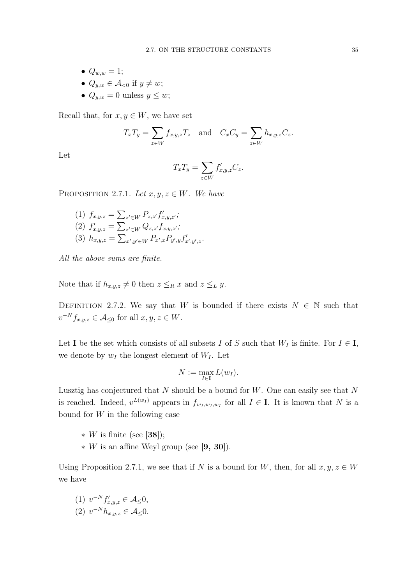- $Q_{w,w} = 1;$
- $Q_{u,w} \in \mathcal{A}_{\leq 0}$  if  $y \neq w$ ;
- $Q_{u,w} = 0$  unless  $y \leq w$ ;

Recall that, for  $x, y \in W$ , we have set

$$
T_x T_y = \sum_{z \in W} f_{x,y,z} T_z \quad \text{and} \quad C_x C_y = \sum_{z \in W} h_{x,y,z} C_z.
$$

Let

$$
T_x T_y = \sum_{z \in W} f'_{x,y,z} C_z.
$$

PROPOSITION 2.7.1. Let  $x, y, z \in W$ . We have

(1)  $f_{x,y,z} = \sum_{z' \in W} P_{z,z'} f'_{x,y,z'}$ ; (2)  $f'_{x,y,z} = \sum_{z' \in W} Q_{z,z'} f_{x,y,z'};$ (3)  $h_{x,y,z} = \sum_{x',y' \in W} P_{x',x} P_{y',y} f'_{x',y',z}.$ 

All the above sums are finite.

Note that if  $h_{x,y,z} \neq 0$  then  $z \leq_R x$  and  $z \leq_L y$ .

DEFINITION 2.7.2. We say that W is bounded if there exists  $N \in \mathbb{N}$  such that  $v^{-N} f_{x,y,z} \in \mathcal{A}_{\leq 0}$  for all  $x, y, z \in W$ .

Let **I** be the set which consists of all subsets I of S such that  $W_I$  is finite. For  $I \in I$ , we denote by  $w_I$  the longest element of  $W_I$ . Let

$$
N:=\max_{I\in\mathbf{I}}L(w_I).
$$

Lusztig has conjectured that  $N$  should be a bound for  $W$ . One can easily see that  $N$ is reached. Indeed,  $v^{L(w_I)}$  appears in  $f_{w_I,w_I,w_I}$  for all  $I \in I$ . It is known that N is a bound for  $W$  in the following case

 $*$  W is finite (see [38]);

 $*$  W is an affine Weyl group (see [9, 30]).

Using Proposition 2.7.1, we see that if N is a bound for W, then, for all  $x, y, z \in W$ we have

(1)  $v^{-N} f'_{x,y,z} \in \mathcal{A}_{\leq} 0$ , (2)  $v^{-N}h_{x,y,z} \in \mathcal{A}_{\leq}0.$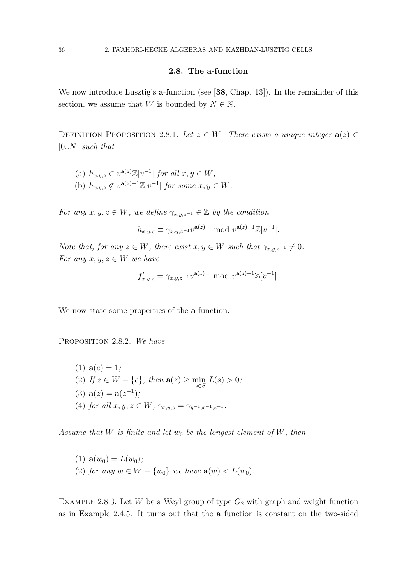### 2.8. The a-function

We now introduce Lusztig's **a**-function (see [38, Chap. 13]). In the remainder of this section, we assume that W is bounded by  $N \in \mathbb{N}$ .

DEFINITION-PROPOSITION 2.8.1. Let  $z \in W$ . There exists a unique integer  $a(z) \in$  $[0..N]$  such that

(a)  $h_{x,y,z} \in v^{\mathbf{a}(z)} \mathbb{Z}[v^{-1}]$  for all  $x, y \in W$ , (b)  $h_{x,y,z} \notin v^{\mathbf{a}(z)-1}\mathbb{Z}[v^{-1}]$  for some  $x, y \in W$ .

For any  $x, y, z \in W$ , we define  $\gamma_{x,y,z^{-1}} \in \mathbb{Z}$  by the condition

$$
h_{x,y,z} \equiv \gamma_{x,y,z^{-1}} v^{\mathbf{a}(z)} \mod v^{\mathbf{a}(z)-1} \mathbb{Z}[v^{-1}].
$$

Note that, for any  $z \in W$ , there exist  $x, y \in W$  such that  $\gamma_{x,y,z^{-1}} \neq 0$ . For any  $x, y, z \in W$  we have

$$
f'_{x,y,z} = \gamma_{x,y,z^{-1}} v^{\mathbf{a}(z)} \mod v^{\mathbf{a}(z)-1} \mathbb{Z}[v^{-1}].
$$

We now state some properties of the **a**-function.

PROPOSITION 2.8.2. We have

(1)  $a(e) = 1;$ (2) If  $z \in W - \{e\}$ , then  $a(z) \ge \min_{s \in S} L(s) > 0$ ; (3)  $a(z) = a(z^{-1})$ ; (4) for all  $x, y, z \in W$ ,  $\gamma_{x,y,z} = \gamma_{y^{-1},x^{-1},z^{-1}}$ .

Assume that W is finite and let  $w_0$  be the longest element of W, then

(1)  $\mathbf{a}(w_0) = L(w_0);$ (2) for any  $w \in W - \{w_0\}$  we have  $\mathbf{a}(w) < L(w_0)$ .

EXAMPLE 2.8.3. Let  $W$  be a Weyl group of type  $G_2$  with graph and weight function as in Example 2.4.5. It turns out that the a function is constant on the two-sided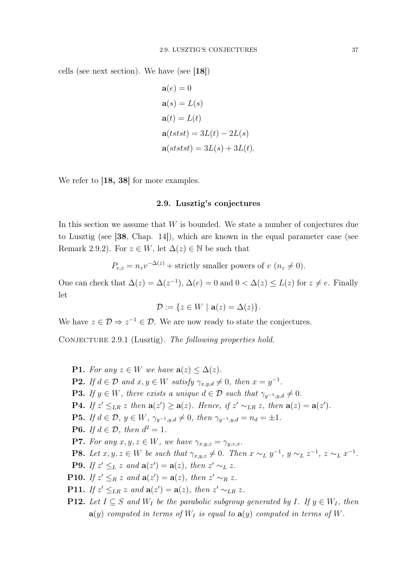cells (see next section). We have (see [18])

$$
\mathbf{a}(e) = 0
$$
  
\n
$$
\mathbf{a}(s) = L(s)
$$
  
\n
$$
\mathbf{a}(t) = L(t)
$$
  
\n
$$
\mathbf{a}(tstst) = 3L(t) - 2L(s)
$$
  
\n
$$
\mathbf{a}(ststst) = 3L(s) + 3L(t).
$$

We refer to [18, 38] for more examples.

## 2.9. Lusztig's conjectures

In this section we assume that  $W$  is bounded. We state a number of conjectures due to Lusztig (see [38, Chap. 14]), which are known in the equal parameter case (see Remark 2.9.2). For  $z \in W$ , let  $\Delta(z) \in \mathbb{N}$  be such that

$$
P_{e,z} = n_z v^{-\Delta(z)} + \text{strictly smaller powers of } v \ (n_z \neq 0).
$$

One can check that  $\Delta(z) = \Delta(z^{-1}), \Delta(e) = 0$  and  $0 < \Delta(z) \leq L(z)$  for  $z \neq e$ . Finally let

$$
\mathcal{D} := \{ z \in W \mid \mathbf{a}(z) = \Delta(z) \}.
$$

We have  $z \in \mathcal{D} \Rightarrow z^{-1} \in \mathcal{D}$ . We are now ready to state the conjectures.

CONJECTURE 2.9.1 (Lusztig). The following properties hold.

**P1.** For any  $z \in W$  we have  $a(z) \leq \Delta(z)$ . **P2.** If  $d \in \mathcal{D}$  and  $x, y \in W$  satisfy  $\gamma_{x,y,d} \neq 0$ , then  $x = y^{-1}$ . **P3.** If  $y \in W$ , there exists a unique  $d \in \mathcal{D}$  such that  $\gamma_{y^{-1},y,d} \neq 0$ . **P4.** If  $z' \leq_{LR} z$  then  $\mathbf{a}(z') \geq \mathbf{a}(z)$ . Hence, if  $z' \sim_{LR} z$ , then  $\mathbf{a}(z) = \mathbf{a}(z')$ . **P5.** If  $d \in \mathcal{D}$ ,  $y \in W$ ,  $\gamma_{y^{-1},y,d} \neq 0$ , then  $\gamma_{y^{-1},y,d} = n_d = \pm 1$ . **P6.** If  $d \in \mathcal{D}$ , then  $d^2 = 1$ . **P7.** For any  $x, y, z \in W$ , we have  $\gamma_{x,y,z} = \gamma_{y,z,x}$ . **P8.** Let  $x, y, z \in W$  be such that  $\gamma_{x,y,z} \neq 0$ . Then  $x \sim_L y^{-1}$ ,  $y \sim_L z^{-1}$ ,  $z \sim_L x^{-1}$ . **P9.** If  $z' \leq_L z$  and  $\mathbf{a}(z') = \mathbf{a}(z)$ , then  $z' \sim_L z$ . **P10.** If  $z' \leq_R z$  and  $\mathbf{a}(z') = \mathbf{a}(z)$ , then  $z' \sim_R z$ . **P11.** If  $z' \leq_{LR} z$  and  $\mathbf{a}(z') = \mathbf{a}(z)$ , then  $z' \sim_{LR} z$ . **P12.** Let  $I \subseteq S$  and  $W_I$  be the parabolic subgroup generated by I. If  $y \in W_I$ , then

 $\mathbf{a}(y)$  computed in terms of  $W_I$  is equal to  $\mathbf{a}(y)$  computed in terms of W.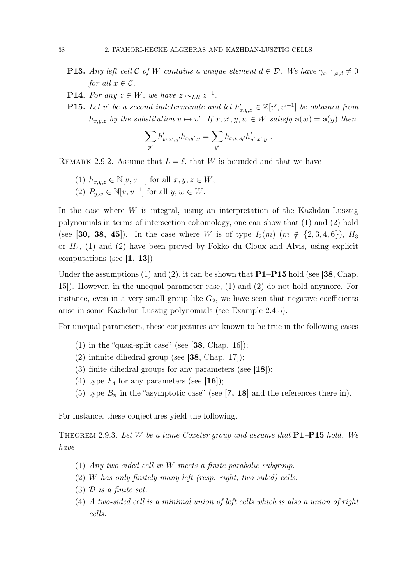- **P13.** Any left cell C of W contains a unique element  $d \in \mathcal{D}$ . We have  $\gamma_{x^{-1},x,d} \neq 0$ for all  $x \in \mathcal{C}$ .
- **P14.** For any  $z \in W$ , we have  $z \sim_{LR} z^{-1}$ .
- **P15.** Let v' be a second indeterminate and let  $h'_{x,y,z} \in \mathbb{Z}[v', v'^{-1}]$  be obtained from  $h_{x,y,z}$  by the substitution  $v \mapsto v'$ . If  $x, x', y, w \in W$  satisfy  $\mathbf{a}(w) = \mathbf{a}(y)$  then

$$
\sum_{y'} h'_{w,x',y'} h_{x,y',y} = \sum_{y'} h_{x,w,y'} h'_{y',x',y} .
$$

REMARK 2.9.2. Assume that  $L = \ell$ , that W is bounded and that we have

- (1)  $h_{x,y,z}$  ∈ N[v, v<sup>-1</sup>] for all  $x, y, z \in W$ ;
- (2)  $P_{y,w} \in \mathbb{N}[v, v^{-1}]$  for all  $y, w \in W$ .

In the case where  $W$  is integral, using an interpretation of the Kazhdan-Lusztig polynomials in terms of intersection cohomology, one can show that (1) and (2) hold (see [30, 38, 45]). In the case where W is of type  $I_2(m)$   $(m \notin \{2, 3, 4, 6\})$ ,  $H_3$ or  $H_4$ , (1) and (2) have been proved by Fokko du Cloux and Alvis, using explicit computations (see  $|1, 13|$ ).

Under the assumptions  $(1)$  and  $(2)$ , it can be shown that  $P1-P15$  hold (see [38, Chap. 15]). However, in the unequal parameter case, (1) and (2) do not hold anymore. For instance, even in a very small group like  $G_2$ , we have seen that negative coefficients arise in some Kazhdan-Lusztig polynomials (see Example 2.4.5).

For unequal parameters, these conjectures are known to be true in the following cases

- (1) in the "quasi-split case" (see  $[38, Chap. 16]$ );
- (2) infinite dihedral group (see  $[38,$  Chap. 17]);
- (3) finite dihedral groups for any parameters (see [18]);
- (4) type  $F_4$  for any parameters (see [16]);
- (5) type  $B_n$  in the "asymptotic case" (see [7, 18] and the references there in).

For instance, these conjectures yield the following.

THEOREM 2.9.3. Let W be a tame Coxeter group and assume that  $P1-P15$  hold. We have

- (1) Any two-sided cell in W meets a finite parabolic subgroup.
- (2) W has only finitely many left (resp. right, two-sided) cells.
- (3)  $\mathcal{D}$  is a finite set.
- (4) A two-sided cell is a minimal union of left cells which is also a union of right cells.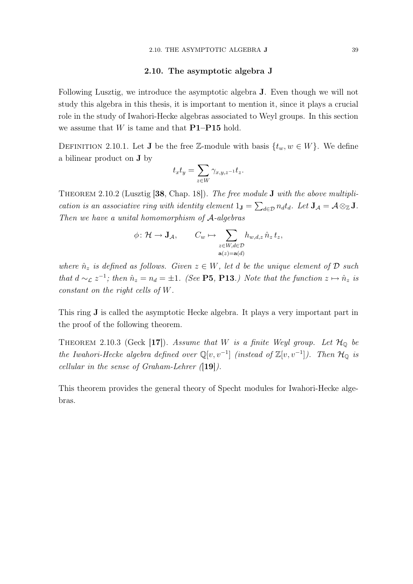#### 2.10. The asymptotic algebra J

Following Lusztig, we introduce the asymptotic algebra J. Even though we will not study this algebra in this thesis, it is important to mention it, since it plays a crucial role in the study of Iwahori-Hecke algebras associated to Weyl groups. In this section we assume that  $W$  is tame and that  $P1-P15$  hold.

DEFINITION 2.10.1. Let **J** be the free Z-module with basis  $\{t_w, w \in W\}$ . We define a bilinear product on J by

$$
t_x t_y = \sum_{z \in W} \gamma_{x,y,z^{-1}} t_z.
$$

THEOREM 2.10.2 (Lusztig  $[38, Chap. 18]$ ). The free module **J** with the above multiplication is an associative ring with identity element  $1_{\mathbf{J}} = \sum_{d \in \mathcal{D}} n_d t_d$ . Let  $\mathbf{J}_{\mathcal{A}} = \mathcal{A} \otimes_{\mathbb{Z}} \mathbf{J}$ . Then we have a unital homomorphism of A-algebras

$$
\phi \colon \mathcal{H} \to \mathbf{J}_{\mathcal{A}}, \qquad C_w \mapsto \sum_{\substack{z \in W, d \in \mathcal{D} \\ \mathbf{a}(z) = \mathbf{a}(d)}} h_{w,d,z} \, \hat{n}_z \, t_z,
$$

where  $\hat{n}_z$  is defined as follows. Given  $z \in W$ , let d be the unique element of  $\mathcal D$  such that  $d \sim_{\mathcal{L}} z^{-1}$ ; then  $\hat{n}_z = n_d = \pm 1$ . (See **P5**, **P13**.) Note that the function  $z \mapsto \hat{n}_z$  is constant on the right cells of W.

This ring J is called the asymptotic Hecke algebra. It plays a very important part in the proof of the following theorem.

THEOREM 2.10.3 (Geck [17]). Assume that W is a finite Weyl group. Let  $\mathcal{H}_{\mathbb{Q}}$  be the Iwahori-Hecke algebra defined over  $\mathbb{Q}[v, v^{-1}]$  (instead of  $\mathbb{Z}[v, v^{-1}]$ ). Then  $\mathcal{H}_{\mathbb{Q}}$  is cellular in the sense of Graham-Lehrer  $(19)$ .

This theorem provides the general theory of Specht modules for Iwahori-Hecke algebras.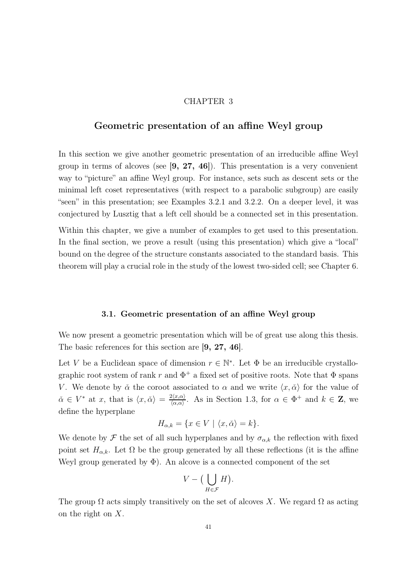## CHAPTER 3

# Geometric presentation of an affine Weyl group

In this section we give another geometric presentation of an irreducible affine Weyl group in terms of alcoves (see  $[9, 27, 46]$ ). This presentation is a very convenient way to "picture" an affine Weyl group. For instance, sets such as descent sets or the minimal left coset representatives (with respect to a parabolic subgroup) are easily "seen" in this presentation; see Examples 3.2.1 and 3.2.2. On a deeper level, it was conjectured by Lusztig that a left cell should be a connected set in this presentation.

Within this chapter, we give a number of examples to get used to this presentation. In the final section, we prove a result (using this presentation) which give a "local" bound on the degree of the structure constants associated to the standard basis. This theorem will play a crucial role in the study of the lowest two-sided cell; see Chapter 6.

### 3.1. Geometric presentation of an affine Weyl group

We now present a geometric presentation which will be of great use along this thesis. The basic references for this section are [9, 27, 46].

Let V be a Euclidean space of dimension  $r \in \mathbb{N}^*$ . Let  $\Phi$  be an irreducible crystallographic root system of rank r and  $\Phi^+$  a fixed set of positive roots. Note that  $\Phi$  spans V. We denote by  $\check{\alpha}$  the coroot associated to  $\alpha$  and we write  $\langle x, \check{\alpha} \rangle$  for the value of  $\check{\alpha} \in V^*$  at x, that is  $\langle x, \check{\alpha} \rangle = \frac{2 \langle x, \alpha \rangle}{\langle \alpha, \alpha \rangle}$  $\frac{2\langle x,\alpha\rangle}{\langle \alpha,\alpha\rangle}$ . As in Section 1.3, for  $\alpha \in \Phi^+$  and  $k \in \mathbb{Z}$ , we define the hyperplane

$$
H_{\alpha,k} = \{ x \in V \mid \langle x, \check{\alpha} \rangle = k \}.
$$

We denote by  $\mathcal F$  the set of all such hyperplanes and by  $\sigma_{\alpha,k}$  the reflection with fixed point set  $H_{\alpha,k}$ . Let  $\Omega$  be the group generated by all these reflections (it is the affine Weyl group generated by  $\Phi$ ). An alcove is a connected component of the set

$$
V - \big(\bigcup_{H \in \mathcal{F}} H\big).
$$

The group  $\Omega$  acts simply transitively on the set of alcoves X. We regard  $\Omega$  as acting on the right on X.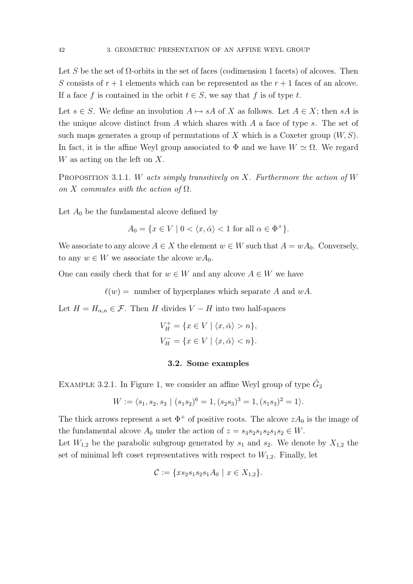Let S be the set of  $\Omega$ -orbits in the set of faces (codimension 1 facets) of alcoves. Then S consists of  $r + 1$  elements which can be represented as the  $r + 1$  faces of an alcove. If a face f is contained in the orbit  $t \in S$ , we say that f is of type t.

Let  $s \in S$ . We define an involution  $A \mapsto sA$  of X as follows. Let  $A \in X$ ; then sA is the unique alcove distinct from  $A$  which shares with  $A$  a face of type  $s$ . The set of such maps generates a group of permutations of X which is a Coxeter group  $(W, S)$ . In fact, it is the affine Weyl group associated to  $\Phi$  and we have  $W \simeq \Omega$ . We regard W as acting on the left on X.

PROPOSITION 3.1.1. W acts simply transitively on X. Furthermore the action of W on X commutes with the action of  $\Omega$ .

Let  $A_0$  be the fundamental alcove defined by

 $A_0 = \{x \in V \mid 0 < \langle x, \check{\alpha} \rangle < 1 \text{ for all } \alpha \in \Phi^+\}.$ 

We associate to any alcove  $A \in X$  the element  $w \in W$  such that  $A = wA_0$ . Conversely, to any  $w \in W$  we associate the alcove  $wA_0$ .

One can easily check that for  $w \in W$  and any alcove  $A \in W$  we have

 $\ell(w) =$  number of hyperplanes which separate A and wA.

Let  $H = H_{\alpha,n} \in \mathcal{F}$ . Then H divides  $V - H$  into two half-spaces

$$
V_H^+ = \{ x \in V \mid \langle x, \check{\alpha} \rangle > n \},
$$
  

$$
V_H^- = \{ x \in V \mid \langle x, \check{\alpha} \rangle < n \}.
$$

#### 3.2. Some examples

EXAMPLE 3.2.1. In Figure 1, we consider an affine Weyl group of type  $\tilde{G}_2$ 

$$
W := \langle s_1, s_2, s_3 \mid (s_1 s_2)^6 = 1, (s_2 s_3)^3 = 1, (s_1 s_3)^2 = 1 \rangle.
$$

The thick arrows represent a set  $\Phi^+$  of positive roots. The alcove  $zA_0$  is the image of the fundamental alcove  $A_0$  under the action of  $z = s_3s_2s_1s_2s_1s_2 \in W$ .

Let  $W_{1,2}$  be the parabolic subgroup generated by  $s_1$  and  $s_2$ . We denote by  $X_{1,2}$  the set of minimal left coset representatives with respect to  $W_{1,2}$ . Finally, let

$$
\mathcal{C} := \{ x s_2 s_1 s_2 s_1 A_0 \mid x \in X_{1,2} \}.
$$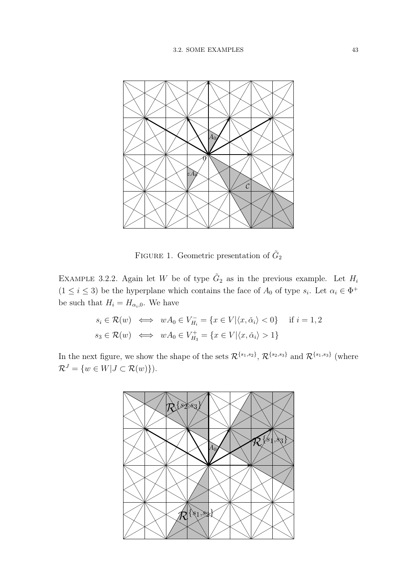

FIGURE 1. Geometric presentation of  $\tilde{G}_2$ 

EXAMPLE 3.2.2. Again let W be of type  $\tilde{G}_2$  as in the previous example. Let  $H_i$  $(1 \leq i \leq 3)$  be the hyperplane which contains the face of  $A_0$  of type  $s_i$ . Let  $\alpha_i \in \Phi^+$ be such that  $H_i = H_{\alpha_i,0}$ . We have

$$
s_i \in \mathcal{R}(w) \iff wA_0 \in V_{H_i}^- = \{x \in V | \langle x, \check{\alpha}_i \rangle < 0\} \quad \text{if } i = 1, 2
$$
\n
$$
s_3 \in \mathcal{R}(w) \iff wA_0 \in V_{H_3}^+ = \{x \in V | \langle x, \check{\alpha}_i \rangle > 1\}
$$

In the next figure, we show the shape of the sets  $\mathcal{R}^{\{s_1,s_2\}}$ ,  $\mathcal{R}^{\{s_2,s_3\}}$  and  $\mathcal{R}^{\{s_1,s_3\}}$  (where  $\mathcal{R}^J = \{ w \in W | J \subset \mathcal{R}(w) \}).$ 

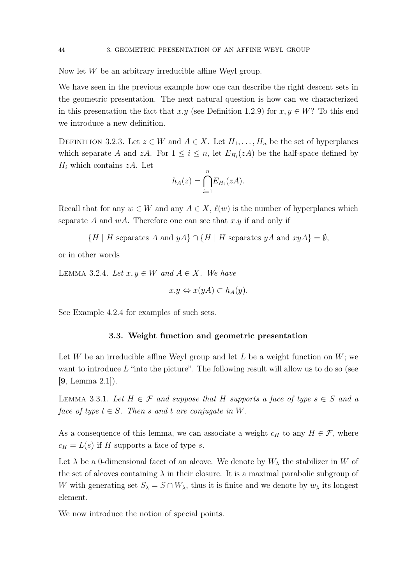Now let W be an arbitrary irreducible affine Weyl group.

We have seen in the previous example how one can describe the right descent sets in the geometric presentation. The next natural question is how can we characterized in this presentation the fact that x.y (see Definition 1.2.9) for  $x, y \in W$ ? To this end we introduce a new definition.

DEFINITION 3.2.3. Let  $z \in W$  and  $A \in X$ . Let  $H_1, \ldots, H_n$  be the set of hyperplanes which separate A and zA. For  $1 \leq i \leq n$ , let  $E_{H_i}(zA)$  be the half-space defined by  $H_i$  which contains  $zA$ . Let

$$
h_A(z) = \bigcap_{i=1}^n E_{H_i}(zA).
$$

Recall that for any  $w \in W$  and any  $A \in X$ ,  $\ell(w)$  is the number of hyperplanes which separate A and  $wA$ . Therefore one can see that x, y if and only if

 $\{H \mid H$  separates A and  $yA\} \cap \{H \mid H$  separates  $yA$  and  $xyA\} = \emptyset$ ,

or in other words

LEMMA 3.2.4. Let  $x, y \in W$  and  $A \in X$ . We have

$$
x.y \Leftrightarrow x(yA) \subset h_A(y).
$$

See Example 4.2.4 for examples of such sets.

### 3.3. Weight function and geometric presentation

Let W be an irreducible affine Weyl group and let L be a weight function on  $W$ ; we want to introduce  $L$  "into the picture". The following result will allow us to do so (see [9, Lemma 2.1]).

LEMMA 3.3.1. Let  $H \in \mathcal{F}$  and suppose that H supports a face of type  $s \in S$  and a face of type  $t \in S$ . Then s and t are conjugate in W.

As a consequence of this lemma, we can associate a weight  $c_H$  to any  $H \in \mathcal{F}$ , where  $c_H = L(s)$  if H supports a face of type s.

Let  $\lambda$  be a 0-dimensional facet of an alcove. We denote by  $W_{\lambda}$  the stabilizer in W of the set of alcoves containing  $\lambda$  in their closure. It is a maximal parabolic subgroup of W with generating set  $S_\lambda = S \cap W_\lambda$ , thus it is finite and we denote by  $w_\lambda$  its longest element.

We now introduce the notion of special points.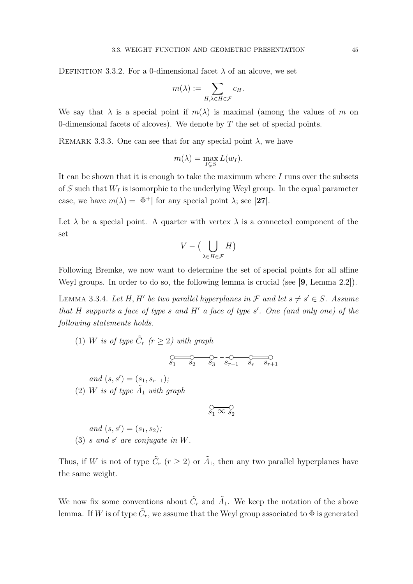DEFINITION 3.3.2. For a 0-dimensional facet  $\lambda$  of an alcove, we set

$$
m(\lambda) := \sum_{H,\lambda \in H \in \mathcal{F}} c_H.
$$

We say that  $\lambda$  is a special point if  $m(\lambda)$  is maximal (among the values of m on 0-dimensional facets of alcoves). We denote by  $T$  the set of special points.

REMARK 3.3.3. One can see that for any special point  $\lambda$ , we have

$$
m(\lambda) = \max_{I \subsetneq S} L(w_I).
$$

It can be shown that it is enough to take the maximum where I runs over the subsets of S such that  $W_I$  is isomorphic to the underlying Weyl group. In the equal parameter case, we have  $m(\lambda) = |\Phi^+|$  for any special point  $\lambda$ ; see [27].

Let  $\lambda$  be a special point. A quarter with vertex  $\lambda$  is a connected component of the set

$$
V - \big(\bigcup_{\lambda \in H \in \mathcal{F}} H\big)
$$

Following Bremke, we now want to determine the set of special points for all affine Weyl groups. In order to do so, the following lemma is crucial (see [9, Lemma 2.2]).

LEMMA 3.3.4. Let H, H' be two parallel hyperplanes in  $\mathcal F$  and let  $s \neq s' \in S$ . Assume that H supports a face of type s and H' a face of type  $s'$ . One (and only one) of the following statements holds.

(1) W is of type  $\tilde{C}_r$  ( $r \geq 2$ ) with graph

$$
\underbrace{C}{s_1 \qquad s_2 \qquad s_3 \qquad s_{r-1} \qquad s_r \qquad s_{r+1}}
$$

and  $(s, s') = (s_1, s_{r+1});$ (2) W is of type  $A_1$  with graph

$$
\mathop{\circ}\limits_{s_{1}}\mathop{\infty}\limits_{s_{2}}\mathop{\circ}\limits_{}
$$

and 
$$
(s, s') = (s_1, s_2);
$$
  
(3) s and s' are conjugate in W.

Thus, if W is not of type  $\tilde{C}_r$  ( $r \geq 2$ ) or  $\tilde{A}_1$ , then any two parallel hyperplanes have the same weight.

We now fix some conventions about  $\tilde{C}_r$  and  $\tilde{A}_1$ . We keep the notation of the above lemma. If W is of type  $\tilde{C}_r$ , we assume that the Weyl group associated to  $\Phi$  is generated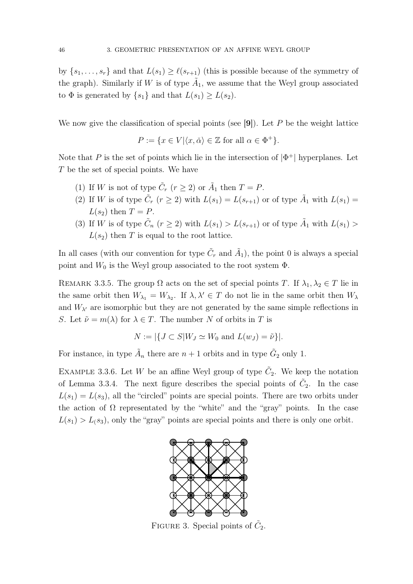by  $\{s_1, \ldots, s_r\}$  and that  $L(s_1) \geq \ell(s_{r+1})$  (this is possible because of the symmetry of the graph). Similarly if W is of type  $\tilde{A}_1$ , we assume that the Weyl group associated to  $\Phi$  is generated by  $\{s_1\}$  and that  $L(s_1) \geq L(s_2)$ .

We now give the classification of special points (see  $[9]$ ). Let P be the weight lattice

 $P := \{x \in V | \langle x, \check{\alpha} \rangle \in \mathbb{Z} \text{ for all } \alpha \in \Phi^+ \}.$ 

Note that P is the set of points which lie in the intersection of  $|\Phi^+|$  hyperplanes. Let T be the set of special points. We have

- (1) If W is not of type  $\tilde{C}_r$   $(r \ge 2)$  or  $\tilde{A}_1$  then  $T = P$ .
- (2) If W is of type  $\tilde{C}_r$   $(r \geq 2)$  with  $L(s_1) = L(s_{r+1})$  or of type  $\tilde{A}_1$  with  $L(s_1) =$  $L(s_2)$  then  $T = P$ .
- (3) If W is of type  $\tilde{C}_n$   $(r \geq 2)$  with  $L(s_1) > L(s_{r+1})$  or of type  $\tilde{A}_1$  with  $L(s_1)$  $L(s_2)$  then T is equal to the root lattice.

In all cases (with our convention for type  $\tilde{C}_r$  and  $\tilde{A}_1$ ), the point 0 is always a special point and  $W_0$  is the Weyl group associated to the root system  $\Phi$ .

REMARK 3.3.5. The group  $\Omega$  acts on the set of special points T. If  $\lambda_1, \lambda_2 \in T$  lie in the same orbit then  $W_{\lambda_1} = W_{\lambda_2}$ . If  $\lambda, \lambda' \in T$  do not lie in the same orbit then  $W_{\lambda}$ and  $W_{\lambda'}$  are isomorphic but they are not generated by the same simple reflections in S. Let  $\tilde{\nu} = m(\lambda)$  for  $\lambda \in T$ . The number N of orbits in T is

$$
N := |\{ J \subset S | W_J \simeq W_0 \text{ and } L(w_J) = \tilde{\nu} \}|.
$$

For instance, in type  $\tilde{A}_n$  there are  $n+1$  orbits and in type  $\tilde{G}_2$  only 1.

EXAMPLE 3.3.6. Let W be an affine Weyl group of type  $\tilde{C}_2$ . We keep the notation of Lemma 3.3.4. The next figure describes the special points of  $\tilde{C}_2$ . In the case  $L(s_1) = L(s_3)$ , all the "circled" points are special points. There are two orbits under the action of  $\Omega$  representated by the "white" and the "gray" points. In the case  $L(s_1) > L(s_3)$ , only the "gray" points are special points and there is only one orbit.



FIGURE 3. Special points of  $\tilde{C}_2$ .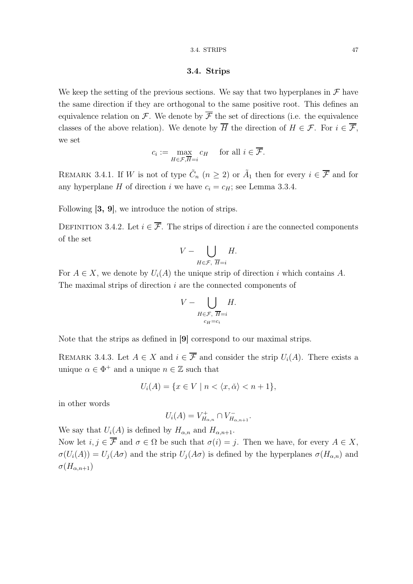#### 3.4. Strips

We keep the setting of the previous sections. We say that two hyperplanes in  $\mathcal F$  have the same direction if they are orthogonal to the same positive root. This defines an equivalence relation on F. We denote by  $\overline{\mathcal{F}}$  the set of directions (i.e. the equivalence classes of the above relation). We denote by  $\overline{H}$  the direction of  $H \in \mathcal{F}$ . For  $i \in \overline{\mathcal{F}}$ , we set

$$
c_i := \max_{H \in \mathcal{F}, \overline{H} = i} c_H \quad \text{ for all } i \in \overline{\mathcal{F}}.
$$

REMARK 3.4.1. If W is not of type  $\tilde{C}_n$   $(n \geq 2)$  or  $\tilde{A}_1$  then for every  $i \in \overline{\mathcal{F}}$  and for any hyperplane H of direction i we have  $c_i = c_H$ ; see Lemma 3.3.4.

Following [3, 9], we introduce the notion of strips.

DEFINITION 3.4.2. Let  $i \in \overline{\mathcal{F}}$ . The strips of direction i are the connected components of the set

$$
V - \bigcup_{H \in \mathcal{F}, \ \overline{H} = i} H.
$$

For  $A \in X$ , we denote by  $U_i(A)$  the unique strip of direction i which contains A. The maximal strips of direction  $i$  are the connected components of

$$
V - \bigcup_{H \in \mathcal{F}, \ \overline{H} = i \atop c_H = c_i} H.
$$

Note that the strips as defined in [9] correspond to our maximal strips.

REMARK 3.4.3. Let  $A \in X$  and  $i \in \overline{\mathcal{F}}$  and consider the strip  $U_i(A)$ . There exists a unique  $\alpha \in \Phi^+$  and a unique  $n \in \mathbb{Z}$  such that

$$
U_i(A) = \{ x \in V \mid n < \langle x, \check{\alpha} \rangle < n+1 \},
$$

in other words

$$
U_i(A) = V_{H_{\alpha,n}}^+ \cap V_{H_{\alpha,n+1}}^-.
$$

We say that  $U_i(A)$  is defined by  $H_{\alpha,n}$  and  $H_{\alpha,n+1}$ . Now let  $i, j \in \overline{\mathcal{F}}$  and  $\sigma \in \Omega$  be such that  $\sigma(i) = j$ . Then we have, for every  $A \in X$ ,  $\sigma(U_i(A)) = U_j(A\sigma)$  and the strip  $U_j(A\sigma)$  is defined by the hyperplanes  $\sigma(H_{\alpha,n})$  and  $\sigma(H_{\alpha,n+1})$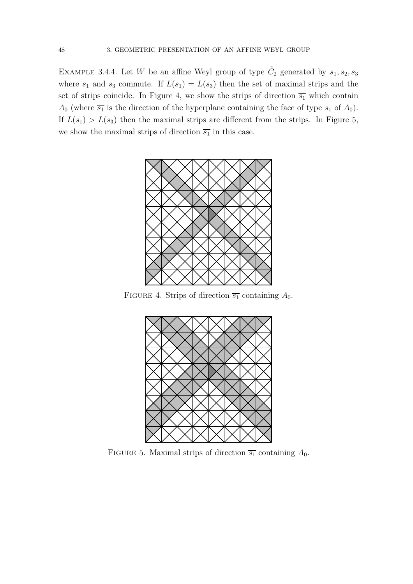EXAMPLE 3.4.4. Let W be an affine Weyl group of type  $\tilde{C}_2$  generated by  $s_1, s_2, s_3$ where  $s_1$  and  $s_3$  commute. If  $L(s_1) = L(s_3)$  then the set of maximal strips and the set of strips coincide. In Figure 4, we show the strips of direction  $\overline{s_1}$  which contain  $A_0$  (where  $\overline{s_1}$  is the direction of the hyperplane containing the face of type  $s_1$  of  $A_0$ ). If  $L(s_1) > L(s_3)$  then the maximal strips are different from the strips. In Figure 5, we show the maximal strips of direction  $\overline{s_1}$  in this case.



FIGURE 4. Strips of direction  $\overline{s_1}$  containing  $A_0$ .



FIGURE 5. Maximal strips of direction  $\overline{s_1}$  containing  $A_0$ .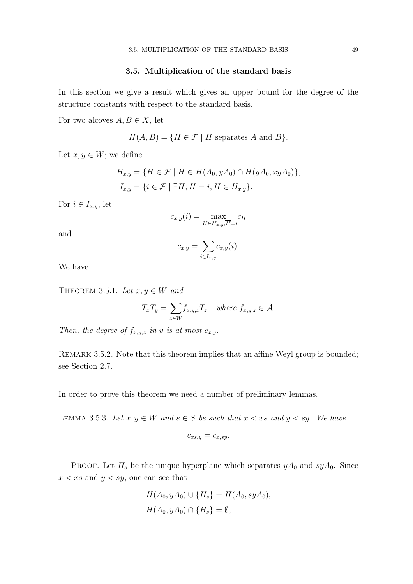## 3.5. Multiplication of the standard basis

In this section we give a result which gives an upper bound for the degree of the structure constants with respect to the standard basis.

For two alcoves  $A, B \in X$ , let

$$
H(A, B) = \{ H \in \mathcal{F} \mid H \text{ separates } A \text{ and } B \}.
$$

Let  $x, y \in W$ ; we define

$$
H_{x,y} = \{ H \in \mathcal{F} \mid H \in H(A_0, yA_0) \cap H(yA_0, xyA_0) \},
$$
  

$$
I_{x,y} = \{ i \in \overline{\mathcal{F}} \mid \exists H; \overline{H} = i, H \in H_{x,y} \}.
$$

For  $i \in I_{x,y}$ , let

$$
c_{x,y}(i) = \max_{H \in H_{x,y}, \overline{H} = i} c_H
$$

and

$$
c_{x,y} = \sum_{i \in I_{x,y}} c_{x,y}(i).
$$

We have

THEOREM 3.5.1. Let  $x, y \in W$  and

$$
T_x T_y = \sum_{z \in W} f_{x,y,z} T_z \quad \text{where } f_{x,y,z} \in \mathcal{A}.
$$

Then, the degree of  $f_{x,y,z}$  in v is at most  $c_{x,y}$ .

REMARK 3.5.2. Note that this theorem implies that an affine Weyl group is bounded; see Section 2.7.

In order to prove this theorem we need a number of preliminary lemmas.

LEMMA 3.5.3. Let  $x, y \in W$  and  $s \in S$  be such that  $x < xs$  and  $y < sy$ . We have

$$
c_{xs,y} = c_{x,sy}.
$$

PROOF. Let  $H_s$  be the unique hyperplane which separates  $yA_0$  and  $syA_0$ . Since  $x < xs$  and  $y < sy$ , one can see that

$$
H(A_0, yA_0) \cup \{H_s\} = H(A_0, syA_0),
$$
  

$$
H(A_0, yA_0) \cap \{H_s\} = \emptyset,
$$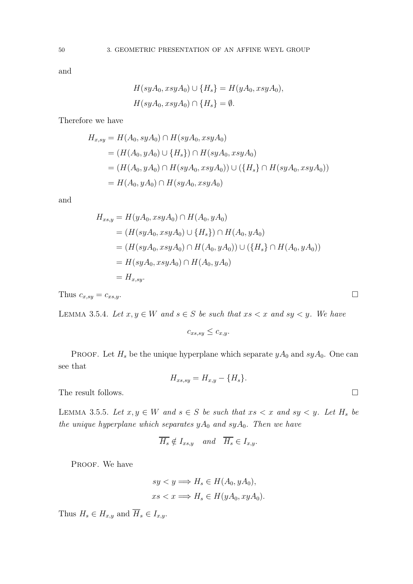and

$$
H(syA_0, xsyA_0) \cup \{H_s\} = H(yA_0, xsyA_0),
$$
  

$$
H(syA_0, xsyA_0) \cap \{H_s\} = \emptyset.
$$

Therefore we have

$$
H_{x, sy} = H(A_0, syA_0) \cap H(syA_0, xsyA_0)
$$
  
=  $(H(A_0, yA_0) \cup \{H_s\}) \cap H(syA_0, xsyA_0)$   
=  $(H(A_0, yA_0) \cap H(syA_0, xsyA_0)) \cup (\{H_s\} \cap H(syA_0, xsyA_0))$   
=  $H(A_0, yA_0) \cap H(syA_0, xsyA_0)$ 

and

$$
H_{xs,y} = H(yA_0, xsyA_0) \cap H(A_0, yA_0)
$$
  
=  $(H(syA_0, xsyA_0) \cup \{H_s\}) \cap H(A_0, yA_0)$   
=  $(H(syA_0, xsyA_0) \cap H(A_0, yA_0)) \cup (\{H_s\} \cap H(A_0, yA_0))$   
=  $H(syA_0, xsyA_0) \cap H(A_0, yA_0)$   
=  $H_{x, sy}$ .

Thus  $c_{x,sy} = c_{xs,y}$ .

LEMMA 3.5.4. Let  $x, y \in W$  and  $s \in S$  be such that  $xs < x$  and  $sy < y$ . We have

$$
c_{xs,sy} \leq c_{x,y}.
$$

PROOF. Let  $H_s$  be the unique hyperplane which separate  $yA_0$  and  $syA_0$ . One can see that

$$
H_{xs, sy} = H_{x,y} - \{H_s\}.
$$

The result follows.  $\hfill \square$ 

LEMMA 3.5.5. Let  $x, y \in W$  and  $s \in S$  be such that  $xs < x$  and  $sy < y$ . Let  $H_s$  be the unique hyperplane which separates  $yA_0$  and  $syA_0$ . Then we have

$$
\overline{H_s} \notin I_{xs,y} \quad and \quad \overline{H_s} \in I_{x,y}.
$$

PROOF. We have

$$
sy < y \Longrightarrow H_s \in H(A_0, yA_0),
$$
  

$$
xs < x \Longrightarrow H_s \in H(yA_0, xyA_0).
$$

Thus  $H_s \in H_{x,y}$  and  $\overline{H}_s \in I_{x,y}$ .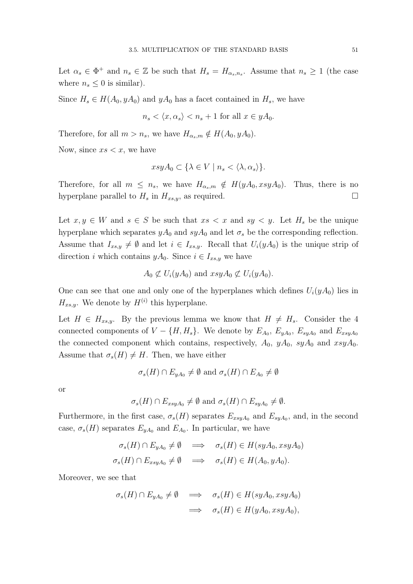Let  $\alpha_s \in \Phi^+$  and  $n_s \in \mathbb{Z}$  be such that  $H_s = H_{\alpha_s, n_s}$ . Assume that  $n_s \geq 1$  (the case where  $n_s \leq 0$  is similar).

Since  $H_s \in H(A_0, yA_0)$  and  $yA_0$  has a facet contained in  $H_s$ , we have

$$
n_s \langle x, \alpha_s \rangle < n_s + 1 \text{ for all } x \in yA_0.
$$

Therefore, for all  $m > n_s$ , we have  $H_{\alpha_s,m} \notin H(A_0, yA_0)$ .

Now, since  $xs < x$ , we have

$$
xsyA_0 \subset \{\lambda \in V \mid n_s < \langle \lambda, \alpha_s \rangle\}.
$$

Therefore, for all  $m \leq n_s$ , we have  $H_{\alpha_s,m} \notin H(yA_0, xsyA_0)$ . Thus, there is no hyperplane parallel to  $H_s$  in  $H_{xs,y}$ , as required.

Let  $x, y \in W$  and  $s \in S$  be such that  $xs < x$  and  $sy < y$ . Let  $H_s$  be the unique hyperplane which separates  $yA_0$  and  $syA_0$  and let  $\sigma_s$  be the corresponding reflection. Assume that  $I_{xs,y} \neq \emptyset$  and let  $i \in I_{xs,y}$ . Recall that  $U_i(yA_0)$  is the unique strip of direction i which contains  $yA_0$ . Since  $i \in I_{xs,y}$  we have

$$
A_0 \not\subset U_i(yA_0)
$$
 and  $xsyA_0 \not\subset U_i(yA_0)$ .

One can see that one and only one of the hyperplanes which defines  $U_i(yA_0)$  lies in  $H_{xs,y}$ . We denote by  $H^{(i)}$  this hyperplane.

Let  $H \in H_{xs,y}$ . By the previous lemma we know that  $H \neq H_s$ . Consider the 4 connected components of  $V - \{H, H_s\}$ . We denote by  $E_{A_0}, E_{yA_0}, E_{syA_0}$  and  $E_{xsyA_0}$ the connected component which contains, respectively,  $A_0$ ,  $yA_0$ ,  $syA_0$  and  $xsyA_0$ . Assume that  $\sigma_s(H) \neq H$ . Then, we have either

$$
\sigma_s(H) \cap E_{yA_0} \neq \emptyset
$$
 and  $\sigma_s(H) \cap E_{A_0} \neq \emptyset$ 

or

$$
\sigma_s(H) \cap E_{xsyA_0} \neq \emptyset
$$
 and  $\sigma_s(H) \cap E_{syA_0} \neq \emptyset$ .

Furthermore, in the first case,  $\sigma_s(H)$  separates  $E_{xsyA_0}$  and  $E_{syA_0}$ , and, in the second case,  $\sigma_s(H)$  separates  $E_{yA_0}$  and  $E_{A_0}$ . In particular, we have

$$
\sigma_s(H) \cap E_{yA_0} \neq \emptyset \implies \sigma_s(H) \in H(syA_0, xsyA_0)
$$
  

$$
\sigma_s(H) \cap E_{xsyA_0} \neq \emptyset \implies \sigma_s(H) \in H(A_0, yA_0).
$$

Moreover, we see that

$$
\sigma_s(H) \cap E_{yA_0} \neq \emptyset \implies \sigma_s(H) \in H(syA_0, xsyA_0)
$$
  

$$
\implies \sigma_s(H) \in H(yA_0, xsyA_0),
$$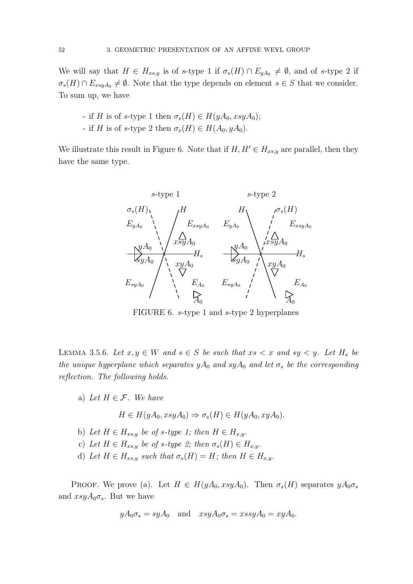We will say that  $H \in H_{xs,y}$  is of s-type 1 if  $\sigma_s(H) \cap E_{yA_0} \neq \emptyset$ , and of s-type 2 if  $\sigma_s(H) \cap E_{xsyA_0} \neq \emptyset$ . Note that the type depends on element  $s \in S$  that we consider. To sum up, we have

- if H is of s-type 1 then  $\sigma_s(H) \in H(yA_0, xsyA_0);$
- if H is of s-type 2 then  $\sigma_s(H) \in H(A_0, yA_0)$ .

We illustrate this result in Figure 6. Note that if  $H, H' \in H_{xs,y}$  are parallel, then they have the same type.



FIGURE 6. s-type 1 and s-type 2 hyperplanes

LEMMA 3.5.6. Let  $x, y \in W$  and  $s \in S$  be such that  $xs < x$  and  $sy < y$ . Let  $H_s$  be the unique hyperplane which separates  $yA_0$  and  $syA_0$  and let  $\sigma_s$  be the corresponding reflection. The following holds.

a) Let  $H \in \mathcal{F}$ . We have

 $H \in H(yA_0, xsyA_0) \Rightarrow \sigma_s(H) \in H(yA_0, xyA_0).$ 

- b) Let  $H \in H_{xs,y}$  be of s-type 1; then  $H \in H_{x,y}$ .
- c) Let  $H \in H_{xs,y}$  be of s-type 2; then  $\sigma_s(H) \in H_{x,y}$ .
- d) Let  $H \in H_{xs,y}$  such that  $\sigma_s(H) = H$ ; then  $H \in H_{x,y}$ .

PROOF. We prove (a). Let  $H \in H(yA_0, xsyA_0)$ . Then  $\sigma_s(H)$  separates  $yA_0\sigma_s$ and  $xsyA_0\sigma_s$ . But we have

$$
yA_0\sigma_s = syA_0
$$
 and  $xsyA_0\sigma_s = xssyA_0 = xyA_0$ .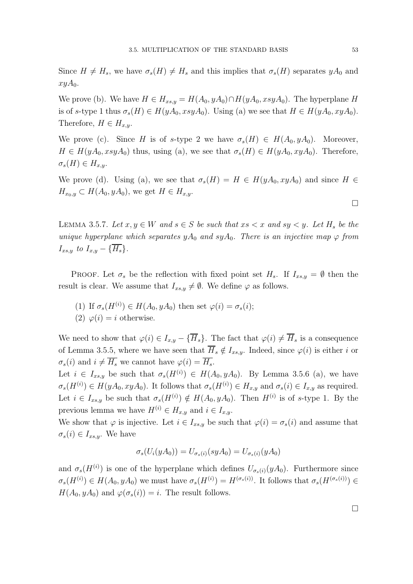Since  $H \neq H_s$ , we have  $\sigma_s(H) \neq H_s$  and this implies that  $\sigma_s(H)$  separates  $yA_0$  and  $xyA_0$ .

We prove (b). We have  $H \in H_{xs,y} = H(A_0, yA_0) \cap H(yA_0, xsyA_0)$ . The hyperplane H is of s-type 1 thus  $\sigma_s(H) \in H(yA_0, xsyA_0)$ . Using (a) we see that  $H \in H(yA_0, xyA_0)$ . Therefore,  $H \in H_{x,y}$ .

We prove (c). Since H is of s-type 2 we have  $\sigma_s(H) \in H(A_0, yA_0)$ . Moreover,  $H \in H(yA_0, xsyA_0)$  thus, using (a), we see that  $\sigma_s(H) \in H(yA_0, xyA_0)$ . Therefore,  $\sigma_s(H) \in H_{x,y}.$ 

We prove (d). Using (a), we see that  $\sigma_s(H) = H \in H(yA_0, xyA_0)$  and since  $H \in$  $H_{x_0,y} \subset H(A_0,yA_0)$ , we get  $H \in H_{x,y}$ .

LEMMA 3.5.7. Let  $x, y \in W$  and  $s \in S$  be such that  $xs < x$  and  $sy < y$ . Let  $H_s$  be the unique hyperplane which separates  $yA_0$  and  $syA_0$ . There is an injective map  $\varphi$  from  $I_{xs,y}$  to  $I_{x,y} - \{\overline{H_s}\}.$ 

PROOF. Let  $\sigma_s$  be the reflection with fixed point set  $H_s$ . If  $I_{xs,y} = \emptyset$  then the result is clear. We assume that  $I_{xs,y} \neq \emptyset$ . We define  $\varphi$  as follows.

- (1) If  $\sigma_s(H^{(i)}) \in H(A_0, yA_0)$  then set  $\varphi(i) = \sigma_s(i);$
- (2)  $\varphi(i) = i$  otherwise.

We need to show that  $\varphi(i) \in I_{x,y} - {\overline{H}_s}$ . The fact that  $\varphi(i) \neq {\overline{H}_s}$  is a consequence of Lemma 3.5.5, where we have seen that  $\overline{H}_s \notin I_{xs,y}$ . Indeed, since  $\varphi(i)$  is either i or  $\sigma_s(i)$  and  $i \neq \overline{H_s}$  we cannot have  $\varphi(i) = \overline{H_s}$ .

Let  $i \in I_{xs,y}$  be such that  $\sigma_s(H^{(i)}) \in H(A_0, yA_0)$ . By Lemma 3.5.6 (a), we have  $\sigma_s(H^{(i)}) \in H(yA_0, xyA_0)$ . It follows that  $\sigma_s(H^{(i)}) \in H_{x,y}$  and  $\sigma_s(i) \in I_{x,y}$  as required. Let  $i \in I_{xs,y}$  be such that  $\sigma_s(H^{(i)}) \notin H(A_0, yA_0)$ . Then  $H^{(i)}$  is of s-type 1. By the previous lemma we have  $H^{(i)} \in H_{x,y}$  and  $i \in I_{x,y}$ .

We show that  $\varphi$  is injective. Let  $i \in I_{xs,y}$  be such that  $\varphi(i) = \sigma_s(i)$  and assume that  $\sigma_s(i) \in I_{xs,y}$ . We have

$$
\sigma_s(U_i(yA_0)) = U_{\sigma_s(i)}(syA_0) = U_{\sigma_s(i)}(yA_0)
$$

and  $\sigma_s(H^{(i)})$  is one of the hyperplane which defines  $U_{\sigma_s(i)}(yA_0)$ . Furthermore since  $\sigma_s(H^{(i)}) \in H(A_0, yA_0)$  we must have  $\sigma_s(H^{(i)}) = H^{(\sigma_s(i))}$ . It follows that  $\sigma_s(H^{(\sigma_s(i))}) \in$  $H(A_0, yA_0)$  and  $\varphi(\sigma_s(i)) = i$ . The result follows.

 $\Box$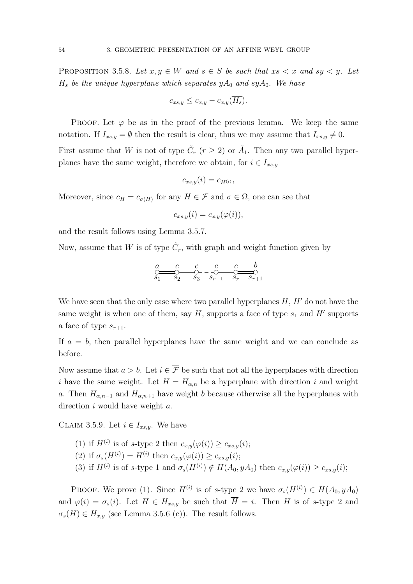PROPOSITION 3.5.8. Let  $x, y \in W$  and  $s \in S$  be such that  $xs < x$  and  $sy < y$ . Let  $H_s$  be the unique hyperplane which separates  $yA_0$  and sy $A_0$ . We have

$$
c_{xs,y} \leq c_{x,y} - c_{x,y}(\overline{H_s}).
$$

PROOF. Let  $\varphi$  be as in the proof of the previous lemma. We keep the same notation. If  $I_{xs,y} = \emptyset$  then the result is clear, thus we may assume that  $I_{xs,y} \neq 0$ .

First assume that W is not of type  $\tilde{C}_r$   $(r \geq 2)$  or  $\tilde{A}_1$ . Then any two parallel hyperplanes have the same weight, therefore we obtain, for  $i \in I_{xs,y}$ 

$$
c_{xs,y}(i) = c_{H^{(i)}},
$$

Moreover, since  $c_H = c_{\sigma(H)}$  for any  $H \in \mathcal{F}$  and  $\sigma \in \Omega$ , one can see that

$$
c_{xs,y}(i) = c_{x,y}(\varphi(i)),
$$

and the result follows using Lemma 3.5.7.

Now, assume that W is of type  $\tilde{C}_r$ , with graph and weight function given by

$$
\underbrace{a \quad c \quad c \quad c \quad c \quad b}_{S_1 \quad S_2 \quad S_3} - \underbrace{c \quad c \quad b}_{S_{r-1} \quad S_r \quad S_{r+1}}
$$

We have seen that the only case where two parallel hyperplanes  $H, H'$  do not have the same weight is when one of them, say  $H$ , supports a face of type  $s_1$  and  $H'$  supports a face of type  $s_{r+1}$ .

If  $a = b$ , then parallel hyperplanes have the same weight and we can conclude as before.

Now assume that  $a > b$ . Let  $i \in \overline{\mathcal{F}}$  be such that not all the hyperplanes with direction i have the same weight. Let  $H = H_{\alpha,n}$  be a hyperplane with direction i and weight a. Then  $H_{\alpha,n-1}$  and  $H_{\alpha,n+1}$  have weight b because otherwise all the hyperplanes with direction  $i$  would have weight  $a$ .

CLAIM 3.5.9. Let  $i \in I_{xs,y}$ . We have

\n- (1) if 
$$
H^{(i)}
$$
 is of s-type 2 then  $c_{x,y}(\varphi(i)) \geq c_{xs,y}(i);$
\n- (2) if  $\sigma_s(H^{(i)}) = H^{(i)}$  then  $c_{x,y}(\varphi(i)) \geq c_{xs,y}(i);$
\n- (3) if  $H^{(i)}$  is of s-type 1 and  $\sigma_s(H^{(i)}) \notin H(A_0, yA_0)$  then  $c_{x,y}(\varphi(i)) \geq c_{xs,y}(i);$
\n

PROOF. We prove (1). Since  $H^{(i)}$  is of s-type 2 we have  $\sigma_s(H^{(i)}) \in H(A_0, yA_0)$ and  $\varphi(i) = \sigma_s(i)$ . Let  $H \in H_{xs,y}$  be such that  $\overline{H} = i$ . Then H is of s-type 2 and  $\sigma_s(H) \in H_{x,y}$  (see Lemma 3.5.6 (c)). The result follows.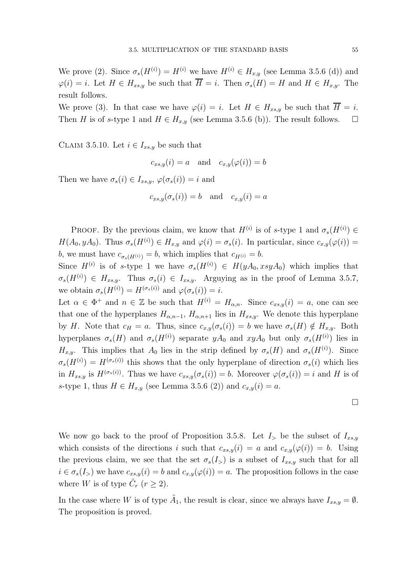We prove (2). Since  $\sigma_s(H^{(i)}) = H^{(i)}$  we have  $H^{(i)} \in H_{x,y}$  (see Lemma 3.5.6 (d)) and  $\varphi(i) = i$ . Let  $H \in H_{xs,y}$  be such that  $\overline{H} = i$ . Then  $\sigma_s(H) = H$  and  $H \in H_{x,y}$ . The result follows.

We prove (3). In that case we have  $\varphi(i) = i$ . Let  $H \in H_{xs,y}$  be such that  $\overline{H} = i$ . Then H is of s-type 1 and  $H \in H_{x,y}$  (see Lemma 3.5.6 (b)). The result follows.  $\Box$ 

CLAIM 3.5.10. Let  $i \in I_{xs,y}$  be such that

$$
c_{xs,y}(i) = a \quad \text{and} \quad c_{x,y}(\varphi(i)) = b
$$

Then we have  $\sigma_s(i) \in I_{xs,y}, \varphi(\sigma_s(i)) = i$  and

$$
c_{xs,y}(\sigma_s(i)) = b \quad \text{and} \quad c_{x,y}(i) = a
$$

PROOF. By the previous claim, we know that  $H^{(i)}$  is of s-type 1 and  $\sigma_s(H^{(i)}) \in$  $H(A_0, yA_0)$ . Thus  $\sigma_s(H^{(i)}) \in H_{x,y}$  and  $\varphi(i) = \sigma_s(i)$ . In particular, since  $c_{x,y}(\varphi(i)) =$ b, we must have  $c_{\sigma_s(H^{(i)})} = b$ , which implies that  $c_{H^{(i)}} = b$ .

Since  $H^{(i)}$  is of s-type 1 we have  $\sigma_s(H^{(i)}) \in H(yA_0, xsyA_0)$  which implies that  $\sigma_s(H^{(i)}) \in H_{xs,y}.$  Thus  $\sigma_s(i) \in I_{xs,y}.$  Arguying as in the proof of Lemma 3.5.7, we obtain  $\sigma_s(H^{(i)}) = H^{(\sigma_s(i))}$  and  $\varphi(\sigma_s(i)) = i$ .

Let  $\alpha \in \Phi^+$  and  $n \in \mathbb{Z}$  be such that  $H^{(i)} = H_{\alpha,n}$ . Since  $c_{xs,y}(i) = a$ , one can see that one of the hyperplanes  $H_{\alpha,n-1}$ ,  $H_{\alpha,n+1}$  lies in  $H_{xs,y}$ . We denote this hyperplane by H. Note that  $c_H = a$ . Thus, since  $c_{x,y}(\sigma_s(i)) = b$  we have  $\sigma_s(H) \notin H_{x,y}$ . Both hyperplanes  $\sigma_s(H)$  and  $\sigma_s(H^{(i)})$  separate  $yA_0$  and  $xyA_0$  but only  $\sigma_s(H^{(i)})$  lies in  $H_{x,y}$ . This implies that  $A_0$  lies in the strip defined by  $\sigma_s(H)$  and  $\sigma_s(H^{(i)})$ . Since  $\sigma_s(H^{(i)}) = H^{(\sigma_s(i))}$  this shows that the only hyperplane of direction  $\sigma_s(i)$  which lies in  $H_{xs,y}$  is  $H^{(\sigma_s(i))}$ . Thus we have  $c_{xs,y}(\sigma_s(i)) = b$ . Moreover  $\varphi(\sigma_s(i)) = i$  and H is of s-type 1, thus  $H \in H_{x,y}$  (see Lemma 3.5.6 (2)) and  $c_{x,y}(i) = a$ .

We now go back to the proof of Proposition 3.5.8. Let  $I_{\geq}$  be the subset of  $I_{xs,y}$ which consists of the directions i such that  $c_{xs,y}(i) = a$  and  $c_{x,y}(\varphi(i)) = b$ . Using the previous claim, we see that the set  $\sigma_s(I_>)$  is a subset of  $I_{xs,y}$  such that for all  $i \in \sigma_s(I_>)$  we have  $c_{xs,y}(i) = b$  and  $c_{x,y}(\varphi(i)) = a$ . The proposition follows in the case where W is of type  $\tilde{C}_r$   $(r \geq 2)$ .

In the case where W is of type  $\tilde{A}_1$ , the result is clear, since we always have  $I_{xs,y} = \emptyset$ . The proposition is proved.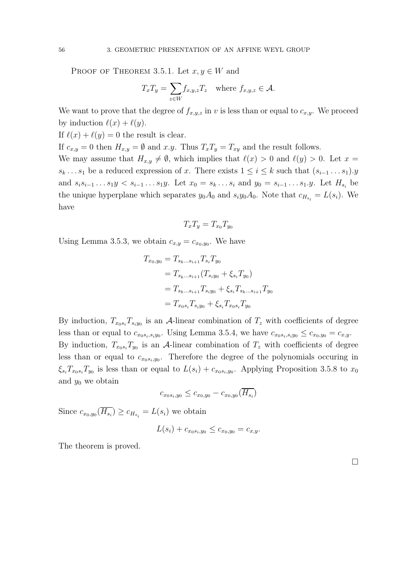PROOF OF THEOREM 3.5.1. Let  $x, y \in W$  and

$$
T_x T_y = \sum_{z \in W} f_{x,y,z} T_z \quad \text{where } f_{x,y,z} \in \mathcal{A}.
$$

We want to prove that the degree of  $f_{x,y,z}$  in v is less than or equal to  $c_{x,y}$ . We proceed by induction  $\ell(x) + \ell(y)$ .

If  $\ell(x) + \ell(y) = 0$  the result is clear.

If  $c_{x,y} = 0$  then  $H_{x,y} = \emptyset$  and  $x.y$ . Thus  $T_xT_y = T_{xy}$  and the result follows.

We may assume that  $H_{x,y} \neq \emptyset$ , which implies that  $\ell(x) > 0$  and  $\ell(y) > 0$ . Let  $x =$  $s_k \dots s_1$  be a reduced expression of x. There exists  $1 \leq i \leq k$  such that  $(s_{i-1} \dots s_1)$ . and  $s_i s_{i-1} \ldots s_1 y \leq s_{i-1} \ldots s_1 y$ . Let  $x_0 = s_k \ldots s_i$  and  $y_0 = s_{i-1} \ldots s_1 y$ . Let  $H_{s_i}$  be the unique hyperplane which separates  $y_0 A_0$  and  $s_i y_0 A_0$ . Note that  $c_{H_{s_i}} = L(s_i)$ . We have

$$
T_x T_y = T_{x_0} T_{y_0}
$$

Using Lemma 3.5.3, we obtain  $c_{x,y} = c_{x_0,y_0}$ . We have

$$
T_{x_0,y_0} = T_{s_k...s_{i+1}} T_{s_i} T_{y_0}
$$
  
=  $T_{s_k...s_{i+1}} (T_{s_iy_0} + \xi_{s_i} T_{y_0})$   
=  $T_{s_k...s_{i+1}} T_{s_iy_0} + \xi_{s_i} T_{s_k...s_{i+1}} T_{y_0}$   
=  $T_{x_0s_i} T_{s_iy_0} + \xi_{s_i} T_{x_0s_i} T_{y_0}$ 

By induction,  $T_{x_0s_i}T_{s_iy_0}$  is an A-linear combination of  $T_z$  with coefficients of degree less than or equal to  $c_{x_0s_i,s_iy_0}$ . Using Lemma 3.5.4, we have  $c_{x_0s_i,s_iy_0} \leq c_{x_0,y_0} = c_{x,y}$ . By induction,  $T_{x_0 s_i} T_{y_0}$  is an A-linear combination of  $T_z$  with coefficients of degree less than or equal to  $c_{x_0s_i,y_0}$ . Therefore the degree of the polynomials occuring in  $\xi_{s_i}T_{x_0s_i}T_{y_0}$  is less than or equal to  $L(s_i) + c_{x_0s_i,y_0}$ . Applying Proposition 3.5.8 to  $x_0$ and  $y_0$  we obtain

$$
c_{x_0s_i,y_0} \leq c_{x_0,y_0} - c_{x_0,y_0}(H_{s_i})
$$

Since  $c_{x_0,y_0}(H_{s_i}) \geq c_{H_{s_i}} = L(s_i)$  we obtain

$$
L(s_i) + c_{x_0s_i,y_0} \leq c_{x_0,y_0} = c_{x,y}.
$$

The theorem is proved.

 $\Box$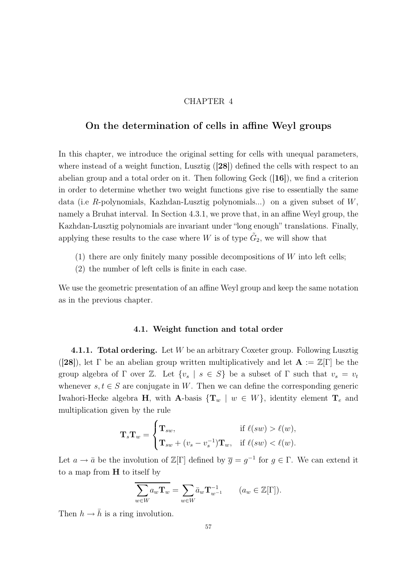## CHAPTER 4

# On the determination of cells in affine Weyl groups

In this chapter, we introduce the original setting for cells with unequal parameters, where instead of a weight function, Lusztig  $(28)$  defined the cells with respect to an abelian group and a total order on it. Then following Geck ([16]), we find a criterion in order to determine whether two weight functions give rise to essentially the same data (i.e R-polynomials, Kazhdan-Lusztig polynomials...) on a given subset of  $W$ , namely a Bruhat interval. In Section 4.3.1, we prove that, in an affine Weyl group, the Kazhdan-Lusztig polynomials are invariant under "long enough" translations. Finally, applying these results to the case where W is of type  $\tilde{G}_2$ , we will show that

- (1) there are only finitely many possible decompositions of  $W$  into left cells;
- (2) the number of left cells is finite in each case.

We use the geometric presentation of an affine Weyl group and keep the same notation as in the previous chapter.

#### 4.1. Weight function and total order

**4.1.1. Total ordering.** Let  $W$  be an arbitrary Coxeter group. Following Lusztig ([28]), let  $\Gamma$  be an abelian group written multiplicatively and let  $\mathbf{A} := \mathbb{Z}[\Gamma]$  be the group algebra of  $\Gamma$  over  $\mathbb{Z}$ . Let  $\{v_s \mid s \in S\}$  be a subset of  $\Gamma$  such that  $v_s = v_t$ whenever  $s, t \in S$  are conjugate in W. Then we can define the corresponding generic Iwahori-Hecke algebra H, with A-basis  $\{\mathbf{T}_w \mid w \in W\}$ , identity element  $\mathbf{T}_e$  and multiplication given by the rule

$$
\mathbf{T}_s \mathbf{T}_w = \begin{cases} \mathbf{T}_{sw}, & \text{if } \ell(sw) > \ell(w), \\ \mathbf{T}_{sw} + (v_s - v_s^{-1}) \mathbf{T}_w, & \text{if } \ell(sw) < \ell(w). \end{cases}
$$

Let  $a \to \bar{a}$  be the involution of  $\mathbb{Z}[\Gamma]$  defined by  $\bar{g} = g^{-1}$  for  $g \in \Gamma$ . We can extend it to a map from H to itself by

$$
\overline{\sum_{w \in W} a_w \mathbf{T}_w} = \sum_{w \in W} \overline{a}_w \mathbf{T}_{w^{-1}}^{-1} \qquad (a_w \in \mathbb{Z}[\Gamma]).
$$

Then  $h \to \bar{h}$  is a ring involution.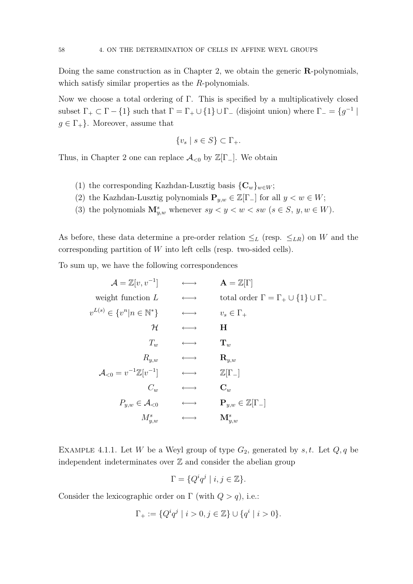Doing the same construction as in Chapter 2, we obtain the generic R-polynomials, which satisfy similar properties as the R-polynomials.

Now we choose a total ordering of Γ. This is specified by a multiplicatively closed subset  $\Gamma_+ \subset \Gamma - \{1\}$  such that  $\Gamma = \Gamma_+ \cup \{1\} \cup \Gamma_-$  (disjoint union) where  $\Gamma_- = \{g^{-1} \mid$  $g \in \Gamma_+$ . Moreover, assume that

$$
\{v_s \mid s \in S\} \subset \Gamma_+.
$$

Thus, in Chapter 2 one can replace  $\mathcal{A}_{\leq 0}$  by  $\mathbb{Z}[\Gamma_{-}].$  We obtain

- (1) the corresponding Kazhdan-Lusztig basis  ${C_w}_{w\in W}$ ;
- (2) the Kazhdan-Lusztig polynomials  $\mathbf{P}_{y,w} \in \mathbb{Z}[\Gamma_{-}]$  for all  $y < w \in W$ ;
- (3) the polynomials  $\mathbf{M}_{y,w}^s$  whenever  $sy < y < w < sw$  ( $s \in S, y, w \in W$ ).

As before, these data determine a pre-order relation  $\leq_L$  (resp.  $\leq_{LR}$ ) on W and the corresponding partition of W into left cells (resp. two-sided cells).

To sum up, we have the following correspondences

$$
\mathcal{A} = \mathbb{Z}[v, v^{-1}] \qquad \longleftrightarrow \qquad \mathbf{A} = \mathbb{Z}[\Gamma]
$$
  
weight function  $L \qquad \longleftrightarrow \qquad \text{total order } \Gamma = \Gamma_+ \cup \{1\} \cup \Gamma_-$   

$$
v^{L(s)} \in \{v^n | n \in \mathbb{N}^*\} \qquad \longleftrightarrow \qquad v_s \in \Gamma_+
$$
  

$$
\mathcal{H} \qquad \longleftrightarrow \qquad \mathbf{H}
$$
  

$$
T_w \qquad \longleftrightarrow \qquad \mathbf{T}_w
$$
  

$$
R_{y,w} \qquad \longleftrightarrow \qquad \mathbf{R}_{y,w}
$$
  

$$
\mathcal{A}_{< 0} = v^{-1}\mathbb{Z}[v^{-1}] \qquad \longleftrightarrow \qquad \mathbb{Z}[\Gamma_-]
$$
  

$$
C_w \qquad \longleftrightarrow \qquad \mathbf{C}_w
$$
  

$$
P_{y,w} \in \mathcal{A}_{< 0} \qquad \longleftrightarrow \qquad \mathbf{P}_{y,w} \in \mathbb{Z}[\Gamma_-]
$$
  

$$
M_{y,w}^s \qquad \longleftrightarrow \qquad \mathbf{M}_{y,w}^s
$$

EXAMPLE 4.1.1. Let W be a Weyl group of type  $G_2$ , generated by s, t. Let  $Q, q$  be independent indeterminates over  $\mathbb Z$  and consider the abelian group

$$
\Gamma = \{ Q^i q^j \mid i, j \in \mathbb{Z} \}.
$$

Consider the lexicographic order on Γ (with  $Q > q$ ), i.e.:

$$
\Gamma_+ := \{ Q^i q^j \mid i > 0, j \in \mathbb{Z} \} \cup \{ q^i \mid i > 0 \}.
$$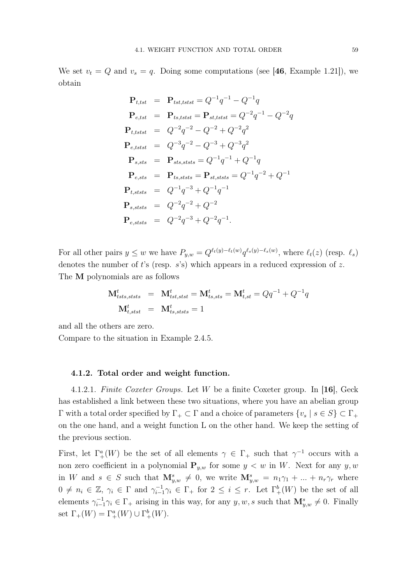We set  $v_t = Q$  and  $v_s = q$ . Doing some computations (see [46, Example 1.21]), we obtain

$$
\begin{array}{rcl}\n\mathbf{P}_{t, tst} & = & \mathbf{P}_{tst, tstst} = Q^{-1}q^{-1} - Q^{-1}q \\
\mathbf{P}_{e, tst} & = & \mathbf{P}_{tst, tstst} = \mathbf{P}_{st, tstst} = Q^{-2}q^{-1} - Q^{-2}q \\
\mathbf{P}_{t, tstst} & = & Q^{-2}q^{-2} - Q^{-2} + Q^{-2}q^2 \\
\mathbf{P}_{e, tstst} & = & Q^{-3}q^{-2} - Q^{-3} + Q^{-3}q^2 \\
\mathbf{P}_{s, tstst} & = & \mathbf{P}_{sts, tststs} = Q^{-1}q^{-1} + Q^{-1}q \\
\mathbf{P}_{e, sts} & = & \mathbf{P}_{ts, tststs} = \mathbf{P}_{st, stststs} = Q^{-1}q^{-2} + Q^{-1} \\
\mathbf{P}_{t, ststs} & = & Q^{-1}q^{-3} + Q^{-1}q^{-1} \\
\mathbf{P}_{s, ststs} & = & Q^{-2}q^{-2} + Q^{-2} \\
\mathbf{P}_{e, ststs} & = & Q^{-2}q^{-3} + Q^{-2}q^{-1}.\n\end{array}
$$

For all other pairs  $y \leq w$  we have  $P_{y,w} = Q^{\ell_t(y) - \ell_t(w)} q^{\ell_s(y) - \ell_s(w)}$ , where  $\ell_t(z)$  (resp.  $\ell_s$ ) denotes the number of t's (resp.  $s$ 's) which appears in a reduced expression of z. The M polynomials are as follows

$$
\mathbf{M}_{tsts,ststs}^{t} = \mathbf{M}_{tst,stst}^{t} = \mathbf{M}_{ts,sts}^{t} = \mathbf{M}_{t,st}^{t} = Qq^{-1} + Q^{-1}q
$$
  

$$
\mathbf{M}_{t,stst}^{t} = \mathbf{M}_{ts,ststs}^{t} = 1
$$

and all the others are zero.

Compare to the situation in Example 2.4.5.

#### 4.1.2. Total order and weight function.

4.1.2.1. Finite Coxeter Groups. Let W be a finite Coxeter group. In [16], Geck has established a link between these two situations, where you have an abelian group Γ with a total order specified by Γ<sub>+</sub> ⊂ Γ and a choice of parameters  ${v_s | s ∈ S} ⊂ Γ_+$ on the one hand, and a weight function L on the other hand. We keep the setting of the previous section.

First, let  $\Gamma^a_+(W)$  be the set of all elements  $\gamma \in \Gamma_+$  such that  $\gamma^{-1}$  occurs with a non zero coefficient in a polynomial  $P_{y,w}$  for some  $y < w$  in W. Next for any  $y, w$ in W and  $s \in S$  such that  $\mathbf{M}_{y,w}^s \neq 0$ , we write  $\mathbf{M}_{y,w}^s = n_1\gamma_1 + ... + n_r\gamma_r$  where  $0 \neq n_i \in \mathbb{Z}, \gamma_i \in \Gamma \text{ and } \gamma_{i-1}^{-1}\gamma_i \in \Gamma_+ \text{ for } 2 \leq i \leq r. \text{ Let } \Gamma_+^b(W) \text{ be the set of all }$ elements  $\gamma_{i-1}^{-1}\gamma_i \in \Gamma_+$  arising in this way, for any  $y, w, s$  such that  $\mathbf{M}_{y,w}^s \neq 0$ . Finally set  $\Gamma_+(W) = \Gamma^a_+(W) \cup \Gamma^b_+(W)$ .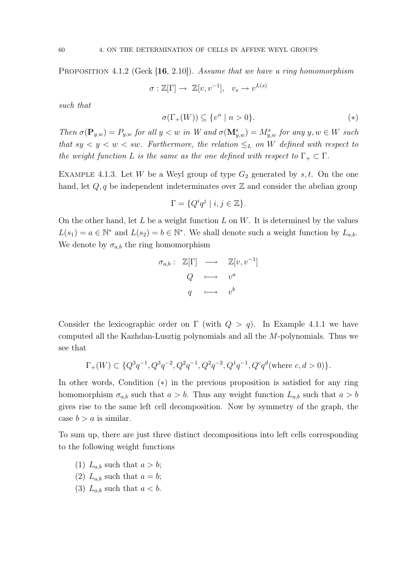PROPOSITION 4.1.2 (Geck [16, 2.10]). Assume that we have a ring homomorphism

$$
\sigma : \mathbb{Z}[\Gamma] \to \mathbb{Z}[v, v^{-1}], \quad v_s \to v^{L(s)}
$$

such that

$$
\sigma(\Gamma_+(W)) \subseteq \{v^n \mid n > 0\}.\tag{*}
$$

Then  $\sigma(\mathbf{P}_{y,w}) = P_{y,w}$  for all  $y < w$  in W and  $\sigma(\mathbf{M}_{y,w}^s) = M_{y,w}^s$  for any  $y, w \in W$  such that  $sy < y < w < sw$ . Furthermore, the relation  $\leq_L$  on W defined with respect to the weight function L is the same as the one defined with respect to  $\Gamma_+ \subset \Gamma$ .

EXAMPLE 4.1.3. Let W be a Weyl group of type  $G_2$  generated by s, t. On the one hand, let  $Q, q$  be independent indeterminates over  $\mathbb Z$  and consider the abelian group

$$
\Gamma = \{ Q^i q^j \mid i, j \in \mathbb{Z} \}.
$$

On the other hand, let L be a weight function L on W. It is determined by the values  $L(s_1) = a \in \mathbb{N}^*$  and  $L(s_2) = b \in \mathbb{N}^*$ . We shall denote such a weight function by  $L_{a,b}$ . We denote by  $\sigma_{a,b}$  the ring homomorphism

$$
\sigma_{a,b} : \mathbb{Z}[\Gamma] \longrightarrow \mathbb{Z}[v, v^{-1}]
$$

$$
Q \longmapsto v^a
$$

$$
q \longmapsto v^b
$$

Consider the lexicographic order on  $\Gamma$  (with  $Q > q$ ). In Example 4.1.1 we have computed all the Kazhdan-Lusztig polynomials and all the M-polynomials. Thus we see that

$$
\Gamma_{+}(W) \subset \{Q^3 q^{-1}, Q^3 q^{-2}, Q^2 q^{-1}, Q^2 q^{-2}, Q^1 q^{-1}, Q^c q^d (\text{where } c, d > 0)\}.
$$

In other words, Condition (∗) in the previous proposition is satisfied for any ring homomorphism  $\sigma_{a,b}$  such that  $a > b$ . Thus any weight function  $L_{a,b}$  such that  $a > b$ gives rise to the same left cell decomposition. Now by symmetry of the graph, the case  $b > a$  is similar.

To sum up, there are just three distinct decompositions into left cells corresponding to the following weight functions

- (1)  $L_{a,b}$  such that  $a > b$ ;
- (2)  $L_{a,b}$  such that  $a = b$ ;
- (3)  $L_{a,b}$  such that  $a < b$ .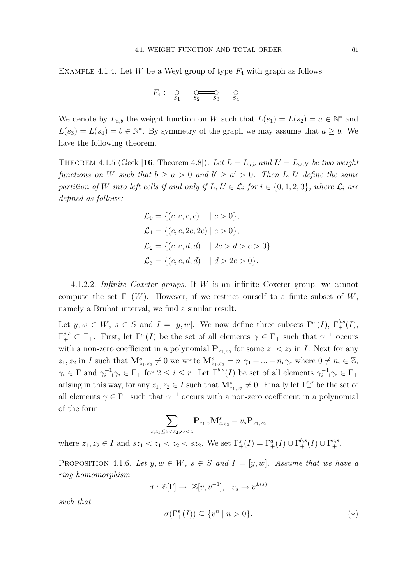EXAMPLE 4.1.4. Let W be a Weyl group of type  $F_4$  with graph as follows

$$
F_4: \underset{S_1}{\circ} \underset{S_2}{\circ} \underset{S_3}{\circ} \underset{S_4}{\circ}
$$

We denote by  $L_{a,b}$  the weight function on W such that  $L(s_1) = L(s_2) = a \in \mathbb{N}^*$  and  $L(s_3) = L(s_4) = b \in \mathbb{N}^*$ . By symmetry of the graph we may assume that  $a \geq b$ . We have the following theorem.

THEOREM 4.1.5 (Geck [16, Theorem 4.8]). Let  $L = L_{a,b}$  and  $L' = L_{a',b'}$  be two weight functions on W such that  $b \ge a > 0$  and  $b' \ge a' > 0$ . Then L, L' define the same partition of W into left cells if and only if  $L, L' \in \mathcal{L}_i$  for  $i \in \{0, 1, 2, 3\}$ , where  $\mathcal{L}_i$  are defined as follows:

$$
\mathcal{L}_0 = \{ (c, c, c, c) \mid c > 0 \},\
$$
  
\n
$$
\mathcal{L}_1 = \{ (c, c, 2c, 2c) \mid c > 0 \},\
$$
  
\n
$$
\mathcal{L}_2 = \{ (c, c, d, d) \mid 2c > d > c > 0 \},\
$$
  
\n
$$
\mathcal{L}_3 = \{ (c, c, d, d) \mid d > 2c > 0 \}.
$$

4.1.2.2. Infinite Coxeter groups. If W is an infinite Coxeter group, we cannot compute the set  $\Gamma_+(W)$ . However, if we restrict ourself to a finite subset of W, namely a Bruhat interval, we find a similar result.

Let  $y, w \in W$ ,  $s \in S$  and  $I = [y, w]$ . We now define three subsets  $\Gamma_+^a(I)$ ,  $\Gamma_+^{b,s}(I)$ ,  $\Gamma^{c,s}_+ \subset \Gamma_+$ . First, let  $\Gamma^a_+(I)$  be the set of all elements  $\gamma \in \Gamma_+$  such that  $\gamma^{-1}$  occurs with a non-zero coefficient in a polynomial  $P_{z_1,z_2}$  for some  $z_1 < z_2$  in I. Next for any  $z_1, z_2$  in I such that  $\mathbf{M}_{z_1, z_2}^s \neq 0$  we write  $\mathbf{M}_{z_1, z_2}^s = n_1 \gamma_1 + ... + n_r \gamma_r$  where  $0 \neq n_i \in \mathbb{Z}$ ,  $\gamma_i \in \Gamma$  and  $\gamma_{i-1}^{-1} \gamma_i \in \Gamma_+$  for  $2 \leq i \leq r$ . Let  $\Gamma_+^{b,s}(I)$  be set of all elements  $\gamma_{i-1}^{-1} \gamma_i \in \Gamma_+$ arising in this way, for any  $z_1, z_2 \in I$  such that  $\mathbf{M}_{z_1, z_2}^s \neq 0$ . Finally let  $\Gamma_+^{c,s}$  be the set of all elements  $\gamma \in \Gamma_+$  such that  $\gamma^{-1}$  occurs with a non-zero coefficient in a polynomial of the form

$$
\sum_{z;z_1\leq z< z_2; s z < z } \mathbf{P}_{z_1,z} \mathbf{M}_{z,z_2}^s - v_s \mathbf{P}_{z_1,z_2}
$$

where  $z_1, z_2 \in I$  and  $sz_1 < z_1 < z_2 < sz_2$ . We set  $\Gamma_+^s(I) = \Gamma_+^a(I) \cup \Gamma_+^{b,s}(I) \cup \Gamma_+^{c,s}$ .

PROPOSITION 4.1.6. Let  $y, w \in W$ ,  $s \in S$  and  $I = [y, w]$ . Assume that we have a ring homomorphism

$$
\sigma : \mathbb{Z}[\Gamma] \to \mathbb{Z}[v, v^{-1}], \quad v_s \to v^{L(s)}
$$

such that

$$
\sigma(\Gamma_+^s(I)) \subseteq \{v^n \mid n > 0\}.\tag{*}
$$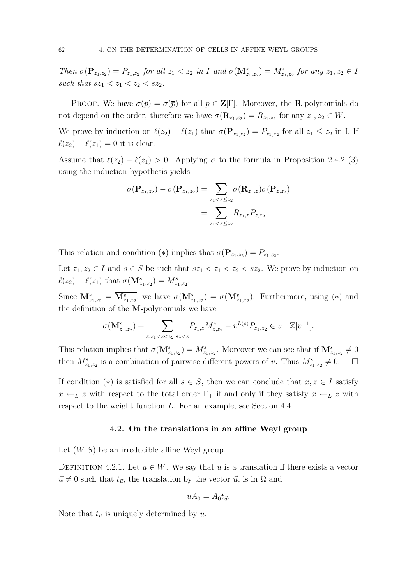Then  $\sigma(\mathbf{P}_{z_1,z_2}) = P_{z_1,z_2}$  for all  $z_1 < z_2$  in I and  $\sigma(\mathbf{M}_{z_1,z_2}^s) = M_{z_1,z_2}^s$  for any  $z_1, z_2 \in I$ such that  $sz_1 < z_1 < z_2 < sz_2$ .

PROOF. We have  $\overline{\sigma(p)} = \sigma(\overline{p})$  for all  $p \in \mathbb{Z}[\Gamma]$ . Moreover, the **R**-polynomials do not depend on the order, therefore we have  $\sigma(\mathbf{R}_{z_1,z_2}) = R_{z_1,z_2}$  for any  $z_1, z_2 \in W$ .

We prove by induction on  $\ell(z_2) - \ell(z_1)$  that  $\sigma(\mathbf{P}_{z_1,z_2}) = P_{z_1,z_2}$  for all  $z_1 \leq z_2$  in I. If  $\ell(z_2) - \ell(z_1) = 0$  it is clear.

Assume that  $\ell(z_2) - \ell(z_1) > 0$ . Applying  $\sigma$  to the formula in Proposition 2.4.2 (3) using the induction hypothesis yields

$$
\sigma(\overline{\mathbf{P}}_{z_1,z_2}) - \sigma(\mathbf{P}_{z_1,z_2}) = \sum_{z_1 < z \leq z_2} \sigma(\mathbf{R}_{z_1,z}) \sigma(\mathbf{P}_{z,z_2})
$$
\n
$$
= \sum_{z_1 < z \leq z_2} R_{z_1,z} P_{z,z_2}.
$$

This relation and condition (\*) implies that  $\sigma(\mathbf{P}_{z_1,z_2}) = P_{z_1,z_2}$ .

Let  $z_1, z_2 \in I$  and  $s \in S$  be such that  $sz_1 < z_1 < z_2 < sz_2$ . We prove by induction on  $\ell(z_2) - \ell(z_1)$  that  $\sigma(\mathbf{M}_{z_1,z_2}^s) = M_{z_1,z_2}^s$ .

Since  $\mathbf{M}_{z_1,z_2}^s = \overline{\mathbf{M}_{z_1,z_2}^s}$ , we have  $\sigma(\mathbf{M}_{z_1,z_2}^s) = \overline{\sigma(\mathbf{M}_{z_1,z_2}^s)}$ . Furthermore, using (\*) and the definition of the M-polynomials we have

$$
\sigma(\mathbf{M}_{z_1,z_2}^s) + \sum_{z;z_1
$$

This relation implies that  $\sigma(\mathbf{M}_{z_1,z_2}^s) = M_{z_1,z_2}^s$ . Moreover we can see that if  $\mathbf{M}_{z_1,z_2}^s \neq 0$ then  $M^s_{z_1,z_2}$  is a combination of pairwise different powers of v. Thus  $M^s_{z_1,z_2} \neq 0$ .  $\Box$ 

If condition (\*) is satisfied for all  $s \in S$ , then we can conclude that  $x, z \in I$  satisfy  $x \leftarrow_L z$  with respect to the total order  $\Gamma_+$  if and only if they satisfy  $x \leftarrow_L z$  with respect to the weight function L. For an example, see Section 4.4.

## 4.2. On the translations in an affine Weyl group

Let  $(W, S)$  be an irreducible affine Weyl group.

DEFINITION 4.2.1. Let  $u \in W$ . We say that u is a translation if there exists a vector  $\vec{u} \neq 0$  such that  $t_{\vec{u}}$ , the translation by the vector  $\vec{u}$ , is in  $\Omega$  and

$$
uA_0 = A_0 t_{\vec{u}}.
$$

Note that  $t_{\vec{u}}$  is uniquely determined by u.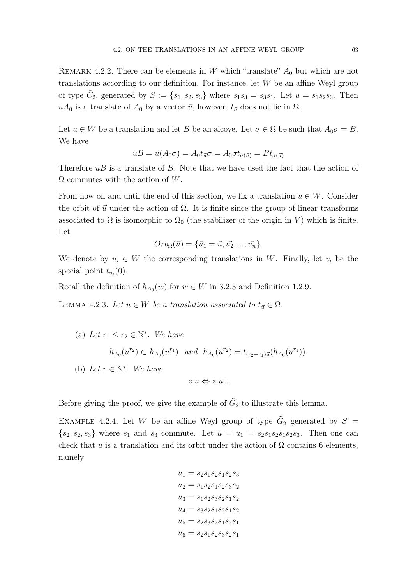REMARK 4.2.2. There can be elements in W which "translate"  $A_0$  but which are not translations according to our definition. For instance, let  $W$  be an affine Weyl group of type  $C_2$ , generated by  $S := \{s_1, s_2, s_3\}$  where  $s_1 s_3 = s_3 s_1$ . Let  $u = s_1 s_2 s_3$ . Then  $uA_0$  is a translate of  $A_0$  by a vector  $\vec{u}$ , however,  $t_{\vec{u}}$  does not lie in  $\Omega$ .

Let  $u \in W$  be a translation and let B be an alcove. Let  $\sigma \in \Omega$  be such that  $A_0 \sigma = B$ . We have

$$
uB = u(A_0 \sigma) = A_0 t_{\vec{u}} \sigma = A_0 \sigma t_{\sigma(\vec{u})} = B t_{\sigma(\vec{u})}
$$

Therefore  $uB$  is a translate of  $B$ . Note that we have used the fact that the action of  $\Omega$  commutes with the action of W.

From now on and until the end of this section, we fix a translation  $u \in W$ . Consider the orbit of  $\vec{u}$  under the action of  $\Omega$ . It is finite since the group of linear transforms associated to  $\Omega$  is isomorphic to  $\Omega_0$  (the stabilizer of the origin in V) which is finite. Let

$$
Orb_{\Omega}(\vec{u}) = {\vec{u}_1 = \vec{u}, \vec{u_2}, ..., \vec{u_n}}.
$$

We denote by  $u_i \in W$  the corresponding translations in W. Finally, let  $v_i$  be the special point  $t_{\vec{u_i}}(0)$ .

Recall the definition of  $h_{A_0}(w)$  for  $w \in W$  in 3.2.3 and Definition 1.2.9.

LEMMA 4.2.3. Let  $u \in W$  be a translation associated to  $t_{\vec{u}} \in \Omega$ .

\n- (a) Let 
$$
r_1 \leq r_2 \in \mathbb{N}^*
$$
. We have
\n- $h_{A_0}(u^{r_2}) \subset h_{A_0}(u^{r_1})$  and  $h_{A_0}(u^{r_2}) = t_{(r_2-r_1)\vec{u}}(h_{A_0}(u^{r_1})).$
\n- (b) Let  $r \in \mathbb{N}^*$ . We have
\n- $z.u \Leftrightarrow z.u^r.$
\n

Before giving the proof, we give the example of  $\tilde{G}_2$  to illustrate this lemma.

EXAMPLE 4.2.4. Let W be an affine Weyl group of type  $\tilde{G}_2$  generated by  $S =$  $\{s_2, s_2, s_3\}$  where  $s_1$  and  $s_3$  commute. Let  $u = u_1 = s_2 s_1 s_2 s_1 s_2 s_3$ . Then one can check that u is a translation and its orbit under the action of  $\Omega$  contains 6 elements, namely

$$
u_1 = s_2s_1s_2s_1s_2s_3
$$
  
\n
$$
u_2 = s_1s_2s_1s_2s_3s_2
$$
  
\n
$$
u_3 = s_1s_2s_3s_2s_1s_2
$$
  
\n
$$
u_4 = s_3s_2s_1s_2s_1s_2
$$
  
\n
$$
u_5 = s_2s_3s_2s_1s_2s_1
$$
  
\n
$$
u_6 = s_2s_1s_2s_3s_2s_1
$$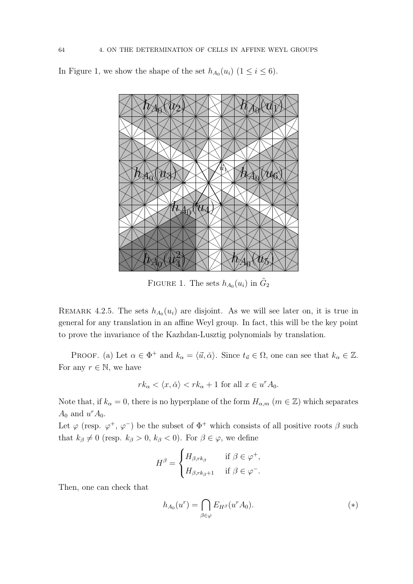In Figure 1, we show the shape of the set  $h_{A_0}(u_i)$   $(1 \le i \le 6)$ .



FIGURE 1. The sets  $h_{A_0}(u_i)$  in  $\tilde{G}_2$ 

REMARK 4.2.5. The sets  $h_{A_0}(u_i)$  are disjoint. As we will see later on, it is true in general for any translation in an affine Weyl group. In fact, this will be the key point to prove the invariance of the Kazhdan-Lusztig polynomials by translation.

PROOF. (a) Let  $\alpha \in \Phi^+$  and  $k_\alpha = \langle \vec{u}, \check{\alpha} \rangle$ . Since  $t_{\vec{u}} \in \Omega$ , one can see that  $k_\alpha \in \mathbb{Z}$ . For any  $r \in \mathbb{N}$ , we have

$$
rk_{\alpha} \langle x, \check{\alpha} \rangle < rk_{\alpha} + 1 \text{ for all } x \in u^r A_0.
$$

Note that, if  $k_{\alpha} = 0$ , there is no hyperplane of the form  $H_{\alpha,m}$   $(m \in \mathbb{Z})$  which separates  $A_0$  and  $u^r A_0$ .

Let  $\varphi$  (resp.  $\varphi^+$ ,  $\varphi^-$ ) be the subset of  $\Phi^+$  which consists of all positive roots  $\beta$  such that  $k_{\beta} \neq 0$  (resp.  $k_{\beta} > 0$ ,  $k_{\beta} < 0$ ). For  $\beta \in \varphi$ , we define

$$
H^{\beta} = \begin{cases} H_{\beta,rk_{\beta}} & \text{if } \beta \in \varphi^+, \\ H_{\beta,rk_{\beta}+1} & \text{if } \beta \in \varphi^-.\end{cases}
$$

Then, one can check that

$$
h_{A_0}(u^r) = \bigcap_{\beta \in \varphi} E_{H^\beta}(u^r A_0). \tag{*}
$$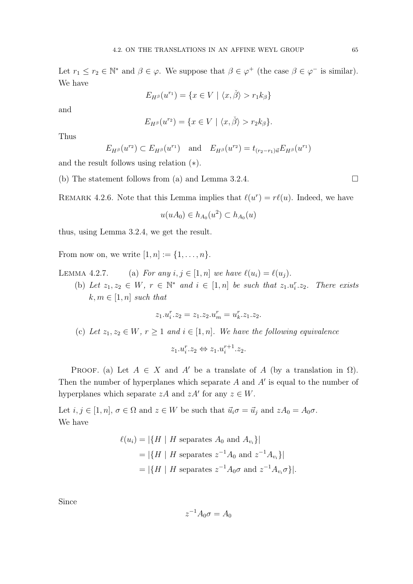Let  $r_1 \leq r_2 \in \mathbb{N}^*$  and  $\beta \in \varphi$ . We suppose that  $\beta \in \varphi^+$  (the case  $\beta \in \varphi^-$  is similar). We have

$$
E_{H^{\beta}}(u^{r_1}) = \{x \in V \mid \langle x, \check{\beta} \rangle > r_1 k_{\beta} \}
$$

and

$$
E_{H^{\beta}}(u^{r_2}) = \{x \in V \mid \langle x, \check{\beta} \rangle > r_2 k_{\beta} \}.
$$

Thus

$$
E_{H^{\beta}}(u^{r_2}) \subset E_{H^{\beta}}(u^{r_1})
$$
 and  $E_{H^{\beta}}(u^{r_2}) = t_{(r_2-r_1)\vec{u}} E_{H^{\beta}}(u^{r_1})$ 

and the result follows using relation (∗).

(b) The statement follows from (a) and Lemma 3.2.4.  $\square$ 

REMARK 4.2.6. Note that this Lemma implies that  $\ell(u^r) = r\ell(u)$ . Indeed, we have

$$
u(uA_0) \in h_{A_0}(u^2) \subset h_{A_0}(u)
$$

thus, using Lemma 3.2.4, we get the result.

From now on, we write  $[1, n] := \{1, ..., n\}.$ 

- LEMMA 4.2.7. (a) For any  $i, j \in [1, n]$  we have  $\ell(u_i) = \ell(u_i)$ .
	- (b) Let  $z_1, z_2 \in W$ ,  $r \in \mathbb{N}^*$  and  $i \in [1, n]$  be such that  $z_1 \cdot u_i^r \cdot z_2$ . There exists  $k, m \in [1, n]$  such that

$$
z_1.u_i^r.z_2 = z_1.z_2.u_m^r = u_k^r.z_1.z_2.
$$

(c) Let  $z_1, z_2 \in W$ ,  $r \geq 1$  and  $i \in [1, n]$ . We have the following equivalence

$$
z_1.u_i^r.z_2 \Leftrightarrow z_1.u_i^{r+1}.z_2.
$$

PROOF. (a) Let  $A \in X$  and A' be a translate of A (by a translation in  $\Omega$ ). Then the number of hyperplanes which separate  $A$  and  $A'$  is equal to the number of hyperplanes which separate  $zA$  and  $zA'$  for any  $z \in W$ .

Let  $i, j \in [1, n], \sigma \in \Omega$  and  $z \in W$  be such that  $\vec{u}_i \sigma = \vec{u}_j$  and  $zA_0 = A_0\sigma$ . We have

$$
\ell(u_i) = |\{H \mid H \text{ separates } A_0 \text{ and } A_{v_i}\}|
$$
  
=  $|\{H \mid H \text{ separates } z^{-1}A_0 \text{ and } z^{-1}A_{v_i}\}|$   
=  $|\{H \mid H \text{ separates } z^{-1}A_0\sigma \text{ and } z^{-1}A_{v_i}\sigma\}|.$ 

Since

$$
z^{-1}A_0\sigma=A_0
$$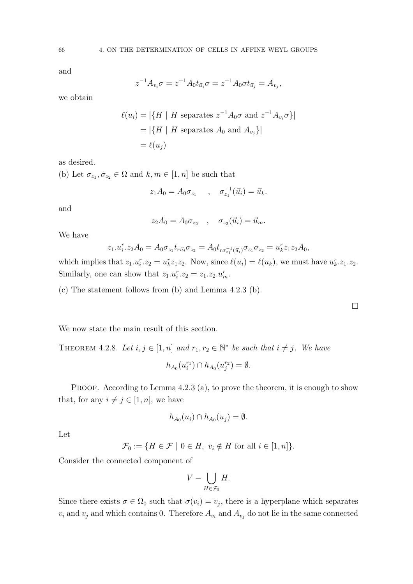and

$$
z^{-1}A_{v_i}\sigma = z^{-1}A_0t_{\vec{u}_i}\sigma = z^{-1}A_0\sigma t_{\vec{u}_j} = A_{v_j},
$$

we obtain

$$
\ell(u_i) = |\{H \mid H \text{ separates } z^{-1}A_0\sigma \text{ and } z^{-1}A_{v_i}\sigma\}|
$$

$$
= |\{H \mid H \text{ separates } A_0 \text{ and } A_{v_j}\}|
$$

$$
= \ell(u_j)
$$

as desired.

(b) Let  $\sigma_{z_1}, \sigma_{z_2} \in \Omega$  and  $k, m \in [1, n]$  be such that

$$
z_1 A_0 = A_0 \sigma_{z_1} \quad , \quad \sigma_{z_1}^{-1}(\vec{u}_i) = \vec{u}_k.
$$

and

$$
z_2 A_0 = A_0 \sigma_{z_2} \quad , \quad \sigma_{z_2}(\vec{u}_i) = \vec{u}_m.
$$

We have

$$
z_1.u_i^r.z_2A_0 = A_0 \sigma_{z_1} t_{r\vec{u}_i} \sigma_{z_2} = A_0 t_{r\sigma_{z_1}^{-1}(\vec{u}_i)} \sigma_{z_1} \sigma_{z_2} = u_k^r z_1 z_2 A_0,
$$

which implies that  $z_1 \cdot u_i^r \cdot z_2 = u_k^r z_1 z_2$ . Now, since  $\ell(u_i) = \ell(u_k)$ , we must have  $u_k^r \cdot z_1 \cdot z_2$ . Similarly, one can show that  $z_1 \cdot u_i^r \cdot z_2 = z_1 \cdot z_2 \cdot u_m^r$ .

(c) The statement follows from (b) and Lemma 4.2.3 (b).

 $\Box$ 

We now state the main result of this section.

THEOREM 4.2.8. Let  $i, j \in [1, n]$  and  $r_1, r_2 \in \mathbb{N}^*$  be such that  $i \neq j$ . We have

$$
h_{A_0}(u_i^{r_1}) \cap h_{A_0}(u_j^{r_2}) = \emptyset.
$$

PROOF. According to Lemma  $4.2.3$  (a), to prove the theorem, it is enough to show that, for any  $i \neq j \in [1, n]$ , we have

$$
h_{A_0}(u_i) \cap h_{A_0}(u_j) = \emptyset.
$$

Let

$$
\mathcal{F}_0 := \{ H \in \mathcal{F} \mid 0 \in H, \ v_i \notin H \text{ for all } i \in [1, n] \}.
$$

Consider the connected component of

$$
V - \bigcup_{H \in \mathcal{F}_0} H.
$$

Since there exists  $\sigma \in \Omega_0$  such that  $\sigma(v_i) = v_j$ , there is a hyperplane which separates  $v_i$  and  $v_j$  and which contains 0. Therefore  $A_{v_i}$  and  $A_{v_j}$  do not lie in the same connected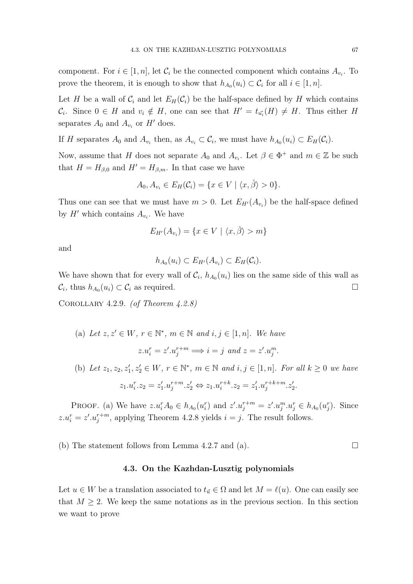component. For  $i \in [1, n]$ , let  $\mathcal{C}_i$  be the connected component which contains  $A_{v_i}$ . To prove the theorem, it is enough to show that  $h_{A_0}(u_i) \subset \mathcal{C}_i$  for all  $i \in [1, n]$ .

Let H be a wall of  $\mathcal{C}_i$  and let  $E_H(\mathcal{C}_i)$  be the half-space defined by H which contains  $\mathcal{C}_i$ . Since  $0 \in H$  and  $v_i \notin H$ , one can see that  $H' = t_{\vec{u_i}}(H) \neq H$ . Thus either H separates  $A_0$  and  $A_{v_i}$  or  $H'$  does.

If H separates  $A_0$  and  $A_{v_i}$  then, as  $A_{v_i} \subset \mathcal{C}_i$ , we must have  $h_{A_0}(u_i) \subset E_H(\mathcal{C}_i)$ .

Now, assume that H does not separate  $A_0$  and  $A_{v_i}$ . Let  $\beta \in \Phi^+$  and  $m \in \mathbb{Z}$  be such that  $H = H_{\beta,0}$  and  $H' = H_{\beta,m}$ . In that case we have

$$
A_0, A_{v_i} \in E_H(\mathcal{C}_i) = \{x \in V \mid \langle x, \check{\beta} \rangle > 0\}.
$$

Thus one can see that we must have  $m > 0$ . Let  $E_{H'}(A_{v_i})$  be the half-space defined by  $H'$  which contains  $A_{v_i}$ . We have

$$
E_{H'}(A_{v_i}) = \{x \in V \mid \langle x, \check{\beta} \rangle > m\}
$$

and

$$
h_{A_0}(u_i) \subset E_{H'}(A_{v_i}) \subset E_H(\mathcal{C}_i).
$$

We have shown that for every wall of  $\mathcal{C}_i$ ,  $h_{A_0}(u_i)$  lies on the same side of this wall as  $\mathcal{C}_i$ , thus  $h_{A_0}(u_i) \subset \mathcal{C}_i$  as required.

COROLLARY 4.2.9. (of Theorem  $4.2.8$ )

\n- (a) Let 
$$
z, z' \in W
$$
,  $r \in \mathbb{N}^*$ ,  $m \in \mathbb{N}$  and  $i, j \in [1, n]$ . We have
\n- $z.u_i^r = z'.u_j^{r+m} \Longrightarrow i = j$  and  $z = z'.u_j^m$ .
\n- (b) Let  $z_1, z_2, z'_1, z'_2 \in W$ ,  $r \in \mathbb{N}^*$ ,  $m \in \mathbb{N}$  and  $i, j \in [1, n]$ . For all  $k \geq 0$  we have
\n

$$
z_1.u_i^r.z_2 = z_1' . u_j^{r+m}. z_2' \Leftrightarrow z_1.u_i^{r+k}. z_2 = z_1' . u_j^{r+k+m}. z_2'.
$$

PROOF. (a) We have  $z.u_i^rA_0 \in h_{A_0}(u_i^r)$  and  $z'.u_j^{r+m} = z'.u_j^m.u_j^r \in h_{A_0}(u_j^r)$ . Since  $z.u_i^r = z'.u_j^{r+m}$ , applying Theorem 4.2.8 yields  $i = j$ . The result follows.

(b) The statement follows from Lemma 4.2.7 and (a).  $\square$ 

#### 4.3. On the Kazhdan-Lusztig polynomials

Let  $u \in W$  be a translation associated to  $t_{\vec{u}} \in \Omega$  and let  $M = \ell(u)$ . One can easily see that  $M \geq 2$ . We keep the same notations as in the previous section. In this section we want to prove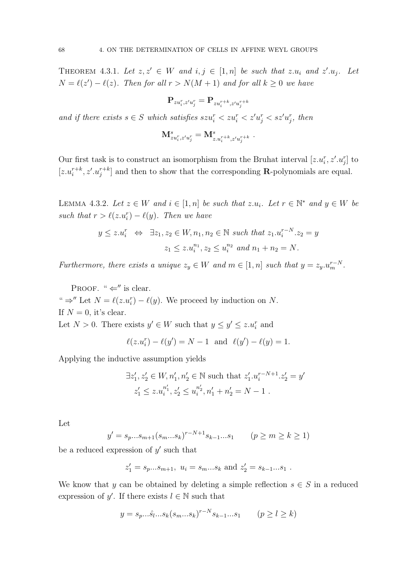THEOREM 4.3.1. Let  $z, z' \in W$  and  $i, j \in [1, n]$  be such that  $z.u_i$  and  $z'.u_j$ . Let  $N = \ell(z') - \ell(z)$ . Then for all  $r > N(M + 1)$  and for all  $k \geq 0$  we have

$$
\mathbf{P}_{zu_i^r,z'u_j^r}=\mathbf{P}_{zu_i^{r+k},z'u_j^{r+k}}
$$

and if there exists  $s \in S$  which satisfies  $szu_i^r < zu_i^r < z'u_j^r < sz'u_j^r$ , then

$$
\mathbf{M}^s_{zu^{r}_{i},z'u^{r}_{j}}=\mathbf{M}^s_{z.u^{r+k}_{i},z'u^{r+k}_{j}}\;.
$$

Our first task is to construct an isomorphism from the Bruhat interval  $[z.u_i^r, z'.u_j^r]$  to  $[z.u_i^{r+k}, z'.u_j^{r+k}]$  and then to show that the corresponding **R**-polynomials are equal.

LEMMA 4.3.2. Let  $z \in W$  and  $i \in [1, n]$  be such that  $z.u_i$ . Let  $r \in \mathbb{N}^*$  and  $y \in W$  be such that  $r > \ell(z.u_i^r) - \ell(y)$ . Then we have

$$
y \le z.u_i^r \iff \exists z_1, z_2 \in W, n_1, n_2 \in \mathbb{N} \text{ such that } z_1.u_i^{r-N}.z_2 = y
$$
  

$$
z_1 \le z.u_i^{n_1}, z_2 \le u_i^{n_2} \text{ and } n_1 + n_2 = N.
$$

Furthermore, there exists a unique  $z_y \in W$  and  $m \in [1, n]$  such that  $y = z_y \cdot u_m^{r-N}$ .

PROOF. " $\Leftarrow$ " is clear. "  $\Rightarrow$ " Let  $N = \ell(z \cdot u_i^r) - \ell(y)$ . We proceed by induction on N. If  $N = 0$ , it's clear.

Let  $N > 0$ . There exists  $y' \in W$  such that  $y \le y' \le z.u_i^r$  and

$$
\ell(z.u_i^r) - \ell(y') = N - 1
$$
 and  $\ell(y') - \ell(y) = 1$ .

Applying the inductive assumption yields

$$
\exists z'_1, z'_2 \in W, n'_1, n'_2 \in \mathbb{N} \text{ such that } z'_1 \cdot u_i^{r-N+1} \cdot z'_2 = y'
$$
  

$$
z'_1 \le z \cdot u_i^{n'_1}, z'_2 \le u_i^{n'_2}, n'_1 + n'_2 = N - 1.
$$

Let

$$
y' = s_p...s_{m+1}(s_m...s_k)^{r-N+1}s_{k-1}...s_1 \qquad (p \ge m \ge k \ge 1)
$$

be a reduced expression of  $y'$  such that

$$
z'_1 = s_p...s_{m+1}
$$
,  $u_i = s_m...s_k$  and  $z'_2 = s_{k-1}...s_1$ .

We know that y can be obtained by deleting a simple reflection  $s \in S$  in a reduced expression of y'. If there exists  $l \in \mathbb{N}$  such that

$$
y = s_p...s_l...s_k(s_m...s_k)^{r-N}s_{k-1}...s_1
$$
  $(p \ge l \ge k)$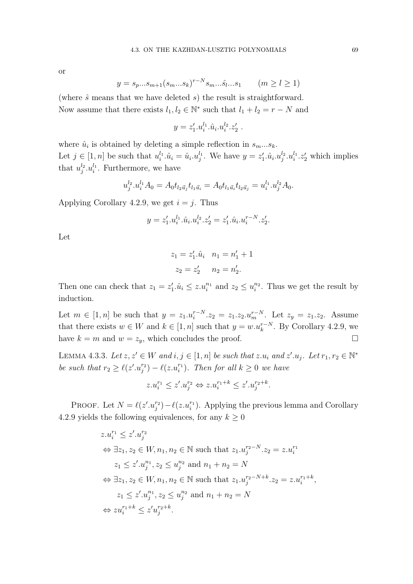or

$$
y = s_p...s_{m+1}(s_m...s_k)^{r-N} s_m...s_l...s_1 \qquad (m \ge l \ge 1)
$$

(where  $\hat{s}$  means that we have deleted  $s$ ) the result is straightforward. Now assume that there exists  $l_1, l_2 \in \mathbb{N}^*$  such that  $l_1 + l_2 = r - N$  and

 $y = z'_1 \cdot u_i^{l_1} \cdot \hat{u}_i \cdot u_i^{l_2} \cdot z'_2$ .

where  $\hat{u}_i$  is obtained by deleting a simple reflection in  $s_m...s_k$ . Let  $j \in [1, n]$  be such that  $u_i^{l_1} \hat{u}_i = \hat{u}_i u_j^{l_1}$ . We have  $y = z'_1 \hat{u}_i u_j^{l_2} u_i^{l_1} z'_2$  which implies that  $u_j^{l_2}.u_i^{l_1}$ . Furthermore, we have

$$
u_j^{l_2}.u_i^{l_1}A_0 = A_0t_{l_2\vec{u}_j}t_{l_1\vec{u}_i} = A_0t_{l_1\vec{u}_i}t_{l_2\vec{u}_j} = u_i^{l_1}.u_j^{l_2}A_0.
$$

Applying Corollary 4.2.9, we get  $i = j$ . Thus

$$
y = z'_1 \cdot u_i^{l_1} \cdot \hat{u}_i \cdot u_i^{l_2} \cdot z'_2 = z'_1 \cdot \hat{u}_i \cdot u_i^{r-N} \cdot z'_2.
$$

Let

$$
z_1 = z'_1 \cdot \hat{u}_i \quad n_1 = n'_1 + 1
$$

$$
z_2 = z'_2 \quad n_2 = n'_2.
$$

Then one can check that  $z_1 = z'_1 \cdot \hat{u}_i \leq z \cdot u_i^{n_1}$  and  $z_2 \leq u_i^{n_2}$ . Thus we get the result by induction.

Let  $m \in [1, n]$  be such that  $y = z_1 \cdot u_i^{r-N} \cdot z_2 = z_1 \cdot z_2 \cdot u_m^{r-N}$ . Let  $z_y = z_1 \cdot z_2$ . Assume that there exists  $w \in W$  and  $k \in [1, n]$  such that  $y = w.u_k^{r-N}$ . By Corollary 4.2.9, we have  $k = m$  and  $w = z_y$ , which concludes the proof.

LEMMA 4.3.3. Let  $z, z' \in W$  and  $i, j \in [1, n]$  be such that  $z.u_i$  and  $z'.u_j$ . Let  $r_1, r_2 \in \mathbb{N}^*$ be such that  $r_2 \geq \ell(z'.u_j^{r_2}) - \ell(z.u_i^{r_1})$ . Then for all  $k \geq 0$  we have

$$
z.u_i^{r_1} \le z'.u_j^{r_2} \Leftrightarrow z.u_i^{r_1+k} \le z'.u_j^{r_2+k}.
$$

PROOF. Let  $N = \ell(z'.u_j^{r_2}) - \ell(z.u_i^{r_1})$ . Applying the previous lemma and Corollary 4.2.9 yields the following equivalences, for any  $k \geq 0$ 

$$
z.u_i^{r_1} \le z'.u_j^{r_2}
$$
  
\n
$$
\Leftrightarrow \exists z_1, z_2 \in W, n_1, n_2 \in \mathbb{N} \text{ such that } z_1.u_j^{r_2-N}.z_2 = z.u_i^{r_1}
$$
  
\n
$$
z_1 \le z'.u_j^{n_1}, z_2 \le u_j^{n_2} \text{ and } n_1 + n_2 = N
$$
  
\n
$$
\Leftrightarrow \exists z_1, z_2 \in W, n_1, n_2 \in \mathbb{N} \text{ such that } z_1.u_j^{r_2-N+k}.z_2 = z.u_i^{r_1+k},
$$
  
\n
$$
z_1 \le z'.u_j^{n_1}, z_2 \le u_j^{n_2} \text{ and } n_1 + n_2 = N
$$
  
\n
$$
\Leftrightarrow zu_i^{r_1+k} \le z'u_j^{r_2+k}.
$$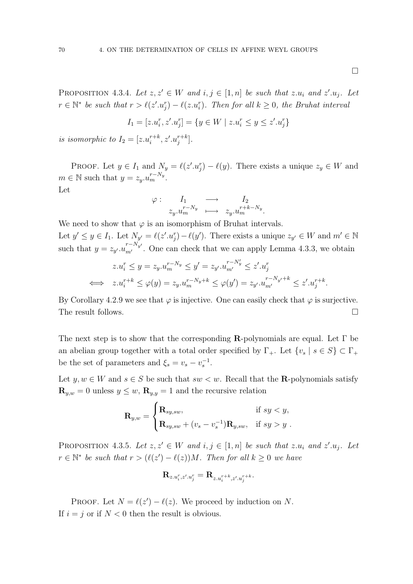$\Box$ 

.

PROPOSITION 4.3.4. Let  $z, z' \in W$  and  $i, j \in [1, n]$  be such that  $z.u_i$  and  $z'.u_j$ . Let  $r \in \mathbb{N}^*$  be such that  $r > \ell(z'.u_j^r) - \ell(z.u_i^r)$ . Then for all  $k \geq 0$ , the Bruhat interval

$$
I_1 = [z.u_i^r, z'.u_j^r] = \{ y \in W \mid z.u_i^r \le y \le z'.u_j^r \}
$$

is isomorphic to  $I_2 = [z.u_i^{r+k}, z'.u_j^{r+k}].$ 

PROOF. Let  $y \in I_1$  and  $N_y = \ell(z'.u_j^r) - \ell(y)$ . There exists a unique  $z_y \in W$  and  $m \in \mathbb{N}$  such that  $y = z_y \cdot u_m^{r - N_y}$ .

Let

$$
\varphi: \quad I_1 \quad \longrightarrow \quad I_2
$$
  

$$
z_y.u_m^{r-N_y} \quad \longmapsto \quad z_y.u_m^{r+k-N_y}.
$$

We need to show that  $\varphi$  is an isomorphism of Bruhat intervals. Let  $y' \le y \in I_1$ . Let  $N_{y'} = \ell(z'.u_j^r) - \ell(y')$ . There exists a unique  $z_{y'} \in W$  and  $m' \in \mathbb{N}$ such that  $y = z_{y'} u_{m'}^{r-N_{y'}}$ . One can check that we can apply Lemma 4.3.3, we obtain

$$
z.u_i^r \le y = z_y.u_m^{r-N_y} \le y' = z_{y'}.u_{m'}^{r-N_y'} \le z'.u_j^r
$$
  

$$
\iff z.u_i^{r+k} \le \varphi(y) = z_y.u_m^{r-N_y+k} \le \varphi(y') = z_{y'}.u_{m'}^{r-N_{y'}+k} \le z'.u_j^{r+k}
$$

By Corollary 4.2.9 we see that  $\varphi$  is injective. One can easily check that  $\varphi$  is surjective. The result follows.

The next step is to show that the corresponding  $\mathbf{R}$ -polynomials are equal. Let  $\Gamma$  be an abelian group together with a total order specified by  $\Gamma_+$ . Let  $\{v_s | s \in S\} \subset \Gamma_+$ be the set of parameters and  $\xi_s = v_s - v_s^{-1}$ .

Let  $y, w \in W$  and  $s \in S$  be such that  $sw < w$ . Recall that the **R**-polynomials satisfy  $\mathbf{R}_{y,w} = 0$  unless  $y \leq w$ ,  $\mathbf{R}_{y,y} = 1$  and the recursive relation

$$
\mathbf{R}_{y,w} = \begin{cases} \mathbf{R}_{sy,sw}, & \text{if } sy < y, \\ \mathbf{R}_{sy,sw} + (v_s - v_s^{-1}) \mathbf{R}_{y,sw}, & \text{if } sy > y. \end{cases}
$$

PROPOSITION 4.3.5. Let  $z, z' \in W$  and  $i, j \in [1, n]$  be such that  $z.u_i$  and  $z'.u_j$ . Let  $r \in \mathbb{N}^*$  be such that  $r > (\ell(z') - \ell(z))M$ . Then for all  $k \geq 0$  we have

$$
\mathbf{R}_{z.u_i^r,z'.u_j^r}=\mathbf{R}_{z.u_i^{r+k},z'.u_j^{r+k}}.
$$

PROOF. Let  $N = \ell(z') - \ell(z)$ . We proceed by induction on N. If  $i = j$  or if  $N < 0$  then the result is obvious.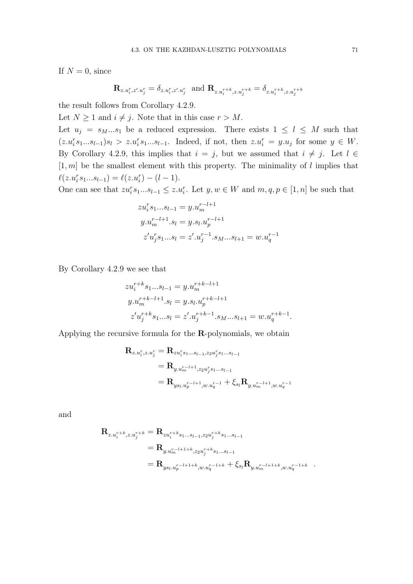If  $N = 0$ , since

$$
\mathbf{R}_{z.u_i^r,z'.u_j^r}=\delta_{z.u_i^r,z'.u_j^r} \ \text{ and } \mathbf{R}_{z.u_i^{r+k},z.u_j^{r+k}}=\delta_{z.u_i^{r+k},z.u_j^{r+k}}
$$

the result follows from Corollary 4.2.9.

Let  $N \geq 1$  and  $i \neq j$ . Note that in this case  $r > M$ .

Let  $u_j = s_M...s_1$  be a reduced expression. There exists  $1 \leq l \leq M$  such that  $(z.u_i^r s_1...s_{l-1})s_l > z.u_i^r s_1...s_{l-1}$ . Indeed, if not, then  $z.u_i^r = y.u_j$  for some  $y \in W$ . By Corollary 4.2.9, this implies that  $i = j$ , but we assumed that  $i \neq j$ . Let  $l \in$  $[1, m]$  be the smallest element with this property. The minimality of l implies that  $\ell(z \cdot u_i^r s_1 \dots s_{l-1}) = \ell(z \cdot u_i^r) - (l-1).$ 

One can see that  $zu_i^r s_1...s_{l-1} \leq z.u_i^r$ . Let  $y, w \in W$  and  $m, q, p \in [1, n]$  be such that

$$
zu_i^r s_1...s_{l-1} = y.u_m^{r-l+1}
$$
  

$$
y.u_m^{r-l+1}.s_l = y.s_l.u_p^{r-l+1}
$$
  

$$
z'u_j^r s_1...s_l = z'.u_j^{r-1}.s_M...s_{l+1} = w.u_q^{r-1}
$$

By Corollary 4.2.9 we see that

$$
zu_i^{r+k}s_1...s_{l-1} = y.u_m^{r+k-l+1}
$$
  
\n
$$
y.u_m^{r+k-l+1}.s_l = y.s_l.u_p^{r+k-l+1}
$$
  
\n
$$
z'u_j^{r+k}s_1...s_l = z'.u_j^{r+k-1}.s_M...s_{l+1} = w.u_q^{r+k-1}.
$$

Applying the recursive formula for the R-polynomials, we obtain

$$
\begin{aligned} \mathbf{R}_{z.u_i^r,z.u_j^r} &= \mathbf{R}_{zu_i^r s_1...s_{l-1},z_2u_j^r s_1...s_{l-1}}\\ &= \mathbf{R}_{y.u_m^{r-l+1},z_2u_j^r s_1...s_{l-1}}\\ &= \mathbf{R}_{ys_l.u_p^{r-l+1},w.u_q^{r-1}} + \xi_{s_l} \mathbf{R}_{y.u_m^{r-l+1},w.u_q^{r-1}} \end{aligned}
$$

and

$$
\begin{aligned} \mathbf{R}_{z.u_i^{r+k},z.u_j^{r+k}} &= \mathbf{R}_{zu_i^{r+k}s_1...s_{l-1},z_2u_j^{r+k}s_1...s_{l-1}}\\ &= \mathbf{R}_{y.u_m^{r-l+1+k},z_2u_j^{r+k}s_1...s_{l-1}}\\ &= \mathbf{R}_{ys_l.u_p^{r-l+1+k},w.u_q^{r-1+k}} + \xi_{sl} \mathbf{R}_{y.u_m^{r-l+1+k},w.u_q^{r-1+k}} \end{aligned}
$$

.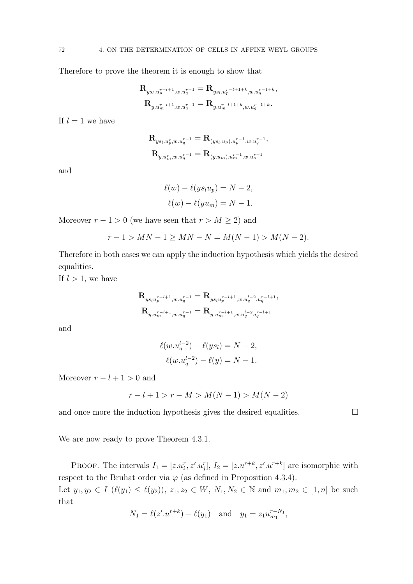Therefore to prove the theorem it is enough to show that

$$
\begin{aligned} \mathbf{R}_{y s_l. u_p^{r-l+1}, w. u_q^{r-1}} &= \mathbf{R}_{y s_l. u_p^{r-l+1+k}, w. u_q^{r-1+k}}, \\ \mathbf{R}_{y. u_m^{r-l+1}, w. u_q^{r-1}} &= \mathbf{R}_{y. u_m^{r-l+1+k}, w. u_q^{r-1+k}}. \end{aligned}
$$

If  $l = 1$  we have

$$
\begin{aligned} \mathbf{R}_{ys_l.u_l^r,w.u_q^{r-1}} &= \mathbf{R}_{(ys_l.u_p).u_p^{r-1},w.u_q^{r-1}}, \\ \mathbf{R}_{y.u_m^r,w.u_q^{r-1}} &= \mathbf{R}_{(y.u_m).u_m^{r-1},w.u_q^{r-1}} \end{aligned}
$$

and

$$
\ell(w) - \ell(y s_l u_p) = N - 2,
$$
  

$$
\ell(w) - \ell(y u_m) = N - 1.
$$

Moreover  $r - 1 > 0$  (we have seen that  $r > M \ge 2$ ) and

$$
r - 1 > MN - 1 \ge MN - N = M(N - 1) > M(N - 2).
$$

Therefore in both cases we can apply the induction hypothesis which yields the desired equalities.

If  $l > 1$ , we have

$$
\begin{aligned} \mathbf{R}_{y s_l u_p^{r-l+1}, w. u_q^{r-1}} &= \mathbf{R}_{y s_l u_p^{r-l+1}, w. u_q^{l-2} . u_q^{r-l+1}}, \\ \mathbf{R}_{y. u_m^{r-l+1}, w. u_q^{r-1}} &= \mathbf{R}_{y. u_m^{r-l+1}, w. u_q^{l-2} u_q^{r-l+1}} \end{aligned}
$$

and

$$
\ell(w.u_q^{l-2}) - \ell(ys_l) = N - 2,
$$
  

$$
\ell(w.u_q^{l-2}) - \ell(y) = N - 1.
$$

Moreover  $r - l + 1 > 0$  and

$$
r - l + 1 > r - M > M(N - 1) > M(N - 2)
$$

and once more the induction hypothesis gives the desired equalities.  $\Box$ 

We are now ready to prove Theorem 4.3.1.

PROOF. The intervals  $I_1 = [z.u_i^r, z'.u_j^r], I_2 = [z.u^{r+k}, z'.u^{r+k}]$  are isomorphic with respect to the Bruhat order via  $\varphi$  (as defined in Proposition 4.3.4).

Let  $y_1, y_2 \in I$   $(\ell(y_1) \leq \ell(y_2)), z_1, z_2 \in W, N_1, N_2 \in \mathbb{N}$  and  $m_1, m_2 \in [1, n]$  be such that

$$
N_1 = \ell(z'.u^{r+k}) - \ell(y_1)
$$
 and  $y_1 = z_1 u_{m_1}^{r-N_1}$ ,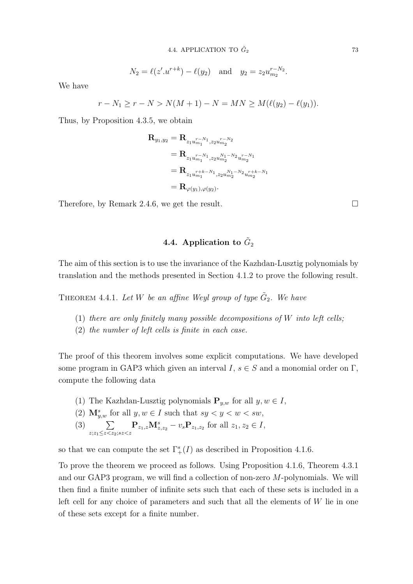$$
N_2 = \ell(z'.u^{r+k}) - \ell(y_2)
$$
 and  $y_2 = z_2 u_{m_2}^{r-N_2}$ .

We have

$$
r - N_1 \ge r - N > N(M + 1) - N = MN \ge M(\ell(y_2) - \ell(y_1)).
$$

Thus, by Proposition 4.3.5, we obtain

$$
\begin{aligned} \mathbf{R}_{y_1,y_2}&=\mathbf{R}_{z_1u_{m_1}^{r-N_1},z_2u_{m_2}^{r-N_2}}\\ &=\mathbf{R}_{z_1u_{m_1}^{r-N_1},z_2u_{m_2}^{N_1-N_2}u_{m_2}^{r-N_1}}\\ &=\mathbf{R}_{z_1u_{m_1}^{r+k-N_1},z_2u_{m_2}^{N_1-N_2}u_{m_2}^{r+k-N_1}}\\ &=\mathbf{R}_{\varphi(y_1),\varphi(y_2)}. \end{aligned}
$$

Therefore, by Remark 2.4.6, we get the result.

# 4.4. Application to  $\tilde{G}_2$

The aim of this section is to use the invariance of the Kazhdan-Lusztig polynomials by translation and the methods presented in Section 4.1.2 to prove the following result.

THEOREM 4.4.1. Let W be an affine Weyl group of type  $\tilde{G}_2$ . We have

- (1) there are only finitely many possible decompositions of  $W$  into left cells;
- (2) the number of left cells is finite in each case.

The proof of this theorem involves some explicit computations. We have developed some program in GAP3 which given an interval  $I, s \in S$  and a monomial order on  $\Gamma$ , compute the following data

- (1) The Kazhdan-Lusztig polynomials  $\mathbf{P}_{u,w}$  for all  $y, w \in I$ ,
- (2)  $\mathbf{M}_{y,w}^s$  for all  $y, w \in I$  such that  $sy < y < w < sw$ ,
- $(3) \qquad \sum$  $z; z_1 \leq z \lt z_2; sz \lt z$  $\mathbf{P}_{z_1,z}\mathbf{M}_{z,z_2}^s - v_s \mathbf{P}_{z_1,z_2}$  for all  $z_1, z_2 \in I$ ,

so that we can compute the set  $\Gamma_+^s(I)$  as described in Proposition 4.1.6.

To prove the theorem we proceed as follows. Using Proposition 4.1.6, Theorem 4.3.1 and our GAP3 program, we will find a collection of non-zero M-polynomials. We will then find a finite number of infinite sets such that each of these sets is included in a left cell for any choice of parameters and such that all the elements of  $W$  lie in one of these sets except for a finite number.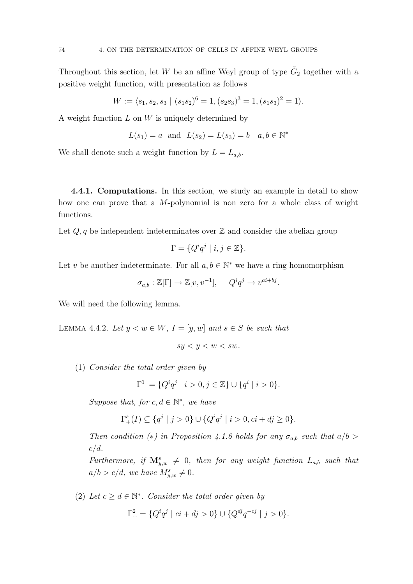Throughout this section, let W be an affine Weyl group of type  $\tilde{G}_2$  together with a positive weight function, with presentation as follows

$$
W := \langle s_1, s_2, s_3 \mid (s_1 s_2)^6 = 1, (s_2 s_3)^3 = 1, (s_1 s_3)^2 = 1 \rangle.
$$

A weight function  $L$  on  $W$  is uniquely determined by

$$
L(s_1) = a
$$
 and  $L(s_2) = L(s_3) = b$   $a, b \in \mathbb{N}^*$ 

We shall denote such a weight function by  $L = L_{a,b}$ .

4.4.1. Computations. In this section, we study an example in detail to show how one can prove that a M-polynomial is non zero for a whole class of weight functions.

Let  $Q, q$  be independent indeterminates over  $\mathbb Z$  and consider the abelian group

$$
\Gamma = \{ Q^i q^j \mid i, j \in \mathbb{Z} \}.
$$

Let v be another indeterminate. For all  $a, b \in \mathbb{N}^*$  we have a ring homomorphism

$$
\sigma_{a,b} : \mathbb{Z}[\Gamma] \to \mathbb{Z}[v, v^{-1}], \quad Q^i q^j \to v^{ai + bj}.
$$

We will need the following lemma.

LEMMA 4.4.2. Let  $y < w \in W$ ,  $I = [y, w]$  and  $s \in S$  be such that

$$
sy < y < w < sw.
$$

(1) Consider the total order given by

$$
\Gamma^1_+ = \{ Q^i q^j \mid i > 0, j \in \mathbb{Z} \} \cup \{ q^i \mid i > 0 \}.
$$

Suppose that, for  $c, d \in \mathbb{N}^*$ , we have

$$
\Gamma_+^s(I) \subseteq \{q^j \mid j > 0\} \cup \{Q^i q^j \mid i > 0, ci + dj \ge 0\}.
$$

Then condition (\*) in Proposition 4.1.6 holds for any  $\sigma_{a,b}$  such that  $a/b >$  $c/d$ .

Furthermore, if  $\mathbf{M}_{y,w}^s \neq 0$ , then for any weight function  $L_{a,b}$  such that  $a/b > c/d$ , we have  $M_{y,w}^s \neq 0$ .

(2) Let  $c \geq d \in \mathbb{N}^*$ . Consider the total order given by  $\Gamma^2_+ = \{ Q^i q^j \mid ci + dj > 0 \} \cup \{ Q^{dj} q^{-cj} \mid j > 0 \}.$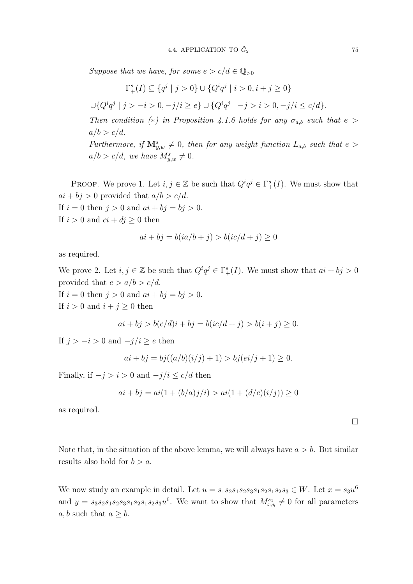Suppose that we have, for some  $e > c/d \in \mathbb{Q}_{>0}$ 

$$
\Gamma_+^s(I) \subseteq \{q^j \mid j > 0\} \cup \{Q^i q^j \mid i > 0, i + j \ge 0\}
$$

 $\cup \{Q^iq^j \mid j > -i > 0, -j/i \geq e\} \cup \{Q^iq^j \mid -j > i > 0, -j/i \leq c/d\}.$ 

Then condition (\*) in Proposition 4.1.6 holds for any  $\sigma_{a,b}$  such that  $e >$  $a/b > c/d$ .

Furthermore, if  $\mathbf{M}_{y,w}^s \neq 0$ , then for any weight function  $L_{a,b}$  such that  $e >$  $a/b > c/d$ , we have  $M_{y,w}^s \neq 0$ .

PROOF. We prove 1. Let  $i, j \in \mathbb{Z}$  be such that  $Q^i q^j \in \Gamma^s_+(I)$ . We must show that  $ai + bj > 0$  provided that  $a/b > c/d$ .

If  $i = 0$  then  $j > 0$  and  $ai + bj = bj > 0$ . If  $i > 0$  and  $ci + di$ 

If 
$$
i > 0
$$
 and  $ci + dj \geq 0$  then

$$
ai + bj = b(ia/b + j) > b(ic/d + j) \ge 0
$$

as required.

We prove 2. Let  $i, j \in \mathbb{Z}$  be such that  $Q^i q^j \in \Gamma^s_+(I)$ . We must show that  $ai + bj > 0$ provided that  $e > a/b > c/d$ .

If  $i = 0$  then  $j > 0$  and  $ai + bj = bj > 0$ . If  $i > 0$  and  $i + j \geq 0$  then

$$
ai + bj > b(c/d)i + bj = b(ic/d + j) > b(i + j) \ge 0.
$$

If  $j > -i > 0$  and  $-j/i \ge e$  then

$$
ai + bj = bj((a/b)(i/j) + 1) > bj(ei/j + 1) \ge 0.
$$

Finally, if  $-j > i > 0$  and  $-j/i \leq c/d$  then

$$
ai + bj = ai(1 + (b/a)j/i) > ai(1 + (d/c)(i/j)) \ge 0
$$

as required.

Note that, in the situation of the above lemma, we will always have  $a > b$ . But similar results also hold for  $b > a$ .

We now study an example in detail. Let  $u = s_1 s_2 s_1 s_2 s_3 s_1 s_2 s_1 s_2 s_3 \in W$ . Let  $x = s_3 u^6$ and  $y = s_3s_2s_1s_2s_3s_1s_2s_3u^6$ . We want to show that  $M_{x,y}^{s_1} \neq 0$  for all parameters a, b such that  $a \geq b$ .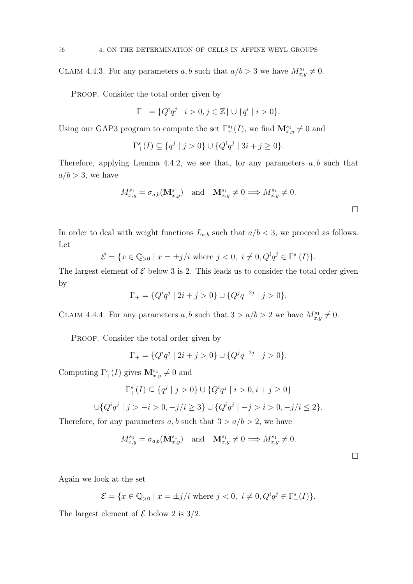CLAIM 4.4.3. For any parameters a, b such that  $a/b > 3$  we have  $M_{x,y}^{s_1} \neq 0$ .

PROOF. Consider the total order given by

$$
\Gamma_+ = \{ Q^i q^j \mid i > 0, j \in \mathbb{Z} \} \cup \{ q^i \mid i > 0 \}.
$$

Using our GAP3 program to compute the set  $\Gamma^{s_1}_{+}(I)$ , we find  $\mathbf{M}^{s_1}_{x,y} \neq 0$  and

$$
\Gamma_+^s(I) \subseteq \{ q^j \mid j > 0 \} \cup \{ Q^i q^j \mid 3i + j \ge 0 \}.
$$

Therefore, applying Lemma 4.4.2, we see that, for any parameters  $a, b$  such that  $a/b > 3$ , we have

$$
M_{x,y}^{s_1} = \sigma_{a,b}(\mathbf{M}_{x,y}^{s_1}) \text{ and } \mathbf{M}_{x,y}^{s_1} \neq 0 \Longrightarrow M_{x,y}^{s_1} \neq 0.
$$

In order to deal with weight functions  $L_{a,b}$  such that  $a/b < 3$ , we proceed as follows. Let

$$
\mathcal{E} = \{ x \in \mathbb{Q}_{>0} \mid x = \pm j/i \text{ where } j < 0, \ i \neq 0, Q^i q^j \in \Gamma^s_+(I) \}.
$$

The largest element of  $\mathcal E$  below 3 is 2. This leads us to consider the total order given by

$$
\Gamma_+ = \{ Q^i q^j \mid 2i + j > 0 \} \cup \{ Q^j q^{-2j} \mid j > 0 \}.
$$

CLAIM 4.4.4. For any parameters a, b such that  $3 > a/b > 2$  we have  $M_{x,y}^{s_1} \neq 0$ .

PROOF. Consider the total order given by

$$
\Gamma_+ = \{ Q^i q^j \mid 2i + j > 0 \} \cup \{ Q^j q^{-2j} \mid j > 0 \}.
$$

Computing  $\Gamma^s_+(I)$  gives  $\mathbf{M}^{s_1}_{x,y} \neq 0$  and

$$
\Gamma_+^s(I) \subseteq \{q^j \mid j > 0\} \cup \{Q^iq^j \mid i > 0, i + j \ge 0\}
$$

$$
\bigcup \{Q^iq^j \mid j > -i > 0, -j/i \ge 3\} \cup \{Q^iq^j \mid -j > i > 0, -j/i \le 2\}.
$$

Therefore, for any parameters  $a, b$  such that  $3 > a/b > 2$ , we have

$$
M_{x,y}^{s_1} = \sigma_{a,b}(\mathbf{M}_{x,y}^{s_1}) \quad \text{and} \quad \mathbf{M}_{x,y}^{s_1} \neq 0 \Longrightarrow M_{x,y}^{s_1} \neq 0.
$$

 $\Box$ 

Again we look at the set

$$
\mathcal{E} = \{ x \in \mathbb{Q}_{>0} \mid x = \pm j/i \text{ where } j < 0, i \neq 0, Q^i q^j \in \Gamma_+^s(I) \}.
$$

The largest element of  $\mathcal E$  below 2 is 3/2.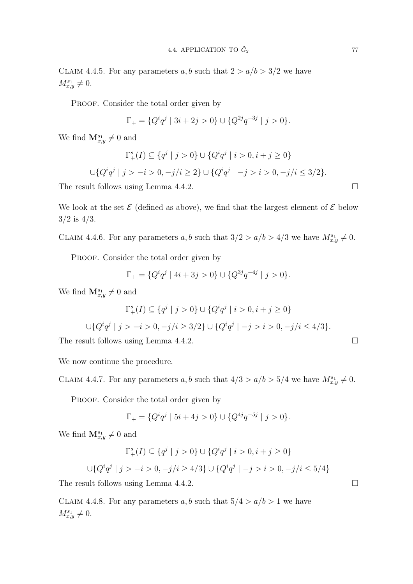CLAIM 4.4.5. For any parameters a, b such that  $2 > a/b > 3/2$  we have  $M_{x,y}^{s_1} \neq 0.$ 

PROOF. Consider the total order given by

$$
\Gamma_+ = \{ Q^i q^j \mid 3i + 2j > 0 \} \cup \{ Q^{2j} q^{-3j} \mid j > 0 \}.
$$

We find  $\mathbf{M}_{x,y}^{s_1} \neq 0$  and

$$
\Gamma_+^s(I) \subseteq \{q^j \mid j > 0\} \cup \{Q^i q^j \mid i > 0, i + j \ge 0\}
$$
  

$$
\cup \{Q^i q^j \mid j > -i > 0, -j/i \ge 2\} \cup \{Q^i q^j \mid -j > i > 0, -j/i \le 3/2\}.
$$

The result follows using Lemma 4.4.2.  $\Box$ 

We look at the set  $\mathcal E$  (defined as above), we find that the largest element of  $\mathcal E$  below  $3/2$  is  $4/3$ .

CLAIM 4.4.6. For any parameters a, b such that  $3/2 > a/b > 4/3$  we have  $M_{x,y}^{s_1} \neq 0$ .

PROOF. Consider the total order given by

$$
\Gamma_+ = \{ Q^i q^j \mid 4i + 3j > 0 \} \cup \{ Q^{3j} q^{-4j} \mid j > 0 \}.
$$

We find  $\mathbf{M}_{x,y}^{s_1} \neq 0$  and

$$
\Gamma_+^s(I) \subseteq \{q^j \mid j > 0\} \cup \{Q^iq^j \mid i > 0, i + j \ge 0\}
$$
  

$$
\cup \{Q^iq^j \mid j > -i > 0, -j/i \ge 3/2\} \cup \{Q^iq^j \mid -j > i > 0, -j/i \le 4/3\}.
$$

The result follows using Lemma 4.4.2.

We now continue the procedure.

CLAIM 4.4.7. For any parameters a, b such that  $4/3 > a/b > 5/4$  we have  $M_{x,y}^{s_1} \neq 0$ .

PROOF. Consider the total order given by

$$
\Gamma_+ = \{ Q^i q^j \mid 5i + 4j > 0 \} \cup \{ Q^{4j} q^{-5j} \mid j > 0 \}.
$$

We find  $\mathbf{M}_{x,y}^{s_1} \neq 0$  and

$$
\Gamma_+^s(I) \subseteq \{q^j \mid j > 0\} \cup \{Q^iq^j \mid i > 0, i + j \ge 0\}
$$

 $\bigcup \{Q^iq^j \mid j > -i > 0, -j/i \ge 4/3\} \cup \{Q^iq^j \mid -j > i > 0, -j/i \le 5/4\}$ 

The result follows using Lemma 4.4.2.

CLAIM 4.4.8. For any parameters  $a, b$  such that  $5/4 > a/b > 1$  we have  $M_{x,y}^{s_1} \neq 0.$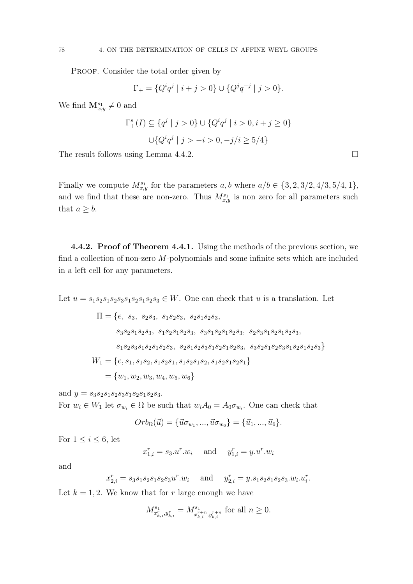PROOF. Consider the total order given by

$$
\Gamma_+ = \{ Q^i q^j \mid i+j>0 \} \cup \{ Q^j q^{-j} \mid j>0 \}.
$$

We find  $\mathbf{M}_{x,y}^{s_1} \neq 0$  and

$$
\Gamma_+^s(I) \subseteq \{q^j \mid j > 0\} \cup \{Q^i q^j \mid i > 0, i + j \ge 0\}
$$

$$
\cup \{Q^i q^j \mid j > -i > 0, -j/i \ge 5/4\}
$$

The result follows using Lemma 4.4.2.

Finally we compute  $M_{x,y}^{s_1}$  for the parameters  $a, b$  where  $a/b \in \{3, 2, 3/2, 4/3, 5/4, 1\},\$ and we find that these are non-zero. Thus  $M_{x,y}^{s_1}$  is non zero for all parameters such that  $a \geq b$ .

4.4.2. Proof of Theorem 4.4.1. Using the methods of the previous section, we find a collection of non-zero M-polynomials and some infinite sets which are included in a left cell for any parameters.

Let  $u = s_1 s_2 s_1 s_2 s_3 s_1 s_2 s_3 \in W$ . One can check that u is a translation. Let

$$
\Pi = \{e, s_3, s_2s_3, s_1s_2s_3, s_2s_1s_2s_3, \ns_3s_2s_1s_2s_3, s_1s_2s_1s_2s_3, s_3s_1s_2s_1s_2s_3, s_2s_3s_1s_2s_1s_2s_3, \ns_1s_2s_3s_1s_2s_1s_2s_3, s_2s_1s_2s_3s_1s_2s_1s_2s_3, s_3s_2s_1s_2s_3s_1s_2s_3\}
$$
\n
$$
W_1 = \{e, s_1, s_1s_2, s_1s_2s_1, s_1s_2s_1s_2, s_1s_2s_1s_2s_1\}
$$
\n
$$
= \{w_1, w_2, w_3, w_4, w_5, w_6\}
$$

and  $y = s_3s_2s_1s_2s_3s_1s_2s_1s_2s_3$ .

For  $w_i \in W_1$  let  $\sigma_{w_i} \in \Omega$  be such that  $w_i A_0 = A_0 \sigma_{w_i}$ . One can check that

$$
Orb_{\Omega}(\vec{u}) = {\vec{u}\sigma_{w_1}, ..., \vec{u}\sigma_{w_6}} = {\vec{u}_1, ..., \vec{u}_6}.
$$

For  $1 \leq i \leq 6$ , let

 $x_{1,i}^r = s_3 \cdot u^r \cdot w_i$  and  $y_{1,i}^r = y \cdot u^r \cdot w_i$ 

and

$$
x_{2,i}^r = s_3 s_1 s_2 s_1 s_2 s_3 u^r w_i
$$
 and  $y_{2,i}^r = y s_1 s_2 s_1 s_2 s_3 w_i u_i^r$ .

Let  $k = 1, 2$ . We know that for r large enough we have

$$
M^{s_1}_{x_{k,i}^r, y_{k,i}^r} = M^{s_1}_{x_{k,i}^{r+n}, y_{k,i}^{r+n}}
$$
 for all  $n \ge 0$ .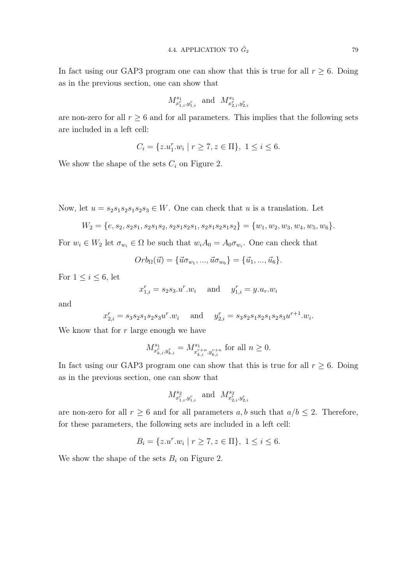In fact using our GAP3 program one can show that this is true for all  $r \geq 6$ . Doing as in the previous section, one can show that

$$
M^{{s_1}}_{x^r_{1,i},y^r_{1,i}} \ \ \text{and} \ \ M^{{s_1}}_{x^r_{2,i},y^r_{2,i}}
$$

are non-zero for all  $r \geq 6$  and for all parameters. This implies that the following sets are included in a left cell:

$$
C_i = \{ z.u_1^r.w_i \mid r \ge 7, z \in \Pi \}, \ 1 \le i \le 6.
$$

We show the shape of the sets  $C_i$  on Figure 2.

Now, let  $u = s_2 s_1 s_2 s_1 s_2 s_3 \in W$ . One can check that u is a translation. Let

$$
W_2 = \{e, s_2, s_2s_1, s_2s_1s_2, s_2s_1s_2s_1, s_2s_1s_2s_1s_2\} = \{w_1, w_2, w_3, w_4, w_5, w_6\}.
$$

For  $w_i \in W_2$  let  $\sigma_{w_i} \in \Omega$  be such that  $w_i A_0 = A_0 \sigma_{w_i}$ . One can check that

$$
Orb_{\Omega}(\vec{u}) = {\vec{u}\sigma_{w_1}, ..., \vec{u}\sigma_{w_6}} = {\vec{u}_1, ..., \vec{u}_6}.
$$

For  $1 \leq i \leq 6$ , let

$$
x_{1,i}^r = s_2 s_3.u^r.w_i
$$
 and  $y_{1,i}^r = y.u_r.w_i$ 

and

$$
x_{2,i}^r = s_3 s_2 s_1 s_2 s_3 u^r w_i
$$
 and  $y_{2,i}^r = s_3 s_2 s_1 s_2 s_1 s_2 s_3 u^{r+1} w_i$ .

We know that for  $r$  large enough we have

$$
M^{s_1}_{x_{k,i}^r, y_{k,i}^r}=M^{s_1}_{x_{k,i}^{r+n}, y_{k,i}^{r+n}} \text{ for all } n\geq 0.
$$

In fact using our GAP3 program one can show that this is true for all  $r \geq 6$ . Doing as in the previous section, one can show that

$$
M^{s_2}_{x^r_{1,i},y^r_{1,i}} \ \text{ and } \ M^{s_2}_{x^r_{2,i},y^r_{2,i}}
$$

are non-zero for all  $r \geq 6$  and for all parameters a, b such that  $a/b \leq 2$ . Therefore, for these parameters, the following sets are included in a left cell:

$$
B_i = \{ z.u^r.w_i \mid r \ge 7, z \in \Pi \}, \ 1 \le i \le 6.
$$

We show the shape of the sets  $B_i$  on Figure 2.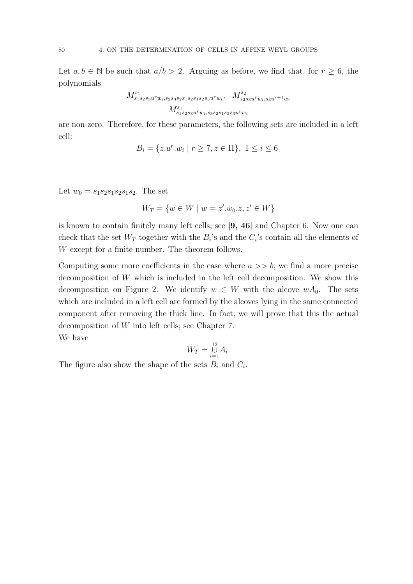Let  $a, b \in \mathbb{N}$  be such that  $a/b > 2$ . Arguing as before, we find that, for  $r \geq 6$ , the polynomials

$$
M_{s_1s_2s_3u^rw_i,s_2s_3s_2s_1s_2s_1s_2s_3u^rw_i}^{s_1}, M_{s_2s_3u^rw_i,s_3u^{r+1}w_i}^{s_2}
$$
  

$$
M_{s_1s_2s_3u^rw_i,s_3s_2s_1s_2s_3u^rw_i}^{s_1}
$$

are non-zero. Therefore, for these parameters, the following sets are included in a left cell:

$$
B_i = \{ z.u^r.w_i \mid r \ge 7, z \in \Pi \}, \ 1 \le i \le 6
$$

Let  $w_0 = s_1 s_2 s_1 s_2 s_1 s_2$ . The set

$$
W_T = \{ w \in W \mid w = z'.w_0.z, z' \in W \}
$$

is known to contain finitely many left cells; see [9, 46] and Chapter 6. Now one can check that the set  $W_T$  together with the  $B_i$ 's and the  $C_i$ 's contain all the elements of W except for a finite number. The theorem follows.

Computing some more coefficients in the case where  $a \gg b$ , we find a more precise decomposition of W which is included in the left cell decomposition. We show this decomposition on Figure 2. We identify  $w \in W$  with the alcove  $wA_0$ . The sets which are included in a left cell are formed by the alcoves lying in the same connected component after removing the thick line. In fact, we will prove that this the actual decomposition of W into left cells; see Chapter 7. We have

$$
W_T = \bigcup_{i=1}^{12} A_i.
$$

The figure also show the shape of the sets  $B_i$  and  $C_i$ .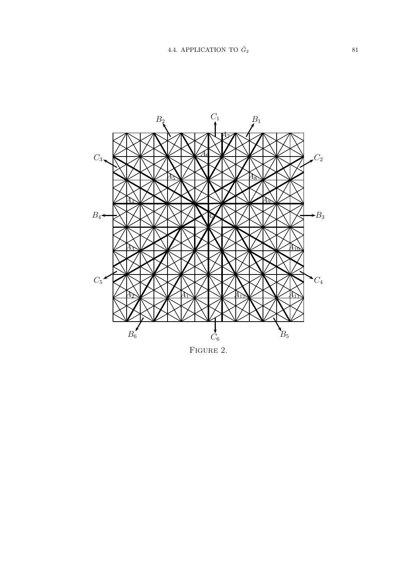

FIGURE 2.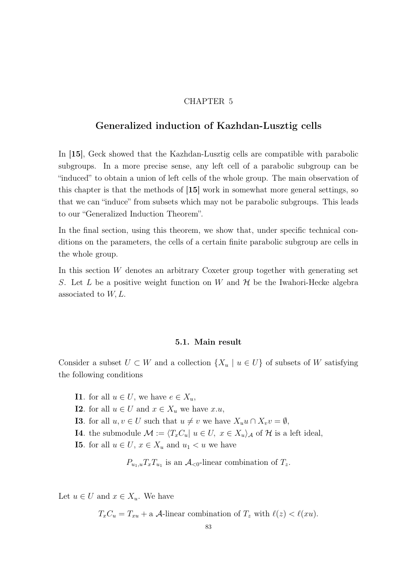## CHAPTER 5

## Generalized induction of Kazhdan-Lusztig cells

In [15], Geck showed that the Kazhdan-Lusztig cells are compatible with parabolic subgroups. In a more precise sense, any left cell of a parabolic subgroup can be "induced" to obtain a union of left cells of the whole group. The main observation of this chapter is that the methods of [15] work in somewhat more general settings, so that we can "induce" from subsets which may not be parabolic subgroups. This leads to our "Generalized Induction Theorem".

In the final section, using this theorem, we show that, under specific technical conditions on the parameters, the cells of a certain finite parabolic subgroup are cells in the whole group.

In this section  $W$  denotes an arbitrary Coxeter group together with generating set S. Let L be a positive weight function on W and  $\mathcal H$  be the Iwahori-Hecke algebra associated to  $W, L$ .

#### 5.1. Main result

Consider a subset  $U \subset W$  and a collection  $\{X_u \mid u \in U\}$  of subsets of W satisfying the following conditions

- **I1**. for all  $u \in U$ , we have  $e \in X_u$ ,
- **I2**. for all  $u \in U$  and  $x \in X_u$  we have  $x.u$ ,
- **I3**. for all  $u, v \in U$  such that  $u \neq v$  we have  $X_u u \cap X_v v = \emptyset$ ,
- **I4**. the submodule  $\mathcal{M} := \langle T_xC_u | u \in U, x \in X_u \rangle_{\mathcal{A}}$  of  $\mathcal{H}$  is a left ideal,
- **I5.** for all  $u \in U$ ,  $x \in X_u$  and  $u_1 < u$  we have

 $P_{u_1, u} T_x T_{u_1}$  is an  $\mathcal{A}_{< 0}$ -linear combination of  $T_z$ .

Let  $u \in U$  and  $x \in X_u$ . We have

 $T_xC_u = T_{x} + a$  A-linear combination of  $T_z$  with  $\ell(z) < \ell(xu)$ .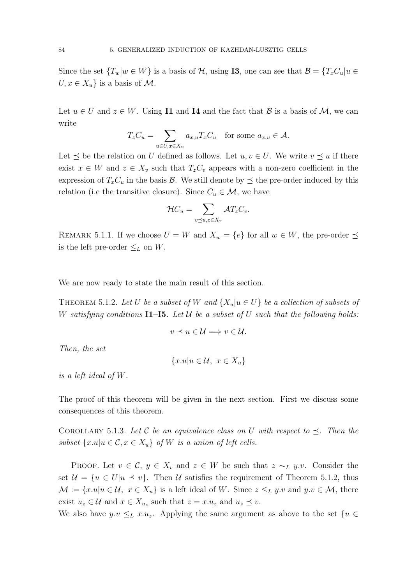Since the set  $\{T_w|w \in W\}$  is a basis of H, using **I3**, one can see that  $\mathcal{B} = \{T_xC_u|u \in W\}$  $U, x \in X_u$  is a basis of M.

Let  $u \in U$  and  $z \in W$ . Using **I1** and **I4** and the fact that  $\mathcal{B}$  is a basis of  $\mathcal{M}$ , we can write

$$
T_z C_u = \sum_{u \in U, x \in X_u} a_{x,u} T_x C_u \quad \text{for some } a_{x,u} \in \mathcal{A}.
$$

Let  $\prec$  be the relation on U defined as follows. Let  $u, v \in U$ . We write  $v \prec u$  if there exist  $x \in W$  and  $z \in X_v$  such that  $T_zC_v$  appears with a non-zero coefficient in the expression of  $T_xC_u$  in the basis  $\mathcal{B}$ . We still denote by  $\preceq$  the pre-order induced by this relation (i.e the transitive closure). Since  $C_u \in \mathcal{M}$ , we have

$$
\mathcal{H}C_u = \sum_{v \preceq u, z \in X_v} \mathcal{A}T_zC_v.
$$

REMARK 5.1.1. If we choose  $U = W$  and  $X_w = \{e\}$  for all  $w \in W$ , the pre-order  $\preceq$ is the left pre-order  $\leq_L$  on W.

We are now ready to state the main result of this section.

THEOREM 5.1.2. Let U be a subset of W and  $\{X_u | u \in U\}$  be a collection of subsets of W satisfying conditions  $\mathbf{I1}$ - $\mathbf{I5}$ . Let U be a subset of U such that the following holds:

$$
v \preceq u \in \mathcal{U} \Longrightarrow v \in \mathcal{U}.
$$

Then, the set

$$
\{x.u|u\in\mathcal{U},\ x\in X_u\}
$$

is a left ideal of W.

The proof of this theorem will be given in the next section. First we discuss some consequences of this theorem.

COROLLARY 5.1.3. Let C be an equivalence class on U with respect to  $\preceq$ . Then the subset  $\{x.u|u \in \mathcal{C}, x \in X_u\}$  of W is a union of left cells.

PROOF. Let  $v \in \mathcal{C}$ ,  $y \in X_v$  and  $z \in W$  be such that  $z \sim_L y.v$ . Consider the set  $\mathcal{U} = \{u \in U | u \le v\}$ . Then U satisfies the requirement of Theorem 5.1.2, thus  $\mathcal{M} := \{x.u|u \in \mathcal{U}, x \in X_u\}$  is a left ideal of W. Since  $z \leq_L y.v$  and  $y.v \in \mathcal{M}$ , there exist  $u_z \in \mathcal{U}$  and  $x \in X_{u_z}$  such that  $z = x.u_z$  and  $u_z \preceq v$ .

We also have  $y.v \leq_L x.u_z$ . Applying the same argument as above to the set  $\{u \in$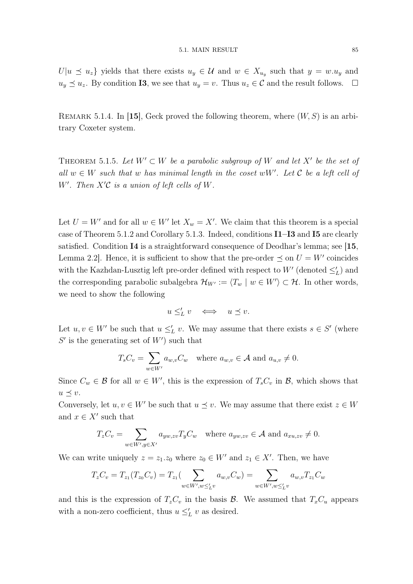$U|u \leq u_z$  yields that there exists  $u_y \in \mathcal{U}$  and  $w \in X_{u_y}$  such that  $y = w.u_y$  and  $u_y \preceq u_z$ . By condition **I3**, we see that  $u_y = v$ . Thus  $u_z \in \mathcal{C}$  and the result follows.  $\Box$ 

REMARK 5.1.4. In [15], Geck proved the following theorem, where  $(W, S)$  is an arbitrary Coxeter system.

THEOREM 5.1.5. Let  $W' \subset W$  be a parabolic subgroup of W and let X' be the set of all  $w \in W$  such that w has minimal length in the coset wW'. Let  $C$  be a left cell of W'. Then  $X'C$  is a union of left cells of W.

Let  $U = W'$  and for all  $w \in W'$  let  $X_w = X'$ . We claim that this theorem is a special case of Theorem 5.1.2 and Corollary 5.1.3. Indeed, conditions I1–I3 and I5 are clearly satisfied. Condition I4 is a straightforward consequence of Deodhar's lemma; see [15, Lemma 2.2. Hence, it is sufficient to show that the pre-order  $\preceq$  on  $U = W'$  coincides with the Kazhdan-Lusztig left pre-order defined with respect to  $W'$  (denoted  $\leq_L'$ ) and the corresponding parabolic subalgebra  $\mathcal{H}_{W'} := \langle T_w | w \in W' \rangle \subset \mathcal{H}$ . In other words, we need to show the following

$$
u \leq_L' v \quad \Longleftrightarrow \quad u \preceq v.
$$

Let  $u, v \in W'$  be such that  $u \leq_L' v$ . We may assume that there exists  $s \in S'$  (where  $S'$  is the generating set of  $W'$ ) such that

$$
T_s C_v = \sum_{w \in W'} a_{w,v} C_w \text{ where } a_{w,v} \in \mathcal{A} \text{ and } a_{u,v} \neq 0.
$$

Since  $C_w \in \mathcal{B}$  for all  $w \in W'$ , this is the expression of  $T_sC_v$  in  $\mathcal{B}$ , which shows that  $u \preceq v.$ 

Conversely, let  $u, v \in W'$  be such that  $u \preceq v$ . We may assume that there exist  $z \in W$ and  $x \in X'$  such that

$$
T_z C_v = \sum_{w \in W', y \in X'} a_{yw, zv} T_y C_w \text{ where } a_{yw, zv} \in \mathcal{A} \text{ and } a_{xu, zv} \neq 0.
$$

We can write uniquely  $z = z_1 \cdot z_0$  where  $z_0 \in W'$  and  $z_1 \in X'$ . Then, we have

$$
T_zC_v = T_{z_1}(T_{z_0}C_v) = T_{z_1}(\sum_{w \in W', w \leq'_L v} a_{w,v}C_w) = \sum_{w \in W', w \leq'_L v} a_{w,v}T_{z_1}C_w
$$

and this is the expression of  $T_zC_v$  in the basis  $\mathcal{B}$ . We assumed that  $T_xC_u$  appears with a non-zero coefficient, thus  $u \leq_L' v$  as desired.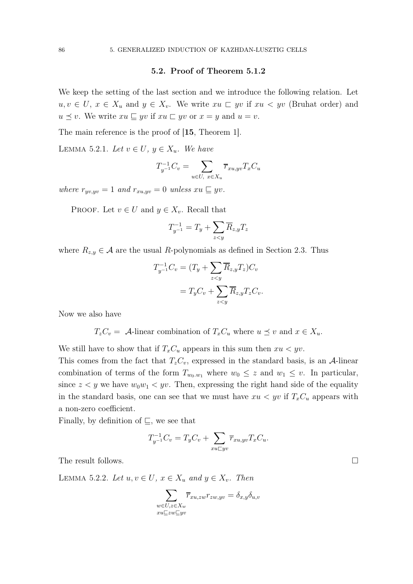## 5.2. Proof of Theorem 5.1.2

We keep the setting of the last section and we introduce the following relation. Let  $u, v \in U$ ,  $x \in X_u$  and  $y \in X_v$ . We write  $xu \subset yv$  if  $xu \langle yv \rangle$  (Bruhat order) and  $u \preceq v$ . We write  $xu \sqsubseteq yv$  if  $xu \sqsubset yv$  or  $x = y$  and  $u = v$ .

The main reference is the proof of [15, Theorem 1].

LEMMA 5.2.1. Let  $v \in U$ ,  $y \in X_u$ . We have

$$
T_{y^{-1}}^{-1}C_v = \sum_{u \in U, x \in X_u} \overline{r}_{xu, yv} T_x C_u
$$

where  $r_{yv, yv} = 1$  and  $r_{xu, yv} = 0$  unless  $xu \sqsubseteq yv$ .

PROOF. Let  $v \in U$  and  $y \in X_v$ . Recall that

$$
T_{y^{-1}}^{-1} = T_y + \sum_{z < y} \overline{R}_{z,y} T_z
$$

where  $R_{z,y} \in \mathcal{A}$  are the usual R-polynomials as defined in Section 2.3. Thus

$$
T_{y^{-1}}^{-1}C_v = (T_y + \sum_{z < y} \overline{R}_{z,y} T_z)C_v
$$
  
=  $T_y C_v + \sum_{z < y} \overline{R}_{z,y} T_z C_v$ .

Now we also have

 $T_zC_v = A$ -linear combination of  $T_xC_u$  where  $u \preceq v$  and  $x \in X_u$ .

We still have to show that if  $T_xC_u$  appears in this sum then  $xu < yv$ .

This comes from the fact that  $T_zC_v$ , expressed in the standard basis, is an A-linear combination of terms of the form  $T_{w_0,w_1}$  where  $w_0 \leq z$  and  $w_1 \leq v$ . In particular, since  $z < y$  we have  $w_0w_1 < yv$ . Then, expressing the right hand side of the equality in the standard basis, one can see that we must have  $xu < yv$  if  $T_xC_u$  appears with a non-zero coefficient.

Finally, by definition of  $\sqsubseteq$ , we see that

$$
T_{y^{-1}}^{-1}C_v = T_yC_v + \sum_{xu \sqsubset yv} \overline{r}_{xu, yv} T_xC_u.
$$

The result follows.

LEMMA 5.2.2. Let  $u, v \in U$ ,  $x \in X_u$  and  $y \in X_v$ . Then

$$
\sum_{\substack{w \in U, z \in X_w \\ xu \sqsubseteq zw \sqsubseteq yv}} \overline{r}_{xu,zw} r_{zw, yv} = \delta_{x,y} \delta_{u,v}
$$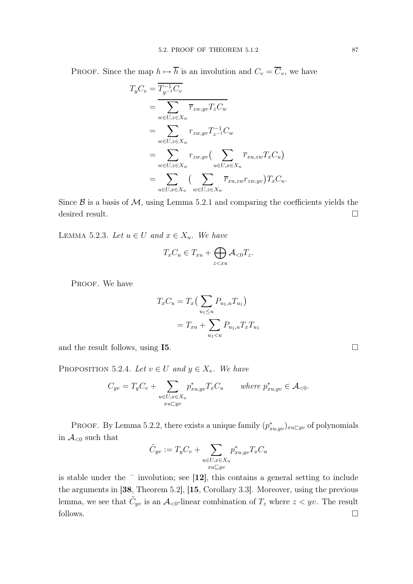PROOF. Since the map  $h \mapsto \overline{h}$  is an involution and  $C_v = \overline{C}_v$ , we have

$$
T_yC_v = \overline{T_{y^{-1}}C_v}
$$
  
\n
$$
= \sum_{w \in U, z \in X_w} \overline{r}_{zw, yv} T_zC_w
$$
  
\n
$$
= \sum_{w \in U, z \in X_w} r_{zw, yv} T_{z^{-1}}C_w
$$
  
\n
$$
= \sum_{w \in U, z \in X_w} r_{zw, yv} (\sum_{u \in U, x \in X_u} \overline{r}_{xu, zw} T_xC_u)
$$
  
\n
$$
= \sum_{u \in U, x \in X_u} (\sum_{w \in U, z \in X_w} \overline{r}_{xu, zw} r_{zw, yv}) T_xC_u.
$$

Since  $\beta$  is a basis of  $\mathcal{M}$ , using Lemma 5.2.1 and comparing the coefficients yields the desired result.  $\Box$ 

LEMMA 5.2.3. Let  $u \in U$  and  $x \in X_u$ . We have

$$
T_xC_u \in T_{xu} + \bigoplus_{z < xu} \mathcal{A}_{< 0} T_z.
$$

PROOF. We have

$$
T_x C_u = T_x \left( \sum_{u_1 \le u} P_{u_1, u} T_{u_1} \right)
$$
  
= 
$$
T_{xu} + \sum_{u_1 < u} P_{u_1, u} T_x T_{u_1}
$$

and the result follows, using I5.

PROPOSITION 5.2.4. Let  $v \in U$  and  $y \in X_v$ . We have

$$
C_{yv} = T_y C_v + \sum_{\substack{u \in U, x \in X_u \\ xu \subseteq yv}} p_{xu, yv}^* T_x C_u \quad \text{where } p_{xu, yv}^* \in \mathcal{A}_{< 0}.
$$

PROOF. By Lemma 5.2.2, there exists a unique family  $(p_{xu, yv}^*)_{xu\sqsubset yv}$  of polynomials in  $\mathcal{A}_{\leq 0}$  such that

$$
\tilde{C}_{yv} := T_{y}C_{v} + \sum_{\substack{u \in U, x \in X_{u} \\ xu \sqsubseteq yv}} p_{xu, yv}^{*} T_{x}C_{u}
$$

is stable under the  $\overline{\phantom{a}}$  involution; see [12], this contains a general setting to include the arguments in [38, Theorem 5.2], [15, Corollary 3.3]. Moreover, using the previous lemma, we see that  $\tilde{C}_{yv}$  is an  $\mathcal{A}_{\leq 0}$ -linear combination of  $T_z$  where  $z < yv$ . The result follows.  $\Box$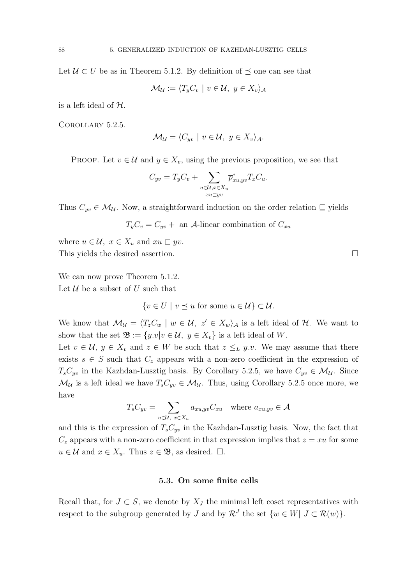Let  $U \subset U$  be as in Theorem 5.1.2. By definition of  $\preceq$  one can see that

$$
\mathcal{M}_{\mathcal{U}} := \langle T_y C_v \mid v \in \mathcal{U}, y \in X_v \rangle_{\mathcal{A}}
$$

is a left ideal of  $H$ .

COROLLARY 5.2.5.

$$
\mathcal{M}_{\mathcal{U}} = \langle C_{yv} \mid v \in \mathcal{U}, y \in X_{v} \rangle_{\mathcal{A}}.
$$

PROOF. Let  $v \in \mathcal{U}$  and  $y \in X_v$ , using the previous proposition, we see that

$$
C_{yv} = T_y C_v + \sum_{\substack{u \in \mathcal{U}, x \in X_u \\ xu \subseteq yv}} \overline{p}_{xu, yv}^* T_x C_u.
$$

Thus  $C_{yv} \in \mathcal{M}_{\mathcal{U}}$ . Now, a straightforward induction on the order relation  $\subseteq$  yields

 $T_vC_v = C_{uv} +$  an A-linear combination of  $C_{xu}$ 

where  $u \in \mathcal{U}$ ,  $x \in X_u$  and  $xu \sqsubset yv$ . This yields the desired assertion.  $\hfill \square$ 

We can now prove Theorem  $5.1.2$ . Let  $U$  be a subset of U such that

 $\{v \in U \mid v \leq u \text{ for some } u \in \mathcal{U}\}\subset \mathcal{U}.$ 

We know that  $\mathcal{M}_{\mathcal{U}} = \langle T_z C_w | w \in \mathcal{U}, z' \in X_w \rangle_{\mathcal{A}}$  is a left ideal of  $\mathcal{H}$ . We want to show that the set  $\mathfrak{B} := \{y.v | v \in \mathcal{U}, y \in X_v\}$  is a left ideal of W.

Let  $v \in \mathcal{U}, y \in X_v$  and  $z \in W$  be such that  $z \leq_L y.v$ . We may assume that there exists  $s \in S$  such that  $C_z$  appears with a non-zero coefficient in the expression of  $T_sC_{yv}$  in the Kazhdan-Lusztig basis. By Corollary 5.2.5, we have  $C_{yv} \in \mathcal{M}_{\mathcal{U}}$ . Since  $\mathcal{M}_{\mathcal{U}}$  is a left ideal we have  $T_sC_{yv} \in \mathcal{M}_{\mathcal{U}}$ . Thus, using Corollary 5.2.5 once more, we have

$$
T_s C_{yv} = \sum_{u \in \mathcal{U}, x \in X_u} a_{xu, yv} C_{xu} \text{ where } a_{xu, yv} \in \mathcal{A}
$$

and this is the expression of  $T_sC_{uv}$  in the Kazhdan-Lusztig basis. Now, the fact that  $C_z$  appears with a non-zero coefficient in that expression implies that  $z = xu$  for some  $u \in \mathcal{U}$  and  $x \in X_u$ . Thus  $z \in \mathfrak{B}$ , as desired.  $\Box$ .

#### 5.3. On some finite cells

Recall that, for  $J \subset S$ , we denote by  $X_J$  the minimal left coset representatives with respect to the subgroup generated by J and by  $\mathcal{R}^J$  the set  $\{w \in W | J \subset \mathcal{R}(w)\}.$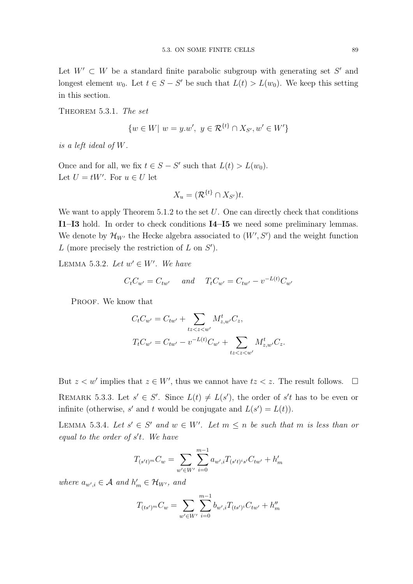Let  $W' \subset W$  be a standard finite parabolic subgroup with generating set S' and longest element  $w_0$ . Let  $t \in S - S'$  be such that  $L(t) > L(w_0)$ . We keep this setting in this section.

THEOREM 5.3.1. The set

$$
\{w \in W | w = y.w', y \in \mathcal{R}^{\{t\}} \cap X_{S'}, w' \in W'\}
$$

is a left ideal of W.

Once and for all, we fix  $t \in S - S'$  such that  $L(t) > L(w_0)$ . Let  $U = tW'$ . For  $u \in U$  let

$$
X_u = (\mathcal{R}^{\{t\}} \cap X_{S'})t.
$$

We want to apply Theorem  $5.1.2$  to the set  $U$ . One can directly check that conditions I1–I3 hold. In order to check conditions I4–I5 we need some preliminary lemmas. We denote by  $\mathcal{H}_{W'}$  the Hecke algebra associated to  $(W', S')$  and the weight function  $L$  (more precisely the restriction of  $L$  on  $S'$ ).

LEMMA 5.3.2. Let  $w' \in W'$ . We have

$$
C_t C_{w'} = C_{tw'}
$$
 and  $T_t C_{w'} = C_{tw'} - v^{-L(t)} C_{w'}$ 

PROOF. We know that

$$
C_t C_{w'} = C_{tw'} + \sum_{tz < z < w'} M_{z,w'}^t C_z,
$$
  
\n
$$
T_t C_{w'} = C_{tw'} - v^{-L(t)} C_{w'} + \sum_{tz < z < w'} M_{z,w'}^t C_z.
$$

But  $z < w'$  implies that  $z \in W'$ , thus we cannot have  $tz < z$ . The result follows.  $\Box$ REMARK 5.3.3. Let  $s' \in S'$ . Since  $L(t) \neq L(s')$ , the order of  $s't$  has to be even or infinite (otherwise, s' and t would be conjugate and  $L(s') = L(t)$ ).

LEMMA 5.3.4. Let  $s' \in S'$  and  $w \in W'$ . Let  $m \leq n$  be such that m is less than or equal to the order of  $s't$ . We have

$$
T_{(s't)^m}C_w = \sum_{w' \in W'} \sum_{i=0}^{m-1} a_{w',i} T_{(s't)^i s'} C_{tw'} + h'_m
$$

where  $a_{w',i} \in \mathcal{A}$  and  $h'_m \in \mathcal{H}_{W'}$ , and

$$
T_{(ts')}^{m}C_w = \sum_{w' \in W'} \sum_{i=0}^{m-1} b_{w',i} T_{(ts')}^{i} C_{tw'} + h''_m
$$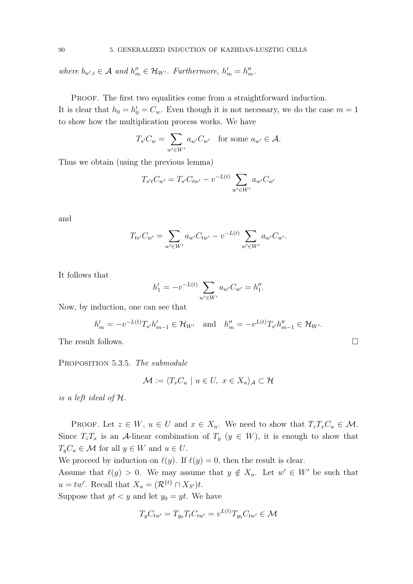where  $b_{w',i} \in \mathcal{A}$  and  $h''_m \in \mathcal{H}_{W'}$ . Furthermore,  $h'_m = h''_m$ .

PROOF. The first two equalities come from a straightforward induction. It is clear that  $h_0 = h'_0 = C_w$ . Even though it is not necessary, we do the case  $m = 1$ to show how the multiplication process works. We have

$$
T_{s'}C_w = \sum_{w' \in W'} a_{w'} C_{w'} \quad \text{for some } a_{w'} \in \mathcal{A}.
$$

Thus we obtain (using the previous lemma)

$$
T_{s't}C_{w'} = T_{s'}C_{tw'} - v^{-L(t)} \sum_{w' \in W'} a_{w'}C_{w'}
$$

and

$$
T_{ts'}C_{w'} = \sum_{w' \in W'} a_{w'}C_{tw'} - v^{-L(t)} \sum_{w' \in W'} a_{w'}C_{w'}.
$$

It follows that

$$
h'_1 = -v^{-L(t)} \sum_{w' \in W'} a_{w'} C_{w'} = h''_1.
$$

Now, by induction, one can see that

$$
h'_{m} = -v^{-L(t)}T_{s'}h'_{m-1} \in \mathcal{H}_{W'} \text{ and } h''_{m} = -v^{L(t)}T_{s'}h''_{m-1} \in \mathcal{H}_{W'}.
$$

The result follows.

PROPOSITION 5.3.5. The submodule

$$
\mathcal{M} := \langle T_x C_u \mid u \in U, \ x \in X_u \rangle_{\mathcal{A}} \subset \mathcal{H}
$$

is a left ideal of H.

PROOF. Let  $z \in W$ ,  $u \in U$  and  $x \in X_u$ . We need to show that  $T_zT_xC_u \in \mathcal{M}$ . Since  $T_zT_x$  is an A-linear combination of  $T_y$  ( $y \in W$ ), it is enough to show that  $T_yC_u \in \mathcal{M}$  for all  $y \in W$  and  $u \in U$ .

We proceed by induction on  $\ell(y)$ . If  $\ell(y) = 0$ , then the result is clear.

Assume that  $\ell(y) > 0$ . We may assume that  $y \notin X_u$ . Let  $w' \in W'$  be such that  $u = tw'$ . Recall that  $X_u = (\mathcal{R}^{\{t\}} \cap X_{S'})t$ .

Suppose that  $yt < y$  and let  $y_0 = yt$ . We have

$$
T_y C_{tw'} = T_{y_0} T_t C_{tw'} = v^{L(t)} T_{y_0} C_{tw'} \in \mathcal{M}
$$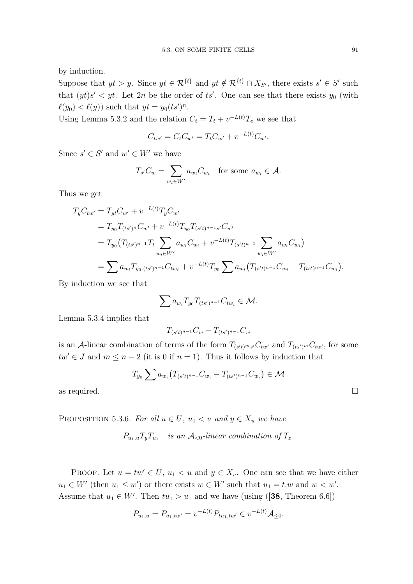by induction.

Suppose that  $yt > y$ . Since  $yt \in \mathcal{R}^{\{t\}}$  and  $yt \notin \mathcal{R}^{\{t\}} \cap X_{S'}$ , there exists  $s' \in S'$  such that  $(yt)s' < yt$ . Let  $2n$  be the order of ts'. One can see that there exists  $y_0$  (with  $\ell(y_0) < \ell(y)$  such that  $yt = y_0 (ts')^n$ .

Using Lemma 5.3.2 and the relation  $C_t = T_t + v^{-L(t)}T_e$  we see that

$$
C_{tw'} = C_t C_{w'} = T_t C_{w'} + v^{-L(t)} C_{w'}.
$$

Since  $s' \in S'$  and  $w' \in W'$  we have

$$
T_{s'}C_w = \sum_{w_i \in W'} a_{w_i} C_{w_i} \text{ for some } a_{w_i} \in \mathcal{A}.
$$

Thus we get

$$
T_y C_{tw'} = T_{yt} C_{w'} + v^{-L(t)} T_y C_{w'}
$$
  
=  $T_{y_0} T_{(ts')^n} C_{w'} + v^{-L(t)} T_{y_0} T_{(s't)^{n-1} s'} C_{w'}$   
=  $T_{y_0} (T_{(ts')^{n-1}} T_t \sum_{w_i \in W'} a_{w_i} C_{w_i} + v^{-L(t)} T_{(s't)^{n-1}} \sum_{w_i \in W'} a_{w_i} C_{w_i})$   
=  $\sum a_{w_i} T_{y_0.(ts')^{n-1}} C_{tw_i} + v^{-L(t)} T_{y_0} \sum a_{w_i} (T_{(s't)^{n-1}} C_{w_i} - T_{(ts')^{n-1}} C_{w_i}).$ 

By induction we see that

$$
\sum a_{w_i} T_{y_0} T_{(ts')^{n-1}} C_{tw_i} \in \mathcal{M}.
$$

Lemma 5.3.4 implies that

$$
T_{(s't)^{n-1}}C_w - T_{(ts')^{n-1}}C_w
$$

is an A-linear combination of terms of the form  $T_{(s't)^ms'}C_{tw'}$  and  $T_{(ts')^m}C_{tw'}$ , for some  $tw' \in J$  and  $m \leq n-2$  (it is 0 if  $n = 1$ ). Thus it follows by induction that

$$
T_{y_0} \sum a_{w_i} (T_{(s't)^{n-1}} C_{w_i} - T_{(ts')^{n-1}} C_{w_i}) \in \mathcal{M}
$$

as required.  $\Box$ 

PROPOSITION 5.3.6. For all  $u \in U$ ,  $u_1 < u$  and  $y \in X_u$  we have

$$
P_{u_1,u}T_yT_{u_1}
$$
 is an  $\mathcal{A}_{<0}$ -linear combination of  $T_z$ .

PROOF. Let  $u = tw' \in U$ ,  $u_1 < u$  and  $y \in X_u$ . One can see that we have either  $u_1 \in W'$  (then  $u_1 \leq w'$ ) or there exists  $w \in W'$  such that  $u_1 = t.w$  and  $w < w'$ . Assume that  $u_1 \in W'$ . Then  $tu_1 > u_1$  and we have (using ([38, Theorem 6.6])

$$
P_{u_1, u} = P_{u_1, tw'} = v^{-L(t)} P_{tu_1, tw'} \in v^{-L(t)} \mathcal{A}_{\leq 0}.
$$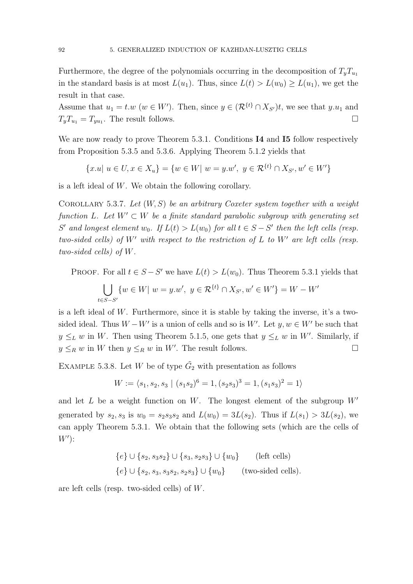Furthermore, the degree of the polynomials occurring in the decomposition of  $T_yT_{u_1}$ in the standard basis is at most  $L(u_1)$ . Thus, since  $L(t) > L(w_0) \geq L(u_1)$ , we get the result in that case.

Assume that  $u_1 = t.w$  ( $w \in W'$ ). Then, since  $y \in (\mathcal{R}^{\{t\}} \cap X_{S'})t$ , we see that  $y.u_1$  and  $T_yT_{u_1} = T_{yu_1}$ . The result follows.

We are now ready to prove Theorem 5.3.1. Conditions I4 and I5 follow respectively from Proposition 5.3.5 and 5.3.6. Applying Theorem 5.1.2 yields that

$$
\{x.u\mid u\in U, x\in X_u\} = \{w\in W\mid w=y.w', y\in \mathcal{R}^{\{t\}} \cap X_{S'}, w'\in W'\}
$$

is a left ideal of W. We obtain the following corollary.

COROLLARY 5.3.7. Let  $(W, S)$  be an arbitrary Coxeter system together with a weight function L. Let  $W' \subset W$  be a finite standard parabolic subgroup with generating set S' and longest element w<sub>0</sub>. If  $L(t) > L(w_0)$  for all  $t \in S - S'$  then the left cells (resp. two-sided cells) of W' with respect to the restriction of  $L$  to W' are left cells (resp. two-sided cells) of W.

PROOF. For all  $t \in S - S'$  we have  $L(t) > L(w_0)$ . Thus Theorem 5.3.1 yields that

$$
\bigcup_{t \in S - S'} \{ w \in W | \ w = y.w', \ y \in \mathcal{R}^{\{t\}} \cap X_{S'}, w' \in W' \} = W - W'
$$

is a left ideal of  $W$ . Furthermore, since it is stable by taking the inverse, it's a twosided ideal. Thus  $W - W'$  is a union of cells and so is W'. Let  $y, w \in W'$  be such that  $y \leq_L w$  in W. Then using Theorem 5.1.5, one gets that  $y \leq_L w$  in W'. Similarly, if  $y \leq_R w$  in W then  $y \leq_R w$  in W'. The result follows.

EXAMPLE 5.3.8. Let W be of type  $\tilde{G}_2$  with presentation as follows

$$
W := \langle s_1, s_2, s_3 \mid (s_1 s_2)^6 = 1, (s_2 s_3)^3 = 1, (s_1 s_3)^2 = 1 \rangle
$$

and let L be a weight function on W. The longest element of the subgroup  $W'$ generated by  $s_2, s_3$  is  $w_0 = s_2 s_3 s_2$  and  $L(w_0) = 3L(s_2)$ . Thus if  $L(s_1) > 3L(s_2)$ , we can apply Theorem 5.3.1. We obtain that the following sets (which are the cells of  $W'$ ):

$$
{e} \cup {s_2, s_3 s_2} \cup {s_3, s_2 s_3} \cup {w_0}
$$
 (left cells)  

$$
{e} \cup {s_2, s_3, s_3 s_2, s_2 s_3} \cup {w_0}
$$
 (two-sided cells).

are left cells (resp. two-sided cells) of W.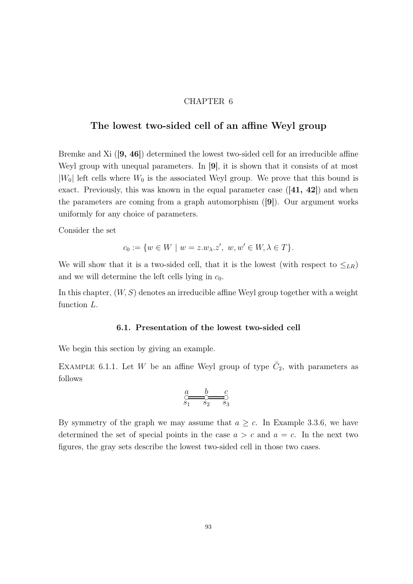#### CHAPTER 6

## The lowest two-sided cell of an affine Weyl group

Bremke and Xi ([9, 46]) determined the lowest two-sided cell for an irreducible affine Weyl group with unequal parameters. In [9], it is shown that it consists of at most  $|W_0|$  left cells where  $W_0$  is the associated Weyl group. We prove that this bound is exact. Previously, this was known in the equal parameter case  $([41, 42])$  and when the parameters are coming from a graph automorphism ([9]). Our argument works uniformly for any choice of parameters.

Consider the set

$$
c_0 := \{ w \in W \mid w = z.w_{\lambda}.z', w, w' \in W, \lambda \in T \}.
$$

We will show that it is a two-sided cell, that it is the lowest (with respect to  $\leq_{LR}$ ) and we will determine the left cells lying in  $c_0$ .

In this chapter,  $(W, S)$  denotes an irreducible affine Weyl group together with a weight function L.

#### 6.1. Presentation of the lowest two-sided cell

We begin this section by giving an example.

EXAMPLE 6.1.1. Let W be an affine Weyl group of type  $\tilde{C}_2$ , with parameters as follows

❡ ❡ ❡ s<sup>1</sup> s<sup>2</sup> s<sup>3</sup> a b c

By symmetry of the graph we may assume that  $a \geq c$ . In Example 3.3.6, we have determined the set of special points in the case  $a > c$  and  $a = c$ . In the next two figures, the gray sets describe the lowest two-sided cell in those two cases.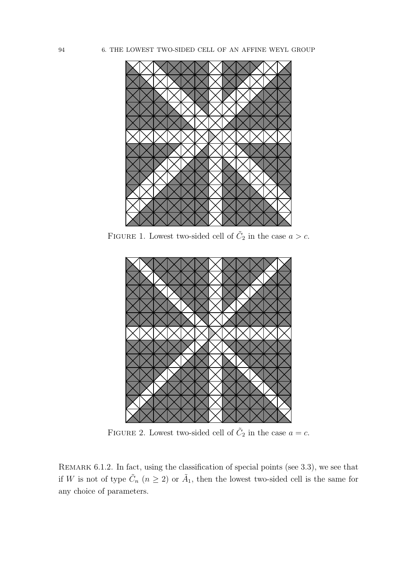94 6. THE LOWEST TWO-SIDED CELL OF AN AFFINE WEYL GROUP



FIGURE 1. Lowest two-sided cell of  $\tilde{C}_2$  in the case  $a > c$ .



FIGURE 2. Lowest two-sided cell of  $\tilde{C}_2$  in the case  $a = c$ .

REMARK 6.1.2. In fact, using the classification of special points (see 3.3), we see that if W is not of type  $\tilde{C}_n$   $(n \geq 2)$  or  $\tilde{A}_1$ , then the lowest two-sided cell is the same for any choice of parameters.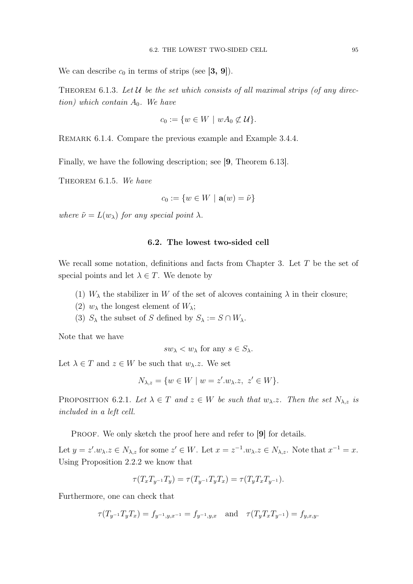We can describe  $c_0$  in terms of strips (see [3, 9]).

THEOREM 6.1.3. Let U be the set which consists of all maximal strips (of any direction) which contain  $A_0$ . We have

$$
c_0 := \{ w \in W \mid wA_0 \not\subset \mathcal{U} \}.
$$

REMARK 6.1.4. Compare the previous example and Example 3.4.4.

Finally, we have the following description; see [9, Theorem 6.13].

THEOREM 6.1.5. We have

$$
c_0 := \{ w \in W \mid \mathbf{a}(w) = \tilde{\nu} \}
$$

where  $\tilde{\nu} = L(w_{\lambda})$  for any special point  $\lambda$ .

#### 6.2. The lowest two-sided cell

We recall some notation, definitions and facts from Chapter 3. Let  $T$  be the set of special points and let  $\lambda \in T$ . We denote by

- (1)  $W_{\lambda}$  the stabilizer in W of the set of alcoves containing  $\lambda$  in their closure;
- (2)  $w_{\lambda}$  the longest element of  $W_{\lambda}$ ;
- (3)  $S_{\lambda}$  the subset of S defined by  $S_{\lambda} := S \cap W_{\lambda}$ .

Note that we have

$$
sw_{\lambda} < w_{\lambda} \text{ for any } s \in S_{\lambda}.
$$

Let  $\lambda \in T$  and  $z \in W$  be such that  $w_{\lambda}$ . We set

$$
N_{\lambda,z} = \{ w \in W \mid w = z'.w_{\lambda}.z, z' \in W \}.
$$

PROPOSITION 6.2.1. Let  $\lambda \in T$  and  $z \in W$  be such that  $w_{\lambda}z$ . Then the set  $N_{\lambda,z}$  is included in a left cell.

PROOF. We only sketch the proof here and refer to [9] for details.

Let  $y = z' \cdot w_\lambda z \in N_{\lambda, z}$  for some  $z' \in W$ . Let  $x = z^{-1} \cdot w_\lambda z \in N_{\lambda, z}$ . Note that  $x^{-1} = x$ . Using Proposition 2.2.2 we know that

$$
\tau(T_x T_{y^{-1}} T_y) = \tau(T_{y^{-1}} T_y T_x) = \tau(T_y T_x T_{y^{-1}}).
$$

Furthermore, one can check that

$$
\tau(T_{y^{-1}}T_yT_x) = f_{y^{-1},y,x^{-1}} = f_{y^{-1},y,x} \quad \text{and} \quad \tau(T_yT_xT_{y^{-1}}) = f_{y,x,y}.
$$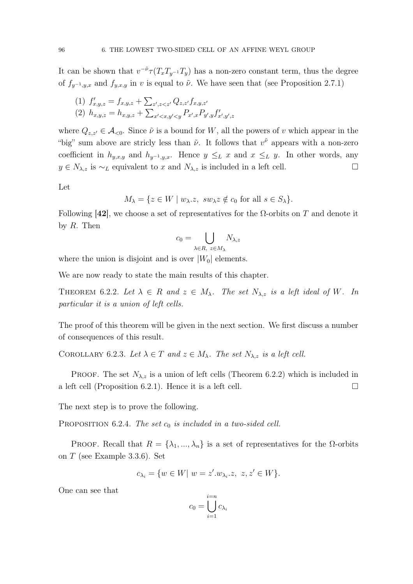It can be shown that  $v^{-\tilde{\nu}} \tau(T_x T_{y^{-1}} T_y)$  has a non-zero constant term, thus the degree of  $f_{y^{-1},y,x}$  and  $f_{y,x,y}$  in v is equal to  $\tilde{\nu}$ . We have seen that (see Proposition 2.7.1)

(1) 
$$
f'_{x,y,z} = f_{x,y,z} + \sum_{z',z < z'} Q_{z,z'} f_{x,y,z'}
$$
  
(2) 
$$
h_{x,y,z} = h_{x,y,z} + \sum_{x' < x,y' < y} P_{x',x} P_{y',y} f'_{x',y',z}
$$

where  $Q_{z,z'} \in \mathcal{A}_{\leq 0}$ . Since  $\tilde{\nu}$  is a bound for W, all the powers of v which appear in the "big" sum above are stricly less than  $\tilde{\nu}$ . It follows that  $v^{\tilde{\nu}}$  appears with a non-zero coefficient in  $h_{y,x,y}$  and  $h_{y^{-1},y,x}$ . Hence  $y \leq_L x$  and  $x \leq_L y$ . In other words, any  $y \in N_{\lambda,z}$  is ∼<sub>L</sub> equivalent to x and  $N_{\lambda,z}$  is included in a left cell.

Let

$$
M_{\lambda} = \{ z \in W \mid w_{\lambda} \ldotp z, \, sw_{\lambda} z \notin c_0 \text{ for all } s \in S_{\lambda} \}.
$$

Following [42], we choose a set of representatives for the  $\Omega$ -orbits on T and denote it by  $R$ . Then

$$
c_0 = \bigcup_{\lambda \in R, \ z \in M_{\lambda}} N_{\lambda, z}
$$

where the union is disjoint and is over  $|W_0|$  elements.

We are now ready to state the main results of this chapter.

THEOREM 6.2.2. Let  $\lambda \in R$  and  $z \in M_{\lambda}$ . The set  $N_{\lambda, z}$  is a left ideal of W. In particular it is a union of left cells.

The proof of this theorem will be given in the next section. We first discuss a number of consequences of this result.

COROLLARY 6.2.3. Let  $\lambda \in T$  and  $z \in M_{\lambda}$ . The set  $N_{\lambda,z}$  is a left cell.

PROOF. The set  $N_{\lambda,z}$  is a union of left cells (Theorem 6.2.2) which is included in a left cell (Proposition 6.2.1). Hence it is a left cell.  $\Box$ 

The next step is to prove the following.

PROPOSITION 6.2.4. The set  $c_0$  is included in a two-sided cell.

PROOF. Recall that  $R = {\lambda_1, ..., \lambda_n}$  is a set of representatives for the  $\Omega$ -orbits on T (see Example 3.3.6). Set

$$
c_{\lambda_i} = \{ w \in W | w = z'.w_{\lambda_i} . z, \ z, z' \in W \}.
$$

One can see that

$$
c_0 = \bigcup_{i=1}^{i=n} c_{\lambda_i}
$$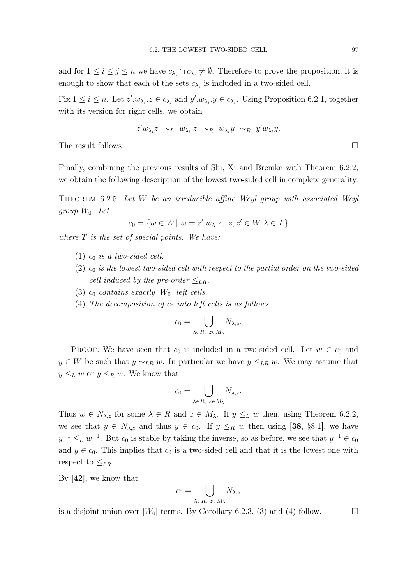and for  $1 \leq i \leq j \leq n$  we have  $c_{\lambda_i} \cap c_{\lambda_j} \neq \emptyset$ . Therefore to prove the proposition, it is enough to show that each of the sets  $c_{\lambda_i}$  is included in a two-sided cell.

Fix  $1 \leq i \leq n$ . Let  $z'.w_{\lambda_i} \, z \in c_{\lambda_i}$  and  $y'.w_{\lambda_i} \, y \in c_{\lambda_i}$ . Using Proposition 6.2.1, together with its version for right cells, we obtain

$$
z'w_{\lambda_i}z \sim_L w_{\lambda_i}z \sim_R w_{\lambda_i}y \sim_R y'w_{\lambda_i}y.
$$

The result follows.

Finally, combining the previous results of Shi, Xi and Bremke with Theorem 6.2.2, we obtain the following description of the lowest two-sided cell in complete generality.

THEOREM 6.2.5. Let  $W$  be an irreducible affine Weyl group with associated Weyl group  $W_0$ . Let

$$
c_0 = \{ w \in W \mid w = z'.w_{\lambda}.z, \ z, z' \in W, \lambda \in T \}
$$

where  $T$  is the set of special points. We have:

- (1)  $c_0$  is a two-sided cell.
- $(2)$   $c_0$  is the lowest two-sided cell with respect to the partial order on the two-sided cell induced by the pre-order  $\leq_{LR}$ .
- (3)  $c_0$  contains exactly  $|W_0|$  left cells.
- (4) The decomposition of  $c_0$  into left cells is as follows

$$
c_0 = \bigcup_{\lambda \in R, \ z \in M_{\lambda}} N_{\lambda, z}.
$$

PROOF. We have seen that  $c_0$  is included in a two-sided cell. Let  $w \in c_0$  and  $y \in W$  be such that  $y \sim_{LR} w$ . In particular we have  $y \leq_{LR} w$ . We may assume that  $y \leq_L w$  or  $y \leq_R w$ . We know that

$$
c_0 = \bigcup_{\lambda \in R, \ z \in M_{\lambda}} N_{\lambda, z}.
$$

Thus  $w \in N_{\lambda,z}$  for some  $\lambda \in R$  and  $z \in M_{\lambda}$ . If  $y \leq_L w$  then, using Theorem 6.2.2, we see that  $y \in N_{\lambda,z}$  and thus  $y \in c_0$ . If  $y \leq_R w$  then using [38, §8.1], we have  $y^{-1} \leq_L w^{-1}$ . But  $c_0$  is stable by taking the inverse, so as before, we see that  $y^{-1} \in c_0$ and  $y \in c_0$ . This implies that  $c_0$  is a two-sided cell and that it is the lowest one with respect to  $\leq_{LR}$ .

By [42], we know that

$$
c_0 = \bigcup_{\lambda \in R, \ z \in M_{\lambda}} N_{\lambda, z}
$$

is a disjoint union over  $|W_0|$  terms. By Corollary 6.2.3, (3) and (4) follow.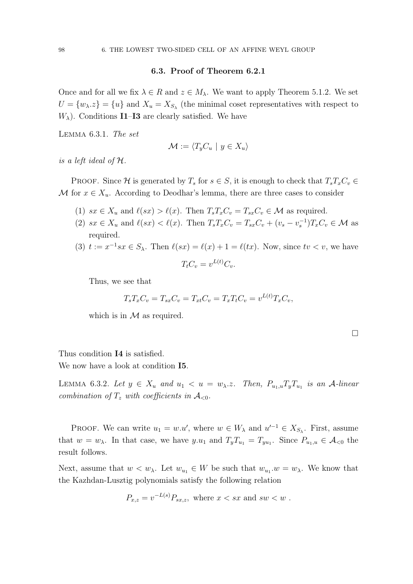#### 6.3. Proof of Theorem 6.2.1

Once and for all we fix  $\lambda \in R$  and  $z \in M_\lambda$ . We want to apply Theorem 5.1.2. We set  $U = \{w_{\lambda} \cdot z\} = \{u\}$  and  $X_u = X_{S_{\lambda}}$  (the minimal coset representatives with respect to  $W_{\lambda}$ ). Conditions **I1–I3** are clearly satisfied. We have

Lemma 6.3.1. The set

$$
\mathcal{M} := \langle T_y C_u \mid y \in X_u \rangle
$$

is a left ideal of H.

PROOF. Since H is generated by  $T_s$  for  $s \in S$ , it is enough to check that  $T_sT_xC_v \in$ M for  $x \in X_u$ . According to Deodhar's lemma, there are three cases to consider

- (1)  $sx \in X_u$  and  $\ell(sx) > \ell(x)$ . Then  $T_sT_xC_v = T_{sx}C_v \in \mathcal{M}$  as required.
- (2)  $sx \in X_u$  and  $\ell(sx) < \ell(x)$ . Then  $T_sT_xC_v = T_{sx}C_v + (v_s v_s^{-1})T_xC_v \in \mathcal{M}$  as required.
- (3)  $t := x^{-1}sx \in S_\lambda$ . Then  $\ell(sx) = \ell(x) + 1 = \ell(tx)$ . Now, since  $tv < v$ , we have  $L(t) \sim$

$$
T_t C_v = v^{L(t)} C_i
$$

Thus, we see that

$$
T_s T_x C_v = T_{sx} C_v = T_{xt} C_v = T_x T_t C_v = v^{L(t)} T_x C_v,
$$

which is in  $\mathcal M$  as required.

Thus condition I4 is satisfied.

We now have a look at condition **I5**.

LEMMA 6.3.2. Let  $y \in X_u$  and  $u_1 < u = w_{\lambda} \ldots$  Then,  $P_{u_1,u} T_y T_{u_1}$  is an A-linear combination of  $T_z$  with coefficients in  $\mathcal{A}_{\leq 0}$ .

PROOF. We can write  $u_1 = w.u'$ , where  $w \in W_\lambda$  and  $u'^{-1} \in X_{S_\lambda}$ . First, assume that  $w = w_{\lambda}$ . In that case, we have  $y.u_1$  and  $T_yT_{u_1} = T_{yu_1}$ . Since  $P_{u_1,u} \in \mathcal{A}_{<0}$  the result follows.

Next, assume that  $w < w_{\lambda}$ . Let  $w_{u_1} \in W$  be such that  $w_{u_1}.w = w_{\lambda}$ . We know that the Kazhdan-Lusztig polynomials satisfy the following relation

$$
P_{x,z} = v^{-L(s)} P_{sx,z}, \text{ where } x < sx \text{ and } sw < w .
$$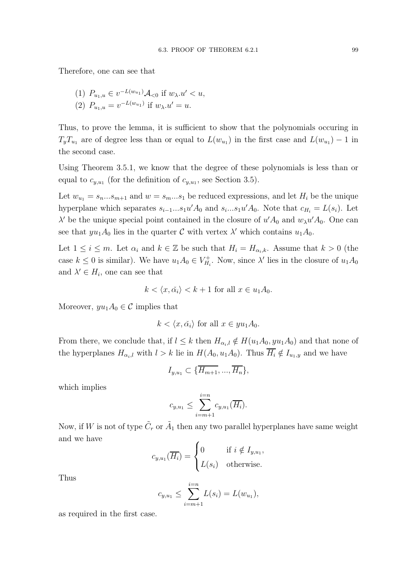Therefore, one can see that

(1) 
$$
P_{u_1,u} \in v^{-L(w_{u_1})} \mathcal{A}_{<0}
$$
 if  $w_\lambda.u' < u$ ,  
\n(2)  $P_{u_1,u} = v^{-L(w_{u_1})}$  if  $w_\lambda.u' = u$ .

Thus, to prove the lemma, it is sufficient to show that the polynomials occuring in  $T_yT_{u_1}$  are of degree less than or equal to  $L(w_{u_1})$  in the first case and  $L(w_{u_1}) - 1$  in the second case.

Using Theorem 3.5.1, we know that the degree of these polynomials is less than or equal to  $c_{y,u_1}$  (for the definition of  $c_{y,u_1}$ , see Section 3.5).

Let  $w_{u_1} = s_n...s_{m+1}$  and  $w = s_m...s_1$  be reduced expressions, and let  $H_i$  be the unique hyperplane which separates  $s_{i-1}...s_1u'A_0$  and  $s_i...s_1u'A_0$ . Note that  $c_{H_i} = L(s_i)$ . Let  $\lambda'$  be the unique special point contained in the closure of  $u'A_0$  and  $w_{\lambda}u'A_0$ . One can see that  $yu_1A_0$  lies in the quarter C with vertex  $\lambda'$  which contains  $u_1A_0$ .

Let  $1 \leq i \leq m$ . Let  $\alpha_i$  and  $k \in \mathbb{Z}$  be such that  $H_i = H_{\alpha_i,k}$ . Assume that  $k > 0$  (the case  $k \leq 0$  is similar). We have  $u_1 A_0 \in V_H^+$  $H_{H_i}^+$ . Now, since  $\lambda'$  lies in the closure of  $u_1 A_0$ and  $\lambda' \in H_i$ , one can see that

$$
k \langle x, \check{\alpha_i} \rangle < k+1 \text{ for all } x \in u_1 A_0.
$$

Moreover,  $yu_1A_0 \in \mathcal{C}$  implies that

$$
k < \langle x, \check{\alpha}_i \rangle
$$
 for all  $x \in yu_1A_0$ .

From there, we conclude that, if  $l \leq k$  then  $H_{\alpha_i,l} \notin H(u_1A_0, yu_1A_0)$  and that none of the hyperplanes  $H_{\alpha_i,l}$  with  $l > k$  lie in  $H(A_0, u_1A_0)$ . Thus  $\overline{H_i} \notin I_{u_1,y}$  and we have

$$
I_{y,u_1} \subset \{\overline{H_{m+1}},...,\overline{H_n}\},\
$$

which implies

$$
c_{y,u_1} \leq \sum_{i=m+1}^{i=n} c_{y,u_1}(\overline{H_i}).
$$

Now, if W is not of type  $\tilde{C}_r$  or  $\tilde{A}_1$  then any two parallel hyperplanes have same weight and we have

$$
c_{y,u_1}(\overline{H_i}) = \begin{cases} 0 & \text{if } i \notin I_{y,u_1}, \\ L(s_i) & \text{otherwise.} \end{cases}
$$

Thus

$$
c_{y,u_1} \le \sum_{i=m+1}^{i=n} L(s_i) = L(w_{u_1}),
$$

as required in the first case.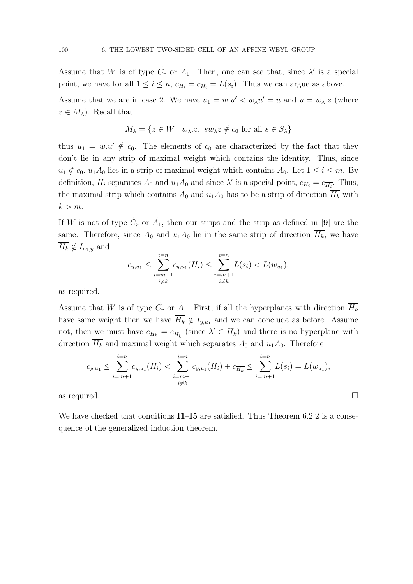Assume that W is of type  $\tilde{C}_r$  or  $\tilde{A}_1$ . Then, one can see that, since  $\lambda'$  is a special point, we have for all  $1 \leq i \leq n$ ,  $c_{H_i} = c_{\overline{H_i}} = L(s_i)$ . Thus we can argue as above.

Assume that we are in case 2. We have  $u_1 = w.u' < w_\lambda u' = u$  and  $u = w_\lambda.z$  (where  $z \in M_{\lambda}$ ). Recall that

$$
M_{\lambda} = \{ z \in W \mid w_{\lambda} \dots z, \, sw_{\lambda} z \notin c_0 \text{ for all } s \in S_{\lambda} \}
$$

thus  $u_1 = w.u' \notin c_0$ . The elements of  $c_0$  are characterized by the fact that they don't lie in any strip of maximal weight which contains the identity. Thus, since  $u_1 \notin c_0$ ,  $u_1A_0$  lies in a strip of maximal weight which contains  $A_0$ . Let  $1 \le i \le m$ . By definition,  $H_i$  separates  $A_0$  and  $u_1 A_0$  and since  $\lambda'$  is a special point,  $c_{H_i} = c_{\overline{H_i}}$ . Thus, the maximal strip which contains  $A_0$  and  $u_1A_0$  has to be a strip of direction  $\overline{H_k}$  with  $k > m$ .

If W is not of type  $\tilde{C}_r$  or  $\tilde{A}_1$ , then our strips and the strip as defined in [9] are the same. Therefore, since  $A_0$  and  $u_1A_0$  lie in the same strip of direction  $\overline{H_k}$ , we have  $\overline{H_k} \notin I_{u_1,y}$  and

$$
c_{y,u_1} \leq \sum_{\substack{i=m+1 \\ i \neq k}}^{i=n} c_{y,u_1}(\overline{H_i}) \leq \sum_{\substack{i=m+1 \\ i \neq k}}^{i=n} L(s_i) < L(w_{u_1}),
$$

as required.

Assume that W is of type  $\tilde{C}_r$  or  $\tilde{A}_1$ . First, if all the hyperplanes with direction  $\overline{H_k}$ have same weight then we have  $\overline{H_k} \notin I_{y,u_1}$  and we can conclude as before. Assume not, then we must have  $c_{H_k} = c_{\overline{H_k}}$  (since  $\lambda' \in H_k$ ) and there is no hyperplane with direction  $\overline{H_k}$  and maximal weight which separates  $A_0$  and  $u_1A_0$ . Therefore

$$
c_{y,u_1} \leq \sum_{i=m+1}^{i=n} c_{y,u_1}(\overline{H_i}) < \sum_{\substack{i=m+1 \ i \neq k}}^{i=n} c_{y,u_1}(\overline{H_i}) + c_{\overline{H_k}} \leq \sum_{i=m+1}^{i=n} L(s_i) = L(w_{u_1}),
$$

as required.  $\Box$ 

We have checked that conditions  $I1-I5$  are satisfied. Thus Theorem 6.2.2 is a consequence of the generalized induction theorem.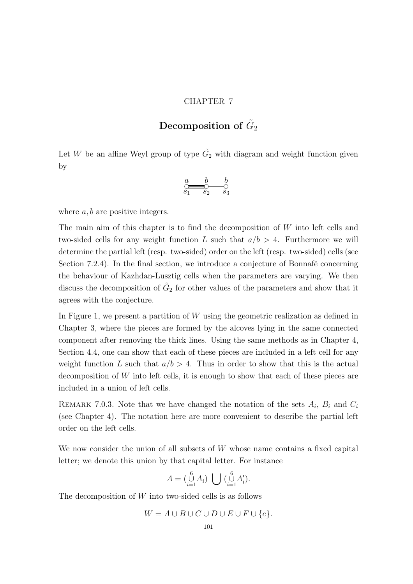#### CHAPTER 7

# Decomposition of  $\tilde{G}_2$

Let W be an affine Weyl group of type  $\tilde{G}_2$  with diagram and weight function given by

$$
\underset{s_1}{\overset{a}{\underset{s_2}{\bigcirc\circ\cdots\,\bigcirc\,}}}\begin{array}{c}b\\ \underset{s_1}{\overset{b}{\bigcirc\cdots\cdots\,\bigcirc}}}\end{array}\begin{array}{c}b\\ \underset{s_3}{\overset{b}{\bigcirc\cdots\,\cdots\,\bigcirc}}}\end{array}
$$

where  $a, b$  are positive integers.

The main aim of this chapter is to find the decomposition of W into left cells and two-sided cells for any weight function L such that  $a/b > 4$ . Furthermore we will determine the partial left (resp. two-sided) order on the left (resp. two-sided) cells (see Section 7.2.4). In the final section, we introduce a conjecture of Bonnafé concerning the behaviour of Kazhdan-Lusztig cells when the parameters are varying. We then discuss the decomposition of  $\tilde{G}_2$  for other values of the parameters and show that it agrees with the conjecture.

In Figure 1, we present a partition of  $W$  using the geometric realization as defined in Chapter 3, where the pieces are formed by the alcoves lying in the same connected component after removing the thick lines. Using the same methods as in Chapter 4, Section 4.4, one can show that each of these pieces are included in a left cell for any weight function L such that  $a/b > 4$ . Thus in order to show that this is the actual decomposition of W into left cells, it is enough to show that each of these pieces are included in a union of left cells.

REMARK 7.0.3. Note that we have changed the notation of the sets  $A_i$ ,  $B_i$  and  $C_i$ (see Chapter 4). The notation here are more convenient to describe the partial left order on the left cells.

We now consider the union of all subsets of W whose name contains a fixed capital letter; we denote this union by that capital letter. For instance

$$
A = \begin{pmatrix} 6 \\ 0 \\ i = 1 \end{pmatrix} \bigcup \begin{pmatrix} 6 \\ 0 \\ i = 1 \end{pmatrix} A'_i.
$$

The decomposition of  $W$  into two-sided cells is as follows

$$
W = A \cup B \cup C \cup D \cup E \cup F \cup \{e\}.
$$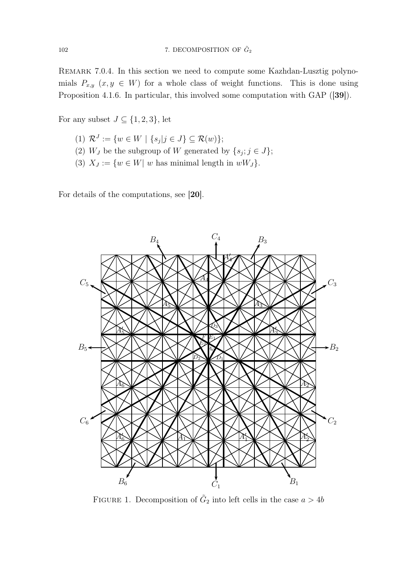Remark 7.0.4. In this section we need to compute some Kazhdan-Lusztig polynomials  $P_{x,y}$   $(x, y \in W)$  for a whole class of weight functions. This is done using Proposition 4.1.6. In particular, this involved some computation with GAP ([39]).

For any subset  $J \subseteq \{1, 2, 3\}$ , let

- (1)  $\mathcal{R}^J := \{ w \in W \mid \{ s_j | j \in J \} \subseteq \mathcal{R}(w) \};$
- (2)  $W_J$  be the subgroup of W generated by  $\{s_j; j \in J\};$
- (3)  $X_J := \{w \in W | w$  has minimal length in  $wW_J\}.$

For details of the computations, see [20].



FIGURE 1. Decomposition of  $\tilde{G}_2$  into left cells in the case  $a > 4b$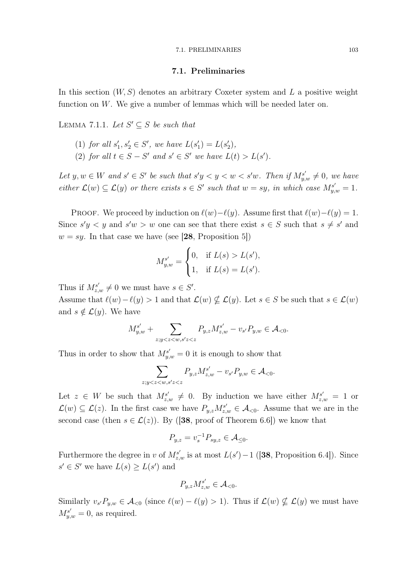#### 7.1. Preliminaries

In this section  $(W, S)$  denotes an arbitrary Coxeter system and L a positive weight function on  $W$ . We give a number of lemmas which will be needed later on.

LEMMA 7.1.1. Let  $S' \subseteq S$  be such that

- (1) for all  $s'_1, s'_2 \in S'$ , we have  $L(s'_1) = L(s'_2)$ ,
- (2) for all  $t \in S S'$  and  $s' \in S'$  we have  $L(t) > L(s')$ .

Let  $y, w \in W$  and  $s' \in S'$  be such that  $s'y < y < w < s'w$ . Then if  $M_{y,w}^{s'} \neq 0$ , we have either  $\mathcal{L}(w) \subseteq \mathcal{L}(y)$  or there exists  $s \in S'$  such that  $w = sy$ , in which case  $M_{y,w}^{s'} = 1$ .

PROOF. We proceed by induction on  $\ell(w)-\ell(y)$ . Assume first that  $\ell(w)-\ell(y)=1$ . Since  $s'y < y$  and  $s'w > w$  one can see that there exist  $s \in S$  such that  $s \neq s'$  and  $w = sy$ . In that case we have (see [28, Proposition 5])

$$
M_{y,w}^{s'} = \begin{cases} 0, & \text{if } L(s) > L(s'), \\ 1, & \text{if } L(s) = L(s'). \end{cases}
$$

Thus if  $M_{z,w}^{s'} \neq 0$  we must have  $s \in S'$ .

Assume that  $\ell(w) - \ell(y) > 1$  and that  $\mathcal{L}(w) \nsubseteq \mathcal{L}(y)$ . Let  $s \in S$  be such that  $s \in \mathcal{L}(w)$ and  $s \notin \mathcal{L}(y)$ . We have

$$
M_{y,w}^{s'} + \sum_{z;y
$$

Thus in order to show that  $M_{y,w}^{s'} = 0$  it is enough to show that

$$
\sum_{z;y
$$

Let  $z \in W$  be such that  $M_{z,w}^{s'} \neq 0$ . By induction we have either  $M_{z,w}^{s'} = 1$  or  $\mathcal{L}(w) \subseteq \mathcal{L}(z)$ . In the first case we have  $P_{y,z} M_{z,w}^{s'} \in \mathcal{A}_{< 0}$ . Assume that we are in the second case (then  $s \in \mathcal{L}(z)$ ). By ([38, proof of Theorem 6.6]) we know that

$$
P_{y,z} = v_s^{-1} P_{sy,z} \in \mathcal{A}_{\leq 0}.
$$

Furthermore the degree in v of  $M_{z,w}^{s'}$  is at most  $L(s')-1$  ([38, Proposition 6.4]). Since  $s' \in S'$  we have  $L(s) \ge L(s')$  and

$$
P_{y,z}M_{z,w}^{s'} \in \mathcal{A}_{<0}.
$$

Similarly  $v_{s'}P_{y,w} \in \mathcal{A}_{<0}$  (since  $\ell(w) - \ell(y) > 1$ ). Thus if  $\mathcal{L}(w) \nsubseteq \mathcal{L}(y)$  we must have  $M_{y,w}^{s'} = 0$ , as required.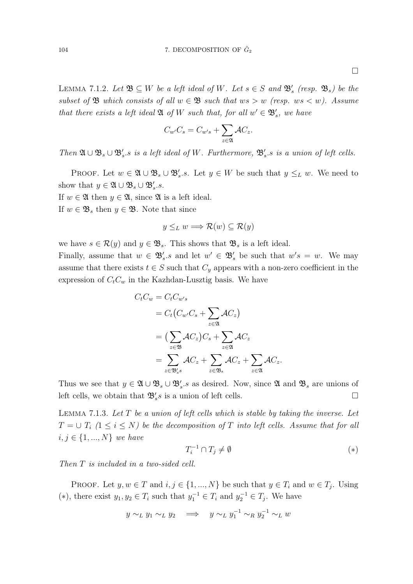$\Box$ 

LEMMA 7.1.2. Let  $\mathfrak{B} \subseteq W$  be a left ideal of W. Let  $s \in S$  and  $\mathfrak{B}'_s$  (resp.  $\mathfrak{B}_s$ ) be the subset of  $\mathfrak{B}$  which consists of all  $w \in \mathfrak{B}$  such that  $ws > w$  (resp.  $ws < w$ ). Assume that there exists a left ideal  $\mathfrak{A}$  of W such that, for all  $w' \in \mathfrak{B}'_s$ , we have

$$
C_{w'}C_s = C_{w's} + \sum_{z \in \mathfrak{A}} \mathcal{A}C_z.
$$

Then  $\mathfrak{A}\cup\mathfrak{B}_s\cup\mathfrak{B}'_s$  is a left ideal of W. Furthermore,  $\mathfrak{B}'_s$  is a union of left cells.

PROOF. Let  $w \in \mathfrak{A} \cup \mathfrak{B}_s \cup \mathfrak{B}'_s$ .s. Let  $y \in W$  be such that  $y \leq_L w$ . We need to show that  $y \in \mathfrak{A} \cup \mathfrak{B}_s \cup \mathfrak{B}'_s.s.$ 

If  $w \in \mathfrak{A}$  then  $y \in \mathfrak{A}$ , since  $\mathfrak{A}$  is a left ideal.

If  $w \in \mathfrak{B}_s$  then  $y \in \mathfrak{B}$ . Note that since

$$
y \leq_L w \Longrightarrow \mathcal{R}(w) \subseteq \mathcal{R}(y)
$$

we have  $s \in \mathcal{R}(y)$  and  $y \in \mathfrak{B}_s$ . This shows that  $\mathfrak{B}_s$  is a left ideal.

Finally, assume that  $w \in \mathfrak{B}'_s$  and let  $w' \in \mathfrak{B}'_s$  be such that  $w's = w$ . We may assume that there exists  $t \in S$  such that  $C_y$  appears with a non-zero coefficient in the expression of  $C_tC_w$  in the Kazhdan-Lusztig basis. We have

$$
C_t C_w = C_t C_{w's}
$$
  
=  $C_t (C_{w'} C_s + \sum_{z \in \mathfrak{A}} \mathcal{A} C_z)$   
=  $(\sum_{z \in \mathfrak{B}} \mathcal{A} C_z) C_s + \sum_{z \in \mathfrak{A}} \mathcal{A} C_z$   
=  $\sum_{z \in \mathfrak{B}'_s s} \mathcal{A} C_z + \sum_{z \in \mathfrak{B}_s} \mathcal{A} C_z + \sum_{z \in \mathfrak{A}} \mathcal{A} C_z.$ 

Thus we see that  $y \in \mathfrak{A} \cup \mathfrak{B}_s \cup \mathfrak{B}_s'$  as desired. Now, since  $\mathfrak{A}$  and  $\mathfrak{B}_s$  are unions of left cells, we obtain that  $\mathfrak{B}'_s s$  is a union of left cells.

LEMMA 7.1.3. Let  $T$  be a union of left cells which is stable by taking the inverse. Let  $T = \cup T_i$  ( $1 \le i \le N$ ) be the decomposition of T into left cells. Assume that for all  $i, j \in \{1, ..., N\}$  we have

$$
T_i^{-1} \cap T_j \neq \emptyset \tag{*}
$$

Then T is included in a two-sided cell.

PROOF. Let  $y, w \in T$  and  $i, j \in \{1, ..., N\}$  be such that  $y \in T_i$  and  $w \in T_j$ . Using (\*), there exist  $y_1, y_2 \in T_i$  such that  $y_1^{-1} \in T_i$  and  $y_2^{-1} \in T_j$ . We have

$$
y \sim_L y_1 \sim_L y_2 \implies y \sim_L y_1^{-1} \sim_R y_2^{-1} \sim_L w
$$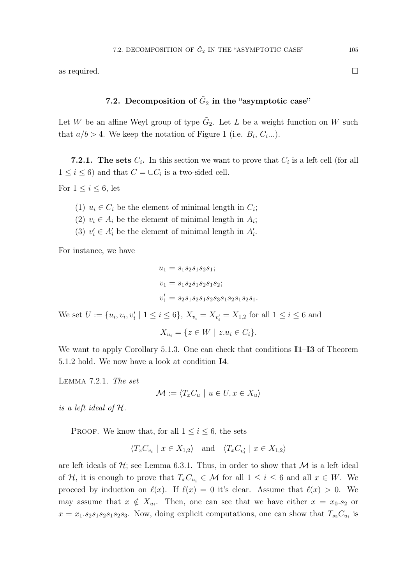as required.  $\Box$ 

# 7.2. Decomposition of  $\tilde{G}_2$  in the "asymptotic case"

Let W be an affine Weyl group of type  $\tilde{G}_2$ . Let L be a weight function on W such that  $a/b > 4$ . We keep the notation of Figure 1 (i.e.  $B_i, C_i...$ ).

**7.2.1.** The sets  $C_i$ . In this section we want to prove that  $C_i$  is a left cell (for all  $1 \leq i \leq 6$ ) and that  $C = \cup C_i$  is a two-sided cell.

For  $1 \leq i \leq 6$ , let

- (1)  $u_i \in C_i$  be the element of minimal length in  $C_i$ ;
- (2)  $v_i \in A_i$  be the element of minimal length in  $A_i$ ;
- (3)  $v'_i \in A'_i$  be the element of minimal length in  $A'_i$ .

For instance, we have

$$
u_1 = s_1 s_2 s_1 s_2 s_1;
$$
  
\n
$$
v_1 = s_1 s_2 s_1 s_2 s_1 s_2;
$$
  
\n
$$
v'_1 = s_2 s_1 s_2 s_1 s_2 s_3 s_1 s_2 s_1 s_2 s_1.
$$

We set  $U := \{u_i, v_i, v'_i \mid 1 \le i \le 6\}$ ,  $X_{v_i} = X_{v'_i} = X_{1,2}$  for all  $1 \le i \le 6$  and

$$
X_{u_i} = \{ z \in W \mid z.u_i \in C_i \}.
$$

We want to apply Corollary 5.1.3. One can check that conditions **I1–I3** of Theorem 5.1.2 hold. We now have a look at condition I4.

Lemma 7.2.1. The set

$$
\mathcal{M} := \langle T_x C_u \mid u \in U, x \in X_u \rangle
$$

is a left ideal of H.

PROOF. We know that, for all  $1 \leq i \leq 6$ , the sets

$$
\langle T_x C_{v_i} \mid x \in X_{1,2} \rangle
$$
 and  $\langle T_x C_{v'_i} \mid x \in X_{1,2} \rangle$ 

are left ideals of  $H$ ; see Lemma 6.3.1. Thus, in order to show that M is a left ideal of H, it is enough to prove that  $T_xC_{u_i} \in \mathcal{M}$  for all  $1 \leq i \leq 6$  and all  $x \in W$ . We proceed by induction on  $\ell(x)$ . If  $\ell(x) = 0$  it's clear. Assume that  $\ell(x) > 0$ . We may assume that  $x \notin X_{u_i}$ . Then, one can see that we have either  $x = x_0.s_2$  or  $x = x_1 \cdot s_2 s_1 s_2 s_1 s_2 s_3$ . Now, doing explicit computations, one can show that  $T_{s_2}C_{u_i}$  is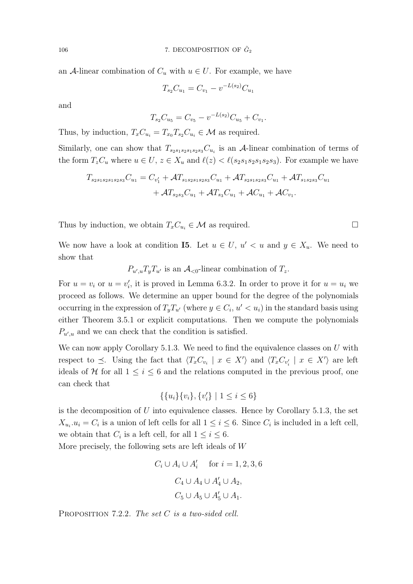an A-linear combination of  $C_u$  with  $u \in U$ . For example, we have

$$
T_{s_2}C_{u_1} = C_{v_1} - v^{-L(s_2)}C_{u_1}
$$

and

$$
T_{s_2}C_{u_5}=C_{v_5}-v^{-L(s_2)}C_{u_5}+C_{v_1}.
$$

Thus, by induction,  $T_xC_{u_i} = T_{x_0}T_{s_2}C_{u_i} \in \mathcal{M}$  as required.

Similarly, one can show that  $T_{s_2s_1s_2s_1s_2s_3}C_{u_i}$  is an A-linear combination of terms of the form  $T_zC_u$  where  $u \in U$ ,  $z \in X_u$  and  $\ell(z) < \ell(s_2s_1s_2s_1s_2s_3)$ . For example we have

$$
T_{s_2s_1s_2s_1s_2s_3}C_{u_1} = C_{v'_1} + \mathcal{A}T_{s_1s_2s_1s_2s_3}C_{u_1} + \mathcal{A}T_{s_2s_1s_2s_3}C_{u_1} + \mathcal{A}T_{s_1s_2s_3}C_{u_1} + \mathcal{A}T_{s_2s_3}C_{u_1} + \mathcal{A}T_{s_3}C_{u_1} + \mathcal{A}C_{u_1} + \mathcal{A}C_{v_1}.
$$

Thus by induction, we obtain  $T_xC_{u_i} \in \mathcal{M}$  as required.

We now have a look at condition 15. Let  $u \in U$ ,  $u' < u$  and  $y \in X_u$ . We need to show that

 $P_{u',u}T_yT_{u'}$  is an  $\mathcal{A}_{<0}$ -linear combination of  $T_z$ .

For  $u = v_i$  or  $u = v'_i$ , it is proved in Lemma 6.3.2. In order to prove it for  $u = u_i$  we proceed as follows. We determine an upper bound for the degree of the polynomials occurring in the expression of  $T_y T_{u'}$  (where  $y \in C_i$ ,  $u' < u_i$ ) in the standard basis using either Theorem 3.5.1 or explicit computations. Then we compute the polynomials  $P_{u',u}$  and we can check that the condition is satisfied.

We can now apply Corollary 5.1.3. We need to find the equivalence classes on  $U$  with respect to  $\preceq$ . Using the fact that  $\langle T_x C_{v_i} \mid x \in X' \rangle$  and  $\langle T_x C_{v'_i} \mid x \in X' \rangle$  are left ideals of H for all  $1 \leq i \leq 6$  and the relations computed in the previous proof, one can check that

$$
\{\{u_i\}\{v_i\}, \{v_i'\} \mid 1 \le i \le 6\}
$$

is the decomposition of  $U$  into equivalence classes. Hence by Corollary 5.1.3, the set  $X_{u_i}.u_i = C_i$  is a union of left cells for all  $1 \leq i \leq 6$ . Since  $C_i$  is included in a left cell, we obtain that  $C_i$  is a left cell, for all  $1 \leq i \leq 6$ .

More precisely, the following sets are left ideals of W

$$
C_i \cup A_i \cup A'_i \quad \text{for } i = 1, 2, 3, 6
$$

$$
C_4 \cup A_4 \cup A'_4 \cup A_2,
$$

$$
C_5 \cup A_5 \cup A'_5 \cup A_1.
$$

PROPOSITION 7.2.2. The set C is a two-sided cell.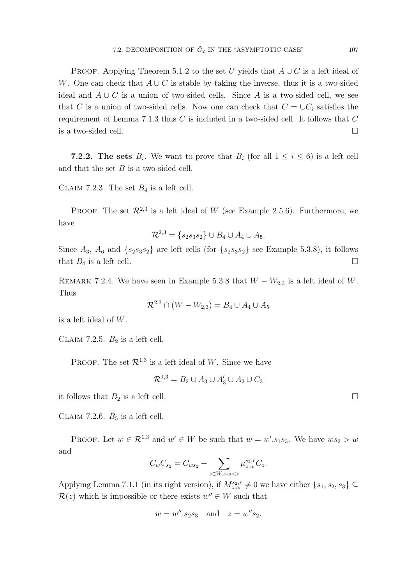PROOF. Applying Theorem 5.1.2 to the set U yields that  $A \cup C$  is a left ideal of W. One can check that  $A\cup C$  is stable by taking the inverse, thus it is a two-sided ideal and  $A \cup C$  is a union of two-sided cells. Since A is a two-sided cell, we see that C is a union of two-sided cells. Now one can check that  $C = \cup C_i$  satisfies the requirement of Lemma 7.1.3 thus  $C$  is included in a two-sided cell. It follows that  $C$ is a two-sided cell.  $\Box$ 

**7.2.2.** The sets  $B_i$ . We want to prove that  $B_i$  (for all  $1 \leq i \leq 6$ ) is a left cell and that the set  $B$  is a two-sided cell.

CLAIM 7.2.3. The set  $B_4$  is a left cell.

PROOF. The set  $\mathcal{R}^{2,3}$  is a left ideal of W (see Example 2.5.6). Furthermore, we have

$$
\mathcal{R}^{2,3} = \{s_2s_3s_2\} \cup B_4 \cup A_4 \cup A_5.
$$

Since  $A_3$ ,  $A_6$  and  $\{s_2s_3s_2\}$  are left cells (for  $\{s_2s_3s_2\}$  see Example 5.3.8), it follows that  $B_4$  is a left cell.

REMARK 7.2.4. We have seen in Example 5.3.8 that  $W - W_{2,3}$  is a left ideal of W. Thus

$$
\mathcal{R}^{2,3} \cap (W - W_{2,3}) = B_4 \cup A_4 \cup A_5
$$

is a left ideal of W.

CLAIM 7.2.5.  $B_2$  is a left cell.

PROOF. The set  $\mathcal{R}^{1,3}$  is a left ideal of W. Since we have

$$
\mathcal{R}^{1,3} = B_2 \cup A_3 \cup A'_3 \cup A_2 \cup C_3
$$

it follows that  $B_2$  is a left cell.

CLAIM 7.2.6.  $B_5$  is a left cell.

PROOF. Let  $w \in \mathcal{R}^{1,3}$  and  $w' \in W$  be such that  $w = w'.s_1s_3$ . We have  $ws_2 > w$ and

$$
C_w C_{s_2} = C_{ws_2} + \sum_{z \in W, zs_2 < z} \mu_{z,w}^{s_2, r} C_z.
$$

Applying Lemma 7.1.1 (in its right version), if  $M_{z,w}^{s_2,r} \neq 0$  we have either  $\{s_1, s_2, s_3\} \subseteq$  $\mathcal{R}(z)$  which is impossible or there exists  $w'' \in W$  such that

$$
w = w'' \n s2 s3
$$
 and  $z = w'' s2$ .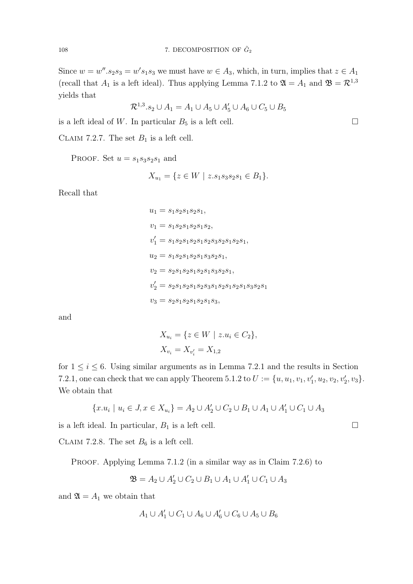Since  $w = w''$ .  $s_2 s_3 = w' s_1 s_3$  we must have  $w \in A_3$ , which, in turn, implies that  $z \in A_1$ (recall that  $A_1$  is a left ideal). Thus applying Lemma 7.1.2 to  $\mathfrak{A} = A_1$  and  $\mathfrak{B} = \mathcal{R}^{1,3}$ yields that

$$
\mathcal{R}^{1,3}.s_2 \cup A_1 = A_1 \cup A_5 \cup A'_5 \cup A_6 \cup C_5 \cup B_5
$$

is a left ideal of W. In particular  $B_5$  is a left cell.

CLAIM 7.2.7. The set  $B_1$  is a left cell.

PROOF. Set  $u = s_1 s_3 s_2 s_1$  and

$$
X_{u_1} = \{ z \in W \mid z.s_1s_3s_2s_1 \in B_1 \}.
$$

Recall that

$$
u_1 = s_1 s_2 s_1 s_2 s_1,
$$
  
\n
$$
v_1 = s_1 s_2 s_1 s_2 s_1 s_2,
$$
  
\n
$$
v'_1 = s_1 s_2 s_1 s_2 s_1 s_2 s_3 s_2 s_1 s_2 s_1,
$$
  
\n
$$
u_2 = s_1 s_2 s_1 s_2 s_1 s_3 s_2 s_1,
$$
  
\n
$$
v_2 = s_2 s_1 s_2 s_1 s_2 s_1 s_3 s_2 s_1,
$$
  
\n
$$
v'_2 = s_2 s_1 s_2 s_1 s_2 s_3 s_1 s_2 s_1 s_3 s_2 s_1
$$
  
\n
$$
v_3 = s_2 s_1 s_2 s_1 s_2 s_1 s_3,
$$

and

$$
X_{u_i} = \{ z \in W \mid z.u_i \in C_2 \},
$$
  

$$
X_{v_i} = X_{v'_i} = X_{1,2}
$$

for  $1 \leq i \leq 6$ . Using similar arguments as in Lemma 7.2.1 and the results in Section 7.2.1, one can check that we can apply Theorem 5.1.2 to  $U := \{u, u_1, v_1, v'_1, u_2, v_2, v'_2, v_3\}.$ We obtain that

$$
\{x.u_i \mid u_i \in J, x \in X_{u_i}\} = A_2 \cup A_2' \cup C_2 \cup B_1 \cup A_1 \cup A_1' \cup C_1 \cup A_3
$$

is a left ideal. In particular,  $B_1$  is a left cell.

CLAIM 7.2.8. The set  $B_6$  is a left cell.

PROOF. Applying Lemma 7.1.2 (in a similar way as in Claim 7.2.6) to

$$
\mathfrak{B}=A_2\cup A'_2\cup C_2\cup B_1\cup A_1\cup A'_1\cup C_1\cup A_3
$$

and  $\mathfrak{A} = A_1$  we obtain that

$$
A_1 \cup A'_1 \cup C_1 \cup A_6 \cup A'_6 \cup C_6 \cup A_5 \cup B_6
$$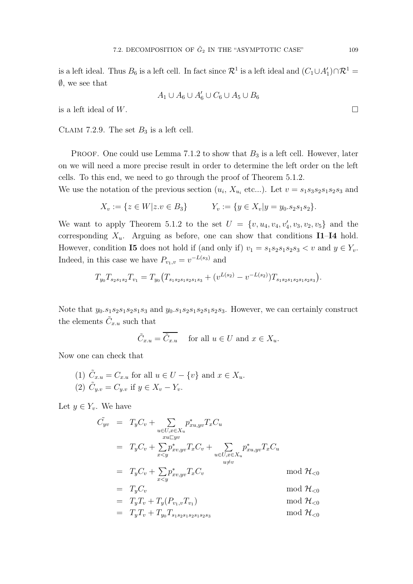is a left ideal. Thus  $B_6$  is a left cell. In fact since  $\mathcal{R}^1$  is a left ideal and  $(C_1 \cup A'_1) \cap \mathcal{R}^1 =$  $\emptyset$ , we see that

$$
A_1 \cup A_6 \cup A'_6 \cup C_6 \cup A_5 \cup B_6
$$

is a left ideal of W.

CLAIM 7.2.9. The set  $B_3$  is a left cell.

PROOF. One could use Lemma 7.1.2 to show that  $B_3$  is a left cell. However, later on we will need a more precise result in order to determine the left order on the left cells. To this end, we need to go through the proof of Theorem 5.1.2.

We use the notation of the previous section  $(u_i, X_{u_i}$  etc...). Let  $v = s_1 s_3 s_2 s_1 s_2 s_3$  and

$$
X_v := \{ z \in W | z.v \in B_3 \} \qquad Y_v := \{ y \in X_v | y = y_0 \cdot s_2 s_1 s_2 \}.
$$

We want to apply Theorem 5.1.2 to the set  $U = \{v, u_4, v_4, v_4, v_3, v_2, v_5\}$  and the corresponding  $X_u$ . Arguing as before, one can show that conditions I1–I4 hold. However, condition **I5** does not hold if (and only if)  $v_1 = s_1 s_2 s_1 s_2 s_3 < v$  and  $y \in Y_v$ . Indeed, in this case we have  $P_{v_1,v} = v^{-L(s_3)}$  and

$$
T_{y_0}T_{s_2s_1s_2}T_{v_1}=T_{y_0}\big(T_{s_1s_2s_1s_2s_1s_3}+(v^{L(s_2)}-v^{-L(s_2)})T_{s_1s_2s_1s_2s_1s_2s_3}\big).
$$

Note that  $y_0.s_1s_2s_1s_2s_1s_3$  and  $y_0.s_1s_2s_1s_2s_1s_2s_3$ . However, we can certainly construct the elements  $\tilde{C}_{x,u}$  such that

$$
\tilde{C}_{x.u} = \overline{\tilde{C}_{x.u}} \quad \text{ for all } u \in U \text{ and } x \in X_u.
$$

Now one can check that

(1) 
$$
\tilde{C}_{x,u} = C_{x,u}
$$
 for all  $u \in U - \{v\}$  and  $x \in X_u$ . \n(2)  $\tilde{C}_{y,v} = C_{y,v}$  if  $y \in X_v - Y_v$ .

Let  $y \in Y_v$ . We have

$$
\tilde{C}_{yv} = T_y C_v + \sum_{u \in U, x \in X_u} p_{xu, yv}^* T_x C_u
$$
\n
$$
= T_y C_v + \sum_{x < y} p_{xv, yv}^* T_x C_v + \sum_{u \in U, x \in X_u} p_{xu, yv}^* T_x C_u
$$
\n
$$
= T_y C_v + \sum_{x < y} p_{xv, yv}^* T_x C_v \qquad \text{mod } \mathcal{H}_{< 0}
$$
\n
$$
= T_y C_v \qquad \text{mod } \mathcal{H}_{< 0}
$$
\n
$$
= T_y T_v + T_y (P_{v_1, v} T_{v_1}) \qquad \text{mod } \mathcal{H}_{< 0}
$$
\n
$$
= T_y T_v + T_{y_0} T_{s_1 s_2 s_1 s_2 s_1 s_2 s_3} \qquad \text{mod } \mathcal{H}_{< 0}
$$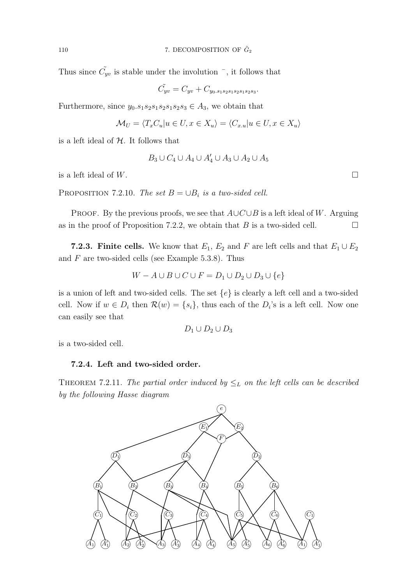Thus since  $\tilde{C}_{yv}$  is stable under the involution  $\overline{\phantom{a}}$ , it follows that

$$
\tilde{C_{yv}} = C_{yv} + C_{y_0.s_1s_2s_1s_2s_1s_2s_3}.
$$

Furthermore, since  $y_0.s_1s_2s_1s_2s_1s_2s_3 \in A_3$ , we obtain that

$$
\mathcal{M}_U = \langle T_x C_u | u \in U, x \in X_u \rangle = \langle C_{x,u} | u \in U, x \in X_u \rangle
$$

is a left ideal of  $H$ . It follows that

$$
B_3 \cup C_4 \cup A_4 \cup A'_4 \cup A_3 \cup A_2 \cup A_5
$$

is a left ideal of W.

PROPOSITION 7.2.10. The set  $B = \bigcup B_i$  is a two-sided cell.

PROOF. By the previous proofs, we see that  $A\cup C\cup B$  is a left ideal of W. Arguing as in the proof of Proposition 7.2.2, we obtain that B is a two-sided cell.  $\Box$ 

**7.2.3. Finite cells.** We know that  $E_1$ ,  $E_2$  and F are left cells and that  $E_1 \cup E_2$ and  $F$  are two-sided cells (see Example 5.3.8). Thus

$$
W - A \cup B \cup C \cup F = D_1 \cup D_2 \cup D_3 \cup \{e\}
$$

is a union of left and two-sided cells. The set  $\{e\}$  is clearly a left cell and a two-sided cell. Now if  $w \in D_i$  then  $\mathcal{R}(w) = \{s_i\}$ , thus each of the  $D_i$ 's is a left cell. Now one can easily see that

$$
D_1 \cup D_2 \cup D_3
$$

is a two-sided cell.

## 7.2.4. Left and two-sided order.

THEOREM 7.2.11. The partial order induced by  $\leq_L$  on the left cells can be described by the following Hasse diagram

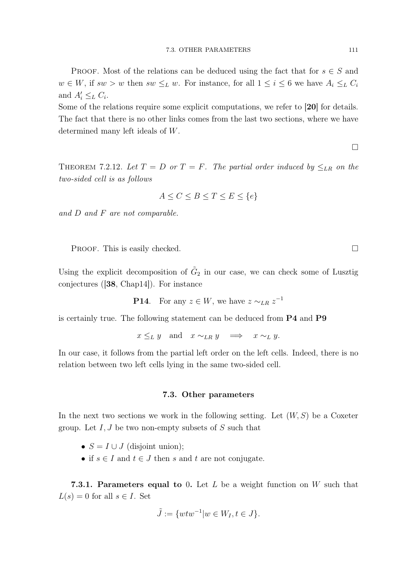PROOF. Most of the relations can be deduced using the fact that for  $s \in S$  and  $w \in W$ , if  $sw > w$  then  $sw \leq_L w$ . For instance, for all  $1 \leq i \leq 6$  we have  $A_i \leq_L C_i$ and  $A'_i \leq_L C_i$ .

Some of the relations require some explicit computations, we refer to [20] for details. The fact that there is no other links comes from the last two sections, where we have determined many left ideals of W.

 $\Box$ 

THEOREM 7.2.12. Let  $T = D$  or  $T = F$ . The partial order induced by  $\leq_{LR}$  on the two-sided cell is as follows

$$
A \le C \le B \le T \le E \le \{e\}
$$

and D and F are not comparable.

PROOF. This is easily checked.

Using the explicit decomposition of  $\tilde{G}_2$  in our case, we can check some of Lusztig conjectures ([38, Chap14]). For instance

**P14.** For any  $z \in W$ , we have  $z \sim_{LR} z^{-1}$ 

is certainly true. The following statement can be deduced from P4 and P9

 $x \leq_L y$  and  $x \sim_{LR} y \implies x \sim_L y$ .

In our case, it follows from the partial left order on the left cells. Indeed, there is no relation between two left cells lying in the same two-sided cell.

## 7.3. Other parameters

In the next two sections we work in the following setting. Let  $(W, S)$  be a Coxeter group. Let  $I, J$  be two non-empty subsets of  $S$  such that

- $S = I \cup J$  (disjoint union);
- if  $s \in I$  and  $t \in J$  then s and t are not conjugate.

**7.3.1. Parameters equal to** 0. Let L be a weight function on W such that  $L(s) = 0$  for all  $s \in I$ . Set

$$
\tilde{J} := \{wtw^{-1} | w \in W_I, t \in J\}.
$$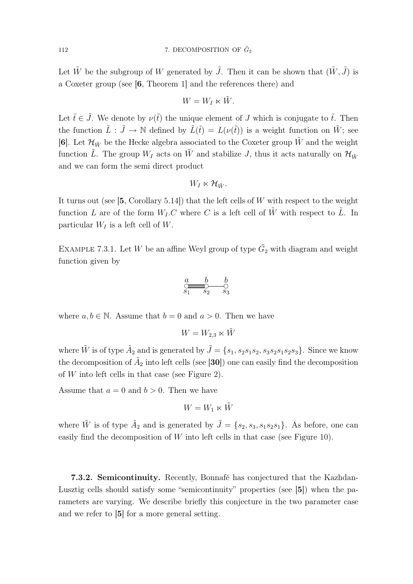Let  $\tilde{W}$  be the subgroup of W generated by  $\tilde{J}$ . Then it can be shown that  $(\tilde{W}, \tilde{J})$  is a Coxeter group (see [6, Theorem 1] and the references there) and

$$
W = W_I \ltimes \tilde{W}.
$$

Let  $\tilde{t} \in \tilde{J}$ . We denote by  $\nu(\tilde{t})$  the unique element of J which is conjugate to  $\tilde{t}$ . Then the function  $\tilde{L}$  :  $\tilde{J} \to \mathbb{N}$  defined by  $\tilde{L}(\tilde{t}) = L(\nu(\tilde{t}))$  is a weight function on  $\tilde{W}$ ; see [6]. Let  $\mathcal{H}_{\tilde{W}}$  be the Hecke algebra associated to the Coxeter group  $\tilde{W}$  and the weight function L. The group  $W_I$  acts on W and stabilize J, thus it acts naturally on  $\mathcal{H}_{\tilde{W}}$ and we can form the semi direct product

$$
W_I \ltimes \mathcal{H}_{\tilde{W}}.
$$

It turns out (see  $[5, Corollary 5.14]$ ) that the left cells of W with respect to the weight function L are of the form  $W_L C$  where C is a left cell of  $\tilde{W}$  with respect to  $\tilde{L}$ . In particular  $W_I$  is a left cell of W.

EXAMPLE 7.3.1. Let W be an affine Weyl group of type  $\tilde{G}_2$  with diagram and weight function given by

$$
\underset{S_1}{\overset{a}{\bigcirc\text{mod}}} \underset{S_2}{\overset{b}{\bigcirc\text{mod}}} \underset{S_3}{\overset{b}{\bigcirc\text{mod}}}
$$

where  $a, b \in \mathbb{N}$ . Assume that  $b = 0$  and  $a > 0$ . Then we have

$$
W=W_{2,3}\ltimes \tilde{W}
$$

where  $\tilde{W}$  is of type  $\tilde{A}_2$  and is generated by  $\tilde{J} = \{s_1, s_2s_1s_2, s_3s_2s_1s_2s_3\}$ . Since we know the decomposition of  $\tilde{A}_2$  into left cells (see [30]) one can easily find the decomposition of  $W$  into left cells in that case (see Figure 2).

Assume that  $a = 0$  and  $b > 0$ . Then we have

$$
W=W_1\ltimes \tilde{W}
$$

where  $\tilde{W}$  is of type  $\tilde{A}_2$  and is generated by  $\tilde{J} = \{s_2, s_3, s_1s_2s_1\}$ . As before, one can easily find the decomposition of  $W$  into left cells in that case (see Figure 10).

7.3.2. Semicontinuity. Recently, Bonnafé has conjectured that the Kazhdan-Lusztig cells should satisfy some "semicontinuity" properties (see [5]) when the parameters are varying. We describe briefly this conjecture in the two parameter case and we refer to [5] for a more general setting.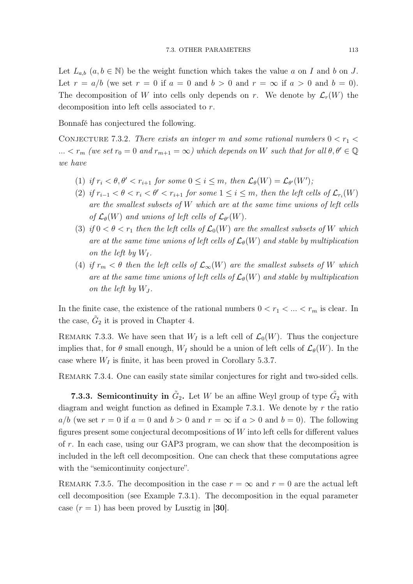Let  $L_{a,b}$   $(a, b \in \mathbb{N})$  be the weight function which takes the value a on I and b on J. Let  $r = a/b$  (we set  $r = 0$  if  $a = 0$  and  $b > 0$  and  $r = \infty$  if  $a > 0$  and  $b = 0$ ). The decomposition of W into cells only depends on r. We denote by  $\mathcal{L}_r(W)$  the decomposition into left cells associated to r.

Bonnafé has conjectured the following.

CONJECTURE 7.3.2. There exists an integer m and some rational numbers  $0 < r_1 <$ ...  $\langle r_m \rangle$  (we set  $r_0 = 0$  and  $r_{m+1} = \infty$ ) which depends on W such that for all  $\theta, \theta' \in \mathbb{Q}$ we have

- (1) if  $r_i < \theta, \theta' < r_{i+1}$  for some  $0 \leq i \leq m$ , then  $\mathcal{L}_{\theta}(W) = \mathcal{L}_{\theta'}(W')$ ;
- (2) if  $r_{i-1} < \theta < r_i < \theta' < r_{i+1}$  for some  $1 \leq i \leq m$ , then the left cells of  $\mathcal{L}_{r_i}(W)$ are the smallest subsets of W which are at the same time unions of left cells of  $\mathcal{L}_{\theta}(W)$  and unions of left cells of  $\mathcal{L}_{\theta'}(W)$ .
- (3) if  $0 < \theta < r_1$  then the left cells of  $\mathcal{L}_0(W)$  are the smallest subsets of W which are at the same time unions of left cells of  $\mathcal{L}_{\theta}(W)$  and stable by multiplication on the left by  $W_I$ .
- (4) if  $r_m < \theta$  then the left cells of  $\mathcal{L}_{\infty}(W)$  are the smallest subsets of W which are at the same time unions of left cells of  $\mathcal{L}_{\theta}(W)$  and stable by multiplication on the left by  $W_J$ .

In the finite case, the existence of the rational numbers  $0 < r_1 < ... < r_m$  is clear. In the case,  $\tilde{G}_2$  it is proved in Chapter 4.

REMARK 7.3.3. We have seen that  $W_I$  is a left cell of  $\mathcal{L}_0(W)$ . Thus the conjecture implies that, for  $\theta$  small enough,  $W_I$  should be a union of left cells of  $\mathcal{L}_{\theta}(W)$ . In the case where  $W_I$  is finite, it has been proved in Corollary 5.3.7.

REMARK 7.3.4. One can easily state similar conjectures for right and two-sided cells.

**7.3.3. Semicontinuity in**  $\tilde{G}_2$ . Let W be an affine Weyl group of type  $\tilde{G}_2$  with diagram and weight function as defined in Example 7.3.1. We denote by  $r$  the ratio  $a/b$  (we set  $r = 0$  if  $a = 0$  and  $b > 0$  and  $r = \infty$  if  $a > 0$  and  $b = 0$ ). The following figures present some conjectural decompositions of W into left cells for different values of r. In each case, using our GAP3 program, we can show that the decomposition is included in the left cell decomposition. One can check that these computations agree with the "semicontinuity conjecture".

REMARK 7.3.5. The decomposition in the case  $r = \infty$  and  $r = 0$  are the actual left cell decomposition (see Example 7.3.1). The decomposition in the equal parameter case  $(r = 1)$  has been proved by Lusztig in [30].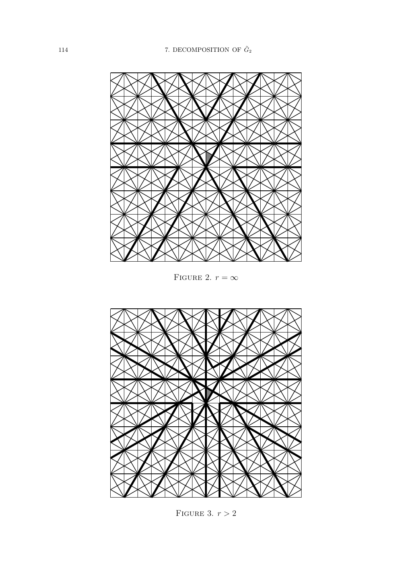

FIGURE 2.  $r = \infty$ 



FIGURE 3.  $r > 2$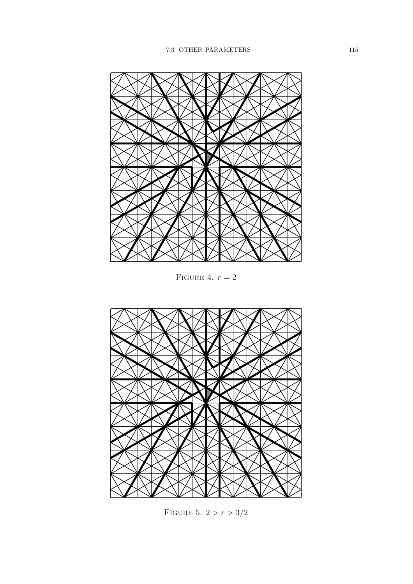

FIGURE 4.  $r = 2$ 



FIGURE 5.  $2>r>3/2$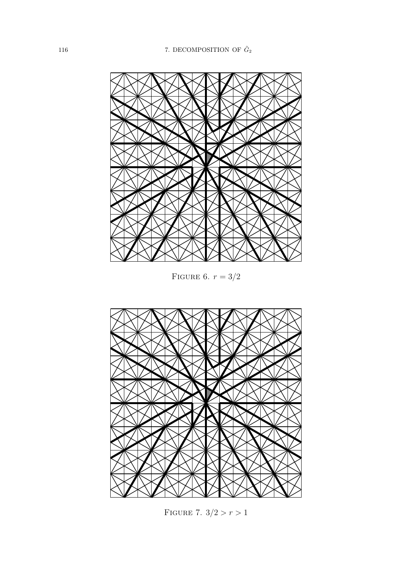

FIGURE 6.  $r = 3/2$ 



FIGURE 7.  $3/2 > r > 1$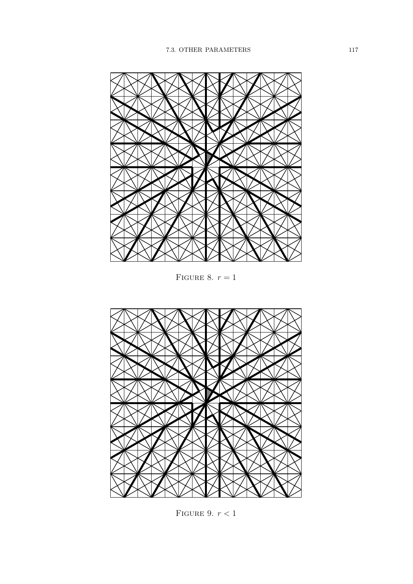

FIGURE 8.  $r = 1$ 



FIGURE 9.  $r < 1$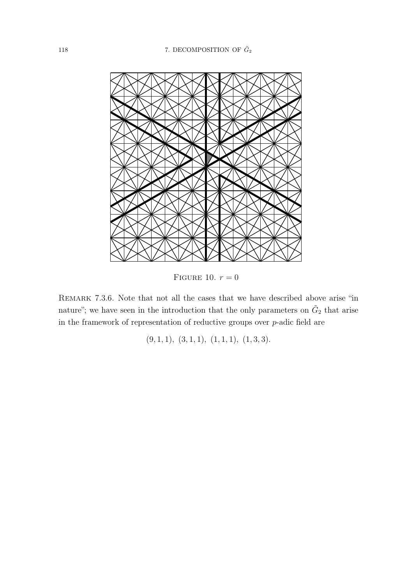

FIGURE 10.  $r = 0$ 

Remark 7.3.6. Note that not all the cases that we have described above arise "in nature"; we have seen in the introduction that the only parameters on  $\tilde{G}_2$  that arise in the framework of representation of reductive groups over  $p$ -adic field are

 $(9, 1, 1), (3, 1, 1), (1, 1, 1), (1, 3, 3).$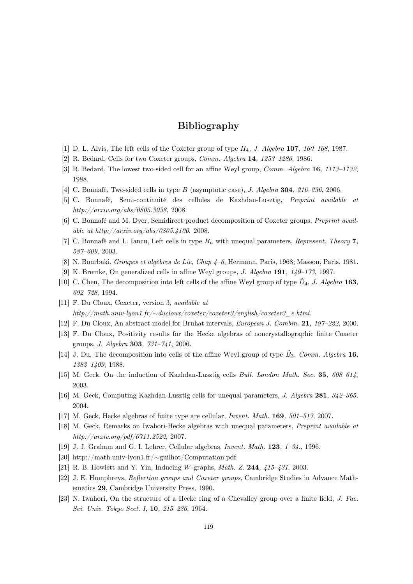## Bibliography

- [1] D. L. Alvis, The left cells of the Coxeter group of type  $H_4$ , J. Algebra 107, 160–168, 1987.
- [2] R. Bedard, Cells for two Coxeter groups, Comm. Algebra 14, 1253–1286, 1986.
- [3] R. Bedard, The lowest two-sided cell for an affine Weyl group, *Comm. Algebra* **16**, 1113–1132, 1988.
- [4] C. Bonnafé, Two-sided cells in type B (asymptotic case), J. Algebra 304, 216–236, 2006.
- [5] C. Bonnafé, Semi-continuité des cellules de Kazhdan-Lusztig, Preprint available at http://arxiv.org/abs/0805.3038, 2008.
- [6] C. Bonnafé and M. Dyer, Semidirect product decomposition of Coxeter groups, Preprint available at http://arxiv.org/abs/0805.4100, 2008.
- [7] C. Bonnafé and L. Iancu, Left cells in type  $B_n$  with unequal parameters, *Represent. Theory* 7, 587–609, 2003.
- [8] N. Bourbaki, Groupes et algèbres de Lie, Chap 4–6, Hermann, Paris, 1968; Masson, Paris, 1981.
- [9] K. Bremke, On generalized cells in affine Weyl groups, J. Algebra 191, 149–173, 1997.
- [10] C. Chen, The decomposition into left cells of the affine Weyl group of type  $\tilde{D}_4$ , J. Algebra 163, 692–728, 1994.
- [11] F. Du Cloux, Coxeter, version 3, available at http://math.univ-lyon1.fr/∼ducloux/coxeter/coxeter3/english/coxeter3\_e.html.
- [12] F. Du Cloux, An abstract model for Bruhat intervals, European J. Combin. 21, 197–222, 2000.
- [13] F. Du Cloux, Positivity results for the Hecke algebras of noncrystallographic finite Coxeter groups, J. Algebra 303, 731–741, 2006.
- [14] J. Du, The decomposition into cells of the affine Weyl group of type  $\tilde{B}_3$ , Comm. Algebra 16, 1383–1409, 1988.
- [15] M. Geck. On the induction of Kazhdan-Lusztig cells Bull. London Math. Soc. 35, 608–614, 2003.
- [16] M. Geck, Computing Kazhdan-Lusztig cells for unequal parameters, J. Algebra 281, 342–365, 2004.
- [17] M. Geck, Hecke algebras of finite type are cellular, Invent. Math. 169, 501–517, 2007.
- [18] M. Geck, Remarks on Iwahori-Hecke algebras with unequal parameters, Preprint available at http://arxiv.org/pdf/0711.2522, 2007.
- [19] J. J. Graham and G. I. Lehrer, Cellular algebras, Invent. Math. 123, 1–34., 1996.
- [20] http://math.univ-lyon1.fr/∼guilhot/Computation.pdf
- [21] R. B. Howlett and Y. Yin, Inducing W-graphs, *Math. Z.* **244**,  $415-431$ , 2003.
- [22] J. E. Humphreys, Reflection groups and Coxeter groups, Cambridge Studies in Advance Mathematics 29, Cambridge University Press, 1990.
- [23] N. Iwahori, On the structure of a Hecke ring of a Chevalley group over a finite field, J. Fac. Sci. Univ. Tokyo Sect. I, 10, 215–236, 1964.